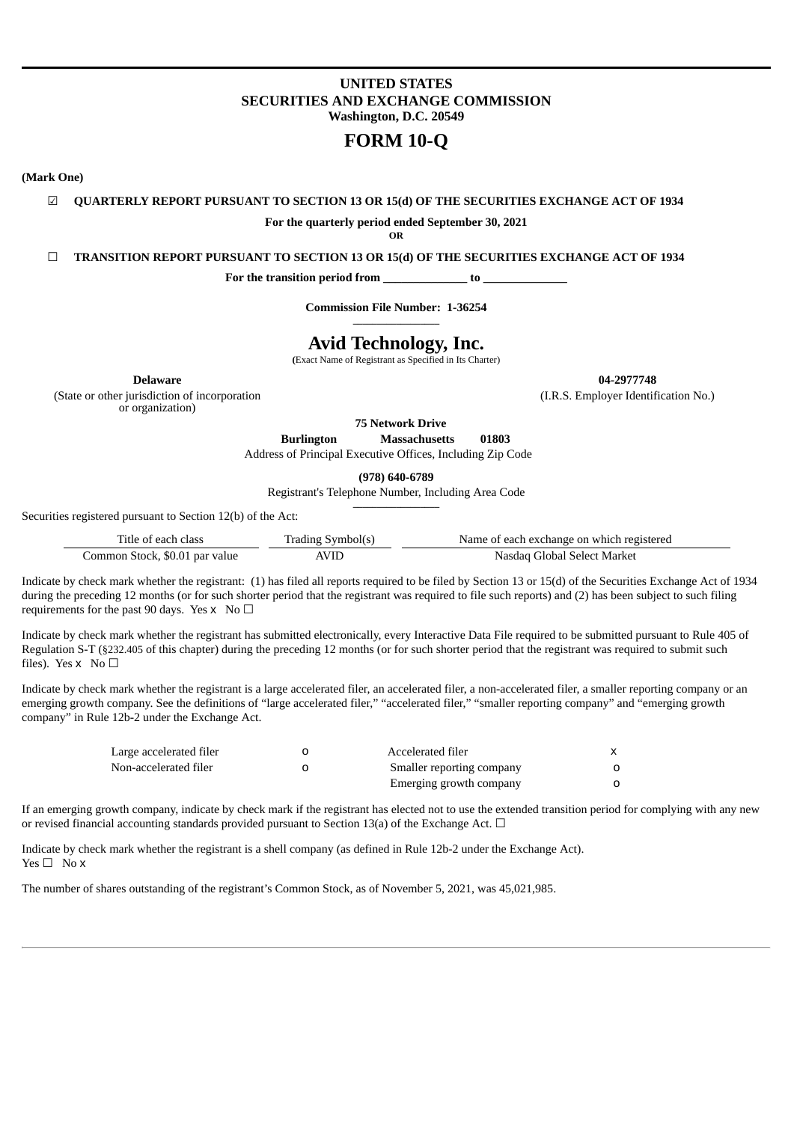# **UNITED STATES SECURITIES AND EXCHANGE COMMISSION Washington, D.C. 20549**

# **FORM 10-Q**

**(Mark One)**

☑ **QUARTERLY REPORT PURSUANT TO SECTION 13 OR 15(d) OF THE SECURITIES EXCHANGE ACT OF 1934**

**For the quarterly period ended September 30, 2021**

**OR**

☐ **TRANSITION REPORT PURSUANT TO SECTION 13 OR 15(d) OF THE SECURITIES EXCHANGE ACT OF 1934**

**For the transition period from \_\_\_\_\_\_\_\_\_\_\_\_\_\_ to \_\_\_\_\_\_\_\_\_\_\_\_\_\_**

**Commission File Number: 1-36254 \_\_\_\_\_\_\_\_\_\_\_\_\_\_\_\_\_\_**

# **Avid Technology, Inc.**

**(**Exact Name of Registrant as Specified in Its Charter)

(State or other jurisdiction of incorporation or organization)

**Delaware 04-2977748**

(I.R.S. Employer Identification No.)

**75 Network Drive**

**Burlington Massachusetts 01803**

Address of Principal Executive Offices, Including Zip Code

**(978) 640-6789**

Registrant's Telephone Number, Including Area Code **\_\_\_\_\_\_\_\_\_\_\_\_\_\_\_\_\_\_**

Securities registered pursuant to Section 12(b) of the Act:

| Title of each class            | Symbol(s)<br>radıng | Name of each exchange on which registered |
|--------------------------------|---------------------|-------------------------------------------|
| Common Stock, \$0.01 par value | AVID                | Nasdag Global Select Market               |

Indicate by check mark whether the registrant: (1) has filed all reports required to be filed by Section 13 or 15(d) of the Securities Exchange Act of 1934 during the preceding 12 months (or for such shorter period that the registrant was required to file such reports) and (2) has been subject to such filing requirements for the past 90 days. Yes  $x \to 0$ 

Indicate by check mark whether the registrant has submitted electronically, every Interactive Data File required to be submitted pursuant to Rule 405 of Regulation S-T (§232.405 of this chapter) during the preceding 12 months (or for such shorter period that the registrant was required to submit such files). Yes  $x \overline{N}$ o  $\Box$ 

Indicate by check mark whether the registrant is a large accelerated filer, an accelerated filer, a non-accelerated filer, a smaller reporting company or an emerging growth company. See the definitions of "large accelerated filer," "accelerated filer," "smaller reporting company" and "emerging growth company" in Rule 12b-2 under the Exchange Act.

| Large accelerated filer | Accelerated filer         |  |
|-------------------------|---------------------------|--|
| Non-accelerated filer   | Smaller reporting company |  |
|                         | Emerging growth company   |  |

If an emerging growth company, indicate by check mark if the registrant has elected not to use the extended transition period for complying with any new or revised financial accounting standards provided pursuant to Section 13(a) of the Exchange Act.  $\Box$ 

Indicate by check mark whether the registrant is a shell company (as defined in Rule 12b-2 under the Exchange Act).  $Yes \Box No X$ 

The number of shares outstanding of the registrant's Common Stock, as of November 5, 2021, was 45,021,985.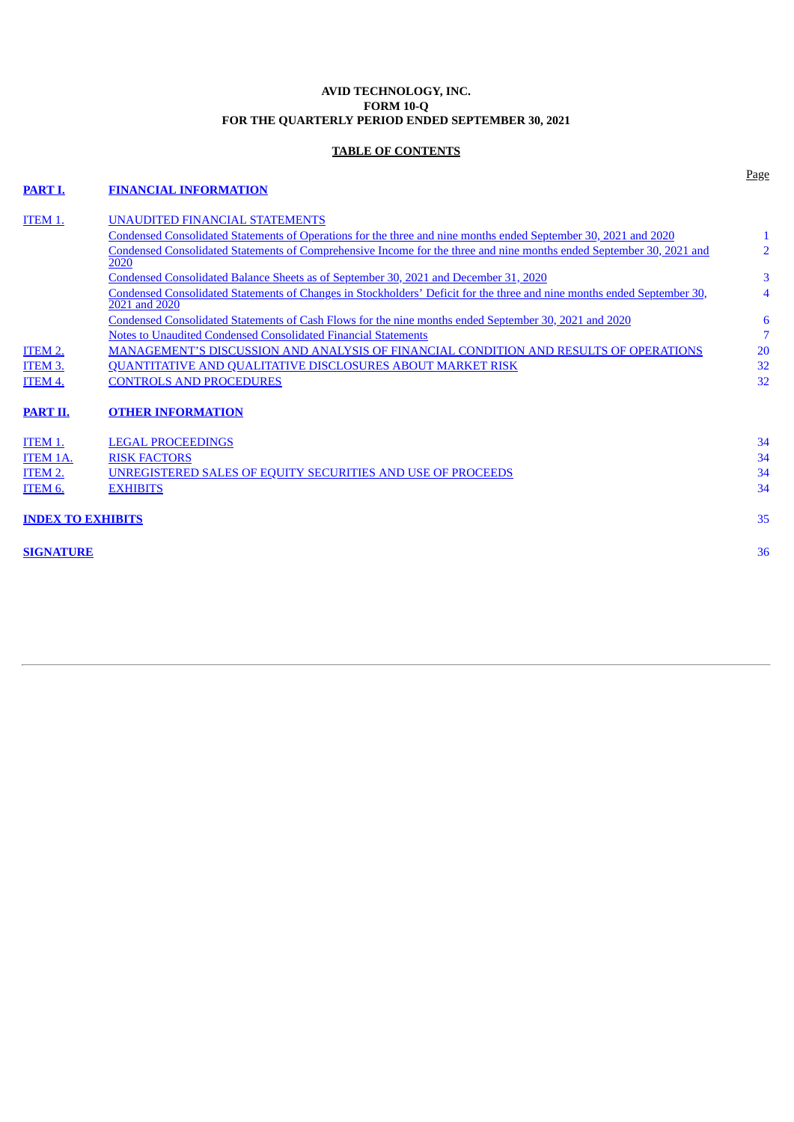### **AVID TECHNOLOGY, INC. FORM 10-Q FOR THE QUARTERLY PERIOD ENDED SEPTEMBER 30, 2021**

# **TABLE OF CONTENTS**

# **[PART](#page-3-0) I. FINANCIAL [INFORMATION](#page-3-0)**

| ITEM 1.                  | <b>UNAUDITED FINANCIAL STATEMENTS</b>                                                                                                    |                |
|--------------------------|------------------------------------------------------------------------------------------------------------------------------------------|----------------|
|                          | Condensed Consolidated Statements of Operations for the three and nine months ended September 30, 2021 and 2020                          |                |
|                          | Condensed Consolidated Statements of Comprehensive Income for the three and nine months ended September 30, 2021 and                     | $\overline{2}$ |
|                          | 2020                                                                                                                                     |                |
|                          | Condensed Consolidated Balance Sheets as of September 30, 2021 and December 31, 2020                                                     | 3              |
|                          | Condensed Consolidated Statements of Changes in Stockholders' Deficit for the three and nine months ended September 30,<br>2021 and 2020 | 4              |
|                          | Condensed Consolidated Statements of Cash Flows for the nine months ended September 30, 2021 and 2020                                    | 6              |
|                          | Notes to Unaudited Condensed Consolidated Financial Statements                                                                           | 7              |
| ITEM 2.                  | MANAGEMENT'S DISCUSSION AND ANALYSIS OF FINANCIAL CONDITION AND RESULTS OF OPERATIONS                                                    | 20             |
| ITEM 3.                  | <b>QUANTITATIVE AND QUALITATIVE DISCLOSURES ABOUT MARKET RISK</b>                                                                        | 32             |
| ITEM 4.                  | <b>CONTROLS AND PROCEDURES</b>                                                                                                           | 32             |
|                          |                                                                                                                                          |                |
| PART II.                 | <b>OTHER INFORMATION</b>                                                                                                                 |                |
|                          |                                                                                                                                          |                |
| ITEM 1.                  | <b>LEGAL PROCEEDINGS</b>                                                                                                                 | 34             |
| ITEM 1A.                 | <b>RISK FACTORS</b>                                                                                                                      | 34             |
| ITEM 2.                  | UNREGISTERED SALES OF EQUITY SECURITIES AND USE OF PROCEEDS                                                                              | 34             |
| ITEM 6.                  | <b>EXHIBITS</b>                                                                                                                          | 34             |
|                          |                                                                                                                                          |                |
| <b>INDEX TO EXHIBITS</b> |                                                                                                                                          | 35             |
|                          |                                                                                                                                          |                |
| <b>SIGNATURE</b>         |                                                                                                                                          | 36             |
|                          |                                                                                                                                          |                |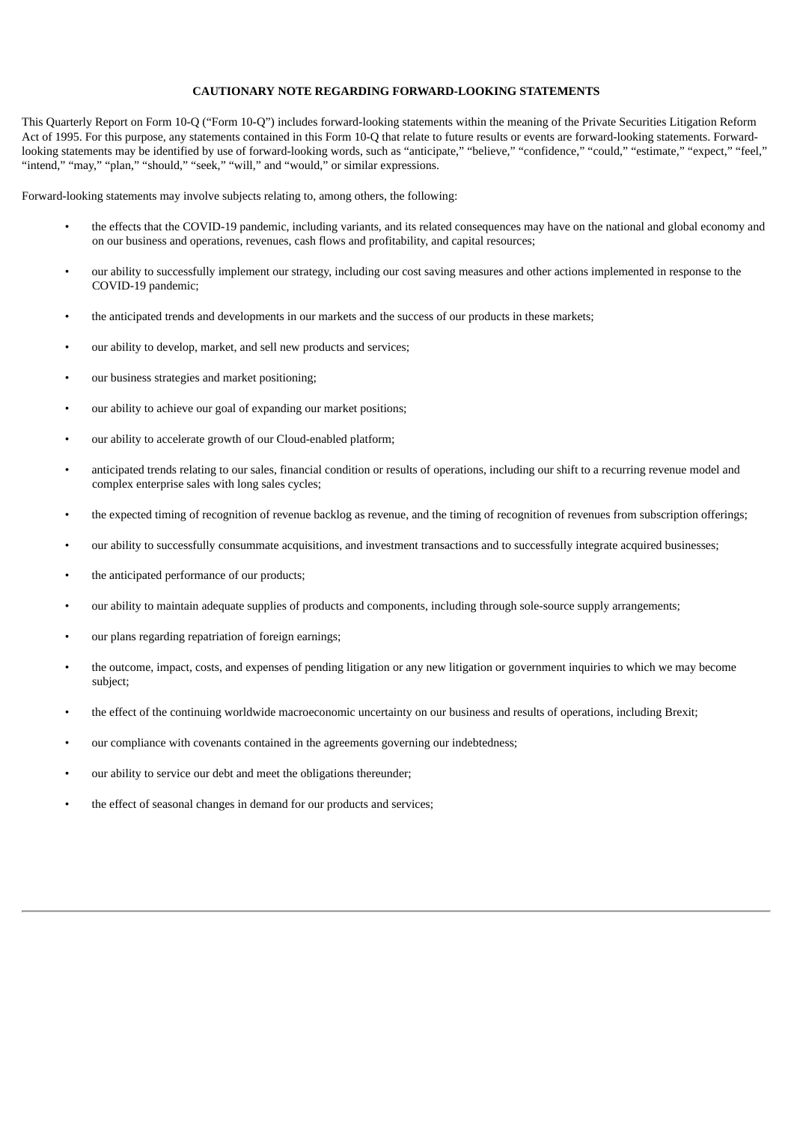### **CAUTIONARY NOTE REGARDING FORWARD-LOOKING STATEMENTS**

This Quarterly Report on Form 10-Q ("Form 10-Q") includes forward-looking statements within the meaning of the Private Securities Litigation Reform Act of 1995. For this purpose, any statements contained in this Form 10-Q that relate to future results or events are forward-looking statements. Forwardlooking statements may be identified by use of forward-looking words, such as "anticipate," "believe," "confidence," "could," "estimate," "expect," "feel," "intend," "may," "plan," "should," "seek," "will," and "would," or similar expressions.

Forward-looking statements may involve subjects relating to, among others, the following:

- the effects that the COVID-19 pandemic, including variants, and its related consequences may have on the national and global economy and on our business and operations, revenues, cash flows and profitability, and capital resources;
- our ability to successfully implement our strategy, including our cost saving measures and other actions implemented in response to the COVID-19 pandemic;
- the anticipated trends and developments in our markets and the success of our products in these markets;
- our ability to develop, market, and sell new products and services;
- our business strategies and market positioning;
- our ability to achieve our goal of expanding our market positions;
- our ability to accelerate growth of our Cloud-enabled platform;
- anticipated trends relating to our sales, financial condition or results of operations, including our shift to a recurring revenue model and complex enterprise sales with long sales cycles;
- the expected timing of recognition of revenue backlog as revenue, and the timing of recognition of revenues from subscription offerings;
- our ability to successfully consummate acquisitions, and investment transactions and to successfully integrate acquired businesses;
- the anticipated performance of our products;
- our ability to maintain adequate supplies of products and components, including through sole-source supply arrangements;
- our plans regarding repatriation of foreign earnings;
- the outcome, impact, costs, and expenses of pending litigation or any new litigation or government inquiries to which we may become subject;
- the effect of the continuing worldwide macroeconomic uncertainty on our business and results of operations, including Brexit;
- our compliance with covenants contained in the agreements governing our indebtedness;
- our ability to service our debt and meet the obligations thereunder;
- the effect of seasonal changes in demand for our products and services;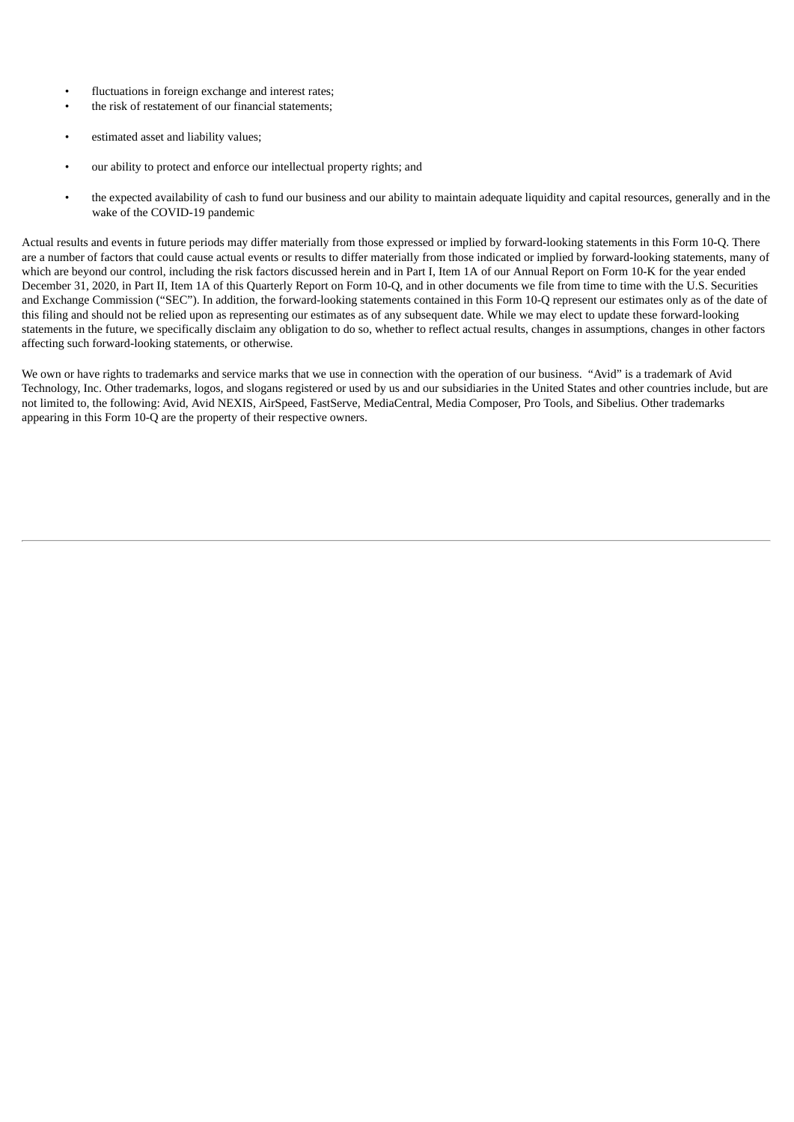- fluctuations in foreign exchange and interest rates;
- the risk of restatement of our financial statements;
- estimated asset and liability values;
- our ability to protect and enforce our intellectual property rights; and
- the expected availability of cash to fund our business and our ability to maintain adequate liquidity and capital resources, generally and in the wake of the COVID-19 pandemic

Actual results and events in future periods may differ materially from those expressed or implied by forward-looking statements in this Form 10-Q. There are a number of factors that could cause actual events or results to differ materially from those indicated or implied by forward-looking statements, many of which are beyond our control, including the risk factors discussed herein and in Part I, Item 1A of our Annual Report on Form 10-K for the year ended December 31, 2020, in Part II, Item 1A of this Quarterly Report on Form 10-Q, and in other documents we file from time to time with the U.S. Securities and Exchange Commission ("SEC"). In addition, the forward-looking statements contained in this Form 10-Q represent our estimates only as of the date of this filing and should not be relied upon as representing our estimates as of any subsequent date. While we may elect to update these forward-looking statements in the future, we specifically disclaim any obligation to do so, whether to reflect actual results, changes in assumptions, changes in other factors affecting such forward-looking statements, or otherwise.

<span id="page-3-0"></span>We own or have rights to trademarks and service marks that we use in connection with the operation of our business. "Avid" is a trademark of Avid Technology, Inc. Other trademarks, logos, and slogans registered or used by us and our subsidiaries in the United States and other countries include, but are not limited to, the following: Avid, Avid NEXIS, AirSpeed, FastServe, MediaCentral, Media Composer, Pro Tools, and Sibelius. Other trademarks appearing in this Form 10-Q are the property of their respective owners.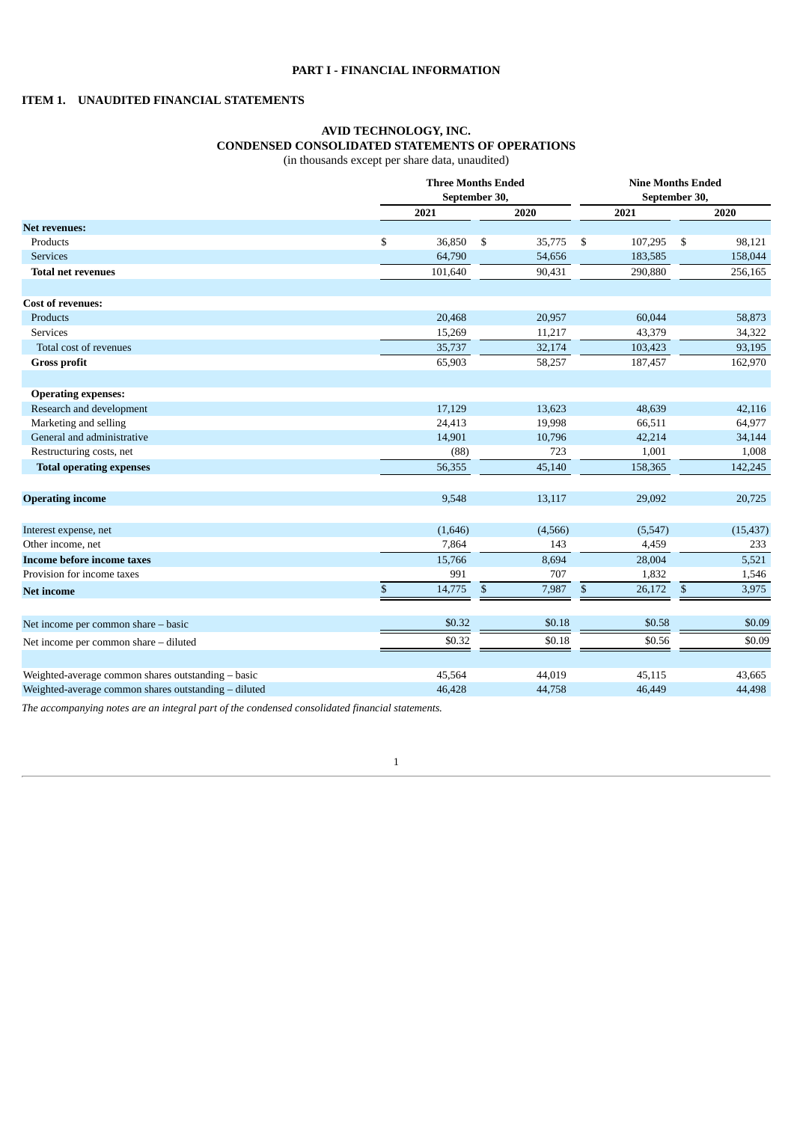# **PART I - FINANCIAL INFORMATION**

# <span id="page-4-1"></span><span id="page-4-0"></span>**ITEM 1. UNAUDITED FINANCIAL STATEMENTS**

# **AVID TECHNOLOGY, INC. CONDENSED CONSOLIDATED STATEMENTS OF OPERATIONS**

(in thousands except per share data, unaudited)

|                                                      | <b>Three Months Ended</b><br>September 30, |      |         | <b>Nine Months Ended</b><br>September 30, |         |              |           |
|------------------------------------------------------|--------------------------------------------|------|---------|-------------------------------------------|---------|--------------|-----------|
|                                                      | 2021                                       | 2020 |         |                                           | 2021    |              | 2020      |
| <b>Net revenues:</b>                                 |                                            |      |         |                                           |         |              |           |
| Products                                             | \$<br>36,850                               | \$   | 35,775  | \$                                        | 107,295 | \$           | 98,121    |
| <b>Services</b>                                      | 64,790                                     |      | 54,656  |                                           | 183,585 |              | 158,044   |
| <b>Total net revenues</b>                            | 101,640                                    |      | 90,431  |                                           | 290,880 |              | 256,165   |
| <b>Cost of revenues:</b>                             |                                            |      |         |                                           |         |              |           |
| Products                                             | 20,468                                     |      | 20,957  |                                           | 60,044  |              | 58,873    |
| <b>Services</b>                                      | 15,269                                     |      | 11,217  |                                           | 43,379  |              | 34,322    |
| Total cost of revenues                               | 35,737                                     |      | 32,174  |                                           | 103,423 |              | 93,195    |
| <b>Gross profit</b>                                  | 65,903                                     |      | 58,257  |                                           | 187,457 |              | 162,970   |
|                                                      |                                            |      |         |                                           |         |              |           |
| <b>Operating expenses:</b>                           |                                            |      |         |                                           |         |              |           |
| Research and development                             | 17,129                                     |      | 13,623  |                                           | 48,639  |              | 42,116    |
| Marketing and selling                                | 24,413                                     |      | 19,998  |                                           | 66,511  |              | 64,977    |
| General and administrative                           | 14,901                                     |      | 10,796  |                                           | 42,214  |              | 34,144    |
| Restructuring costs, net                             | (88)                                       |      | 723     |                                           | 1,001   |              | 1,008     |
| <b>Total operating expenses</b>                      | 56,355                                     |      | 45,140  |                                           | 158,365 |              | 142,245   |
| <b>Operating income</b>                              | 9,548                                      |      | 13,117  |                                           | 29,092  |              | 20,725    |
| Interest expense, net                                | (1,646)                                    |      | (4,566) |                                           | (5,547) |              | (15, 437) |
| Other income, net                                    | 7,864                                      |      | 143     |                                           | 4,459   |              | 233       |
| Income before income taxes                           | 15,766                                     |      | 8,694   |                                           | 28,004  |              | 5,521     |
| Provision for income taxes                           | 991                                        |      | 707     |                                           | 1,832   |              | 1,546     |
| <b>Net income</b>                                    | \$<br>14,775                               | \$   | 7,987   | $\mathbb{S}$                              | 26,172  | $\mathbb{S}$ | 3,975     |
| Net income per common share - basic                  | \$0.32                                     |      | \$0.18  |                                           | \$0.58  |              | \$0.09    |
| Net income per common share - diluted                | \$0.32                                     |      | \$0.18  |                                           | \$0.56  |              | \$0.09    |
|                                                      |                                            |      |         |                                           |         |              |           |
| Weighted-average common shares outstanding - basic   | 45,564                                     |      | 44,019  |                                           | 45,115  |              | 43,665    |
| Weighted-average common shares outstanding - diluted | 46,428                                     |      | 44,758  |                                           | 46.449  |              | 44,498    |

1

<span id="page-4-2"></span>*The accompanying notes are an integral part of the condensed consolidated financial statements.*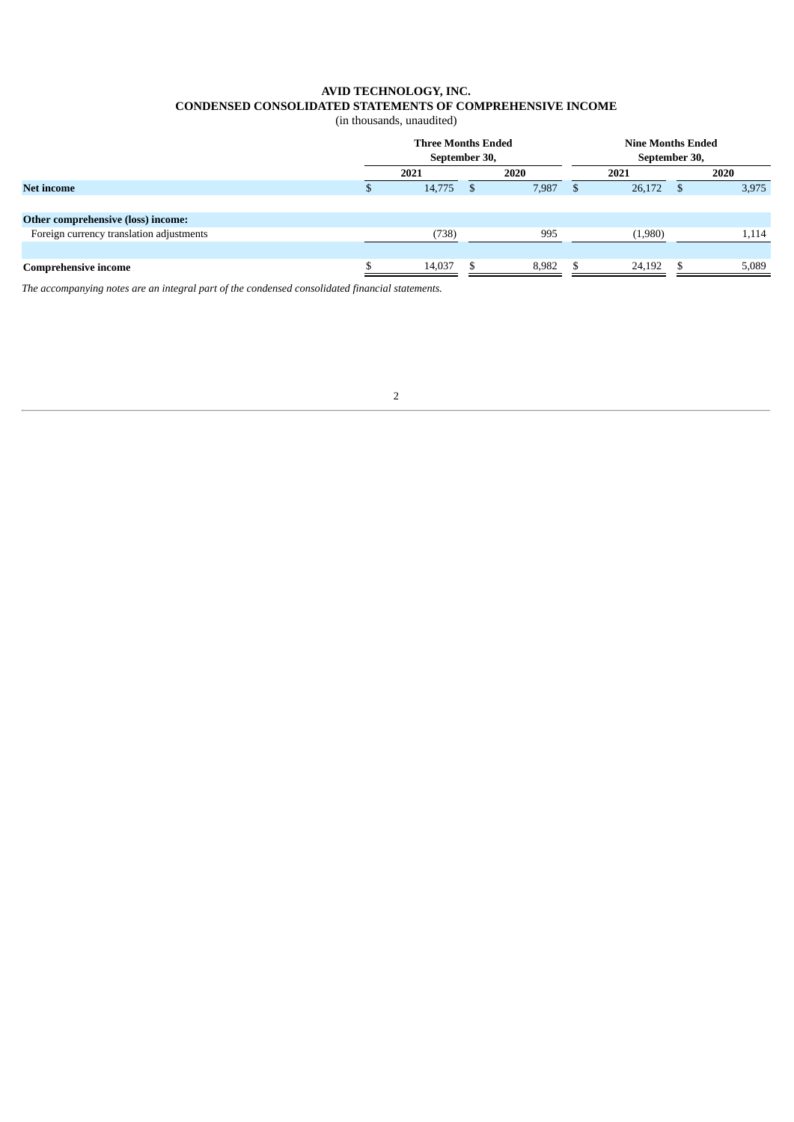# **AVID TECHNOLOGY, INC. CONDENSED CONSOLIDATED STATEMENTS OF COMPREHENSIVE INCOME**

(in thousands, unaudited)

|                                                                                                                                                              | <b>Three Months Ended</b><br>September 30, |              |       | <b>Nine Months Ended</b><br>September 30, |         |      |       |
|--------------------------------------------------------------------------------------------------------------------------------------------------------------|--------------------------------------------|--------------|-------|-------------------------------------------|---------|------|-------|
|                                                                                                                                                              | 2021                                       |              | 2020  |                                           | 2021    |      | 2020  |
| <b>Net income</b>                                                                                                                                            | 14,775                                     | $\mathbf{S}$ | 7,987 | S.                                        | 26,172  | - \$ | 3,975 |
|                                                                                                                                                              |                                            |              |       |                                           |         |      |       |
| Other comprehensive (loss) income:                                                                                                                           |                                            |              |       |                                           |         |      |       |
| Foreign currency translation adjustments                                                                                                                     | (738)                                      |              | 995   |                                           | (1,980) |      | 1,114 |
|                                                                                                                                                              |                                            |              |       |                                           |         |      |       |
| <b>Comprehensive income</b>                                                                                                                                  | 14,037                                     |              | 8,982 |                                           | 24,192  | -\$  | 5,089 |
| $\sim$<br>$\mathcal{L} = \{ \mathbf{r} \mid \mathbf{r} \in \mathcal{L} \}$ , and the set of $\mathcal{L} = \{ \mathbf{r} \mid \mathbf{r} \in \mathcal{L} \}$ |                                            |              |       |                                           |         |      |       |

<span id="page-5-0"></span>*The accompanying notes are an integral part of the condensed consolidated financial statements.*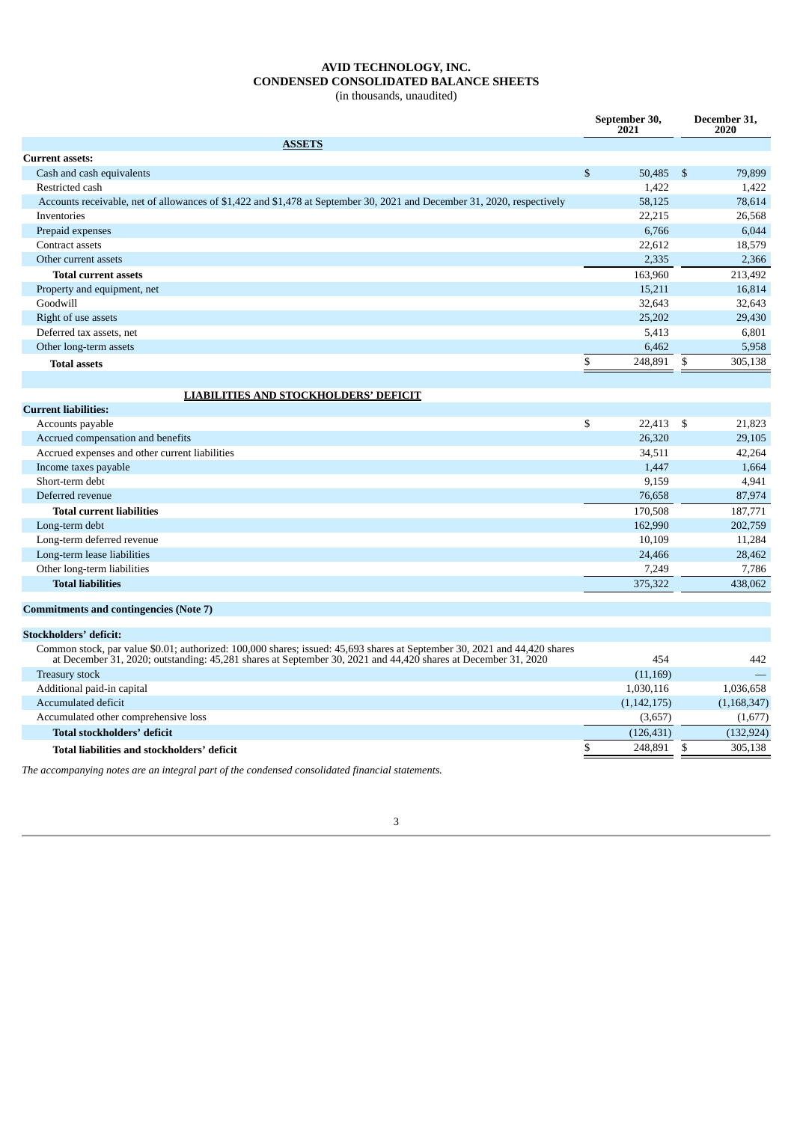# **AVID TECHNOLOGY, INC. CONDENSED CONSOLIDATED BALANCE SHEETS**

(in thousands, unaudited)

|                                                                                                                                                                                                                                            | September 30,<br>2021 |              | December 31,<br>2020 |
|--------------------------------------------------------------------------------------------------------------------------------------------------------------------------------------------------------------------------------------------|-----------------------|--------------|----------------------|
| <b>ASSETS</b>                                                                                                                                                                                                                              |                       |              |                      |
| <b>Current assets:</b>                                                                                                                                                                                                                     |                       |              |                      |
| Cash and cash equivalents                                                                                                                                                                                                                  | \$<br>50,485          | $\mathbb{S}$ | 79,899               |
| Restricted cash                                                                                                                                                                                                                            | 1,422                 |              | 1,422                |
| Accounts receivable, net of allowances of \$1,422 and \$1,478 at September 30, 2021 and December 31, 2020, respectively                                                                                                                    | 58,125                |              | 78,614               |
| Inventories                                                                                                                                                                                                                                | 22,215                |              | 26,568               |
| Prepaid expenses                                                                                                                                                                                                                           | 6,766                 |              | 6,044                |
| Contract assets                                                                                                                                                                                                                            | 22,612                |              | 18,579               |
| Other current assets                                                                                                                                                                                                                       | 2,335                 |              | 2,366                |
| <b>Total current assets</b>                                                                                                                                                                                                                | 163,960               |              | 213,492              |
| Property and equipment, net                                                                                                                                                                                                                | 15,211                |              | 16,814               |
| Goodwill                                                                                                                                                                                                                                   | 32,643                |              | 32,643               |
| Right of use assets                                                                                                                                                                                                                        | 25,202                |              | 29,430               |
| Deferred tax assets, net                                                                                                                                                                                                                   | 5,413                 |              | 6,801                |
| Other long-term assets                                                                                                                                                                                                                     | 6,462                 |              | 5,958                |
| <b>Total assets</b>                                                                                                                                                                                                                        | \$<br>248,891 \$      |              | 305,138              |
|                                                                                                                                                                                                                                            |                       |              |                      |
| <b>LIABILITIES AND STOCKHOLDERS' DEFICIT</b>                                                                                                                                                                                               |                       |              |                      |
| <b>Current liabilities:</b>                                                                                                                                                                                                                |                       |              |                      |
| Accounts payable                                                                                                                                                                                                                           | \$<br>22,413          | \$           | 21,823               |
| Accrued compensation and benefits                                                                                                                                                                                                          | 26,320                |              | 29,105               |
| Accrued expenses and other current liabilities                                                                                                                                                                                             | 34,511                |              | 42,264               |
| Income taxes payable                                                                                                                                                                                                                       | 1,447                 |              | 1,664                |
| Short-term debt                                                                                                                                                                                                                            | 9,159                 |              | 4,941                |
| Deferred revenue                                                                                                                                                                                                                           | 76,658                |              | 87,974               |
| <b>Total current liabilities</b>                                                                                                                                                                                                           | 170,508               |              | 187,771              |
| Long-term debt                                                                                                                                                                                                                             | 162,990               |              | 202,759              |
| Long-term deferred revenue                                                                                                                                                                                                                 | 10,109                |              | 11,284               |
| Long-term lease liabilities                                                                                                                                                                                                                | 24,466                |              | 28,462               |
| Other long-term liabilities                                                                                                                                                                                                                | 7,249                 |              | 7,786                |
| <b>Total liabilities</b>                                                                                                                                                                                                                   | 375,322               |              | 438.062              |
|                                                                                                                                                                                                                                            |                       |              |                      |
| <b>Commitments and contingencies (Note 7)</b>                                                                                                                                                                                              |                       |              |                      |
| Stockholders' deficit:                                                                                                                                                                                                                     |                       |              |                      |
| Common stock, par value \$0.01; authorized: 100,000 shares; issued: 45,693 shares at September 30, 2021 and 44,420 shares<br>at December 31, 2020; outstanding: 45,281 shares at September 30, 2021 and 44,420 shares at December 31, 2020 | 454                   |              | 442                  |
| Treasury stock                                                                                                                                                                                                                             | (11, 169)             |              |                      |
| Additional paid-in capital                                                                                                                                                                                                                 | 1,030,116             |              | 1,036,658            |
| Accumulated deficit                                                                                                                                                                                                                        | (1, 142, 175)         |              | (1, 168, 347)        |
| Accumulated other comprehensive loss                                                                                                                                                                                                       | (3,657)               |              | (1,677)              |
| <b>Total stockholders' deficit</b>                                                                                                                                                                                                         | (126, 431)            |              | (132, 924)           |
| Total liabilities and stockholders' deficit                                                                                                                                                                                                | \$<br>248,891         | \$           | 305,138              |

<span id="page-6-0"></span>*The accompanying notes are an integral part of the condensed consolidated financial statements.*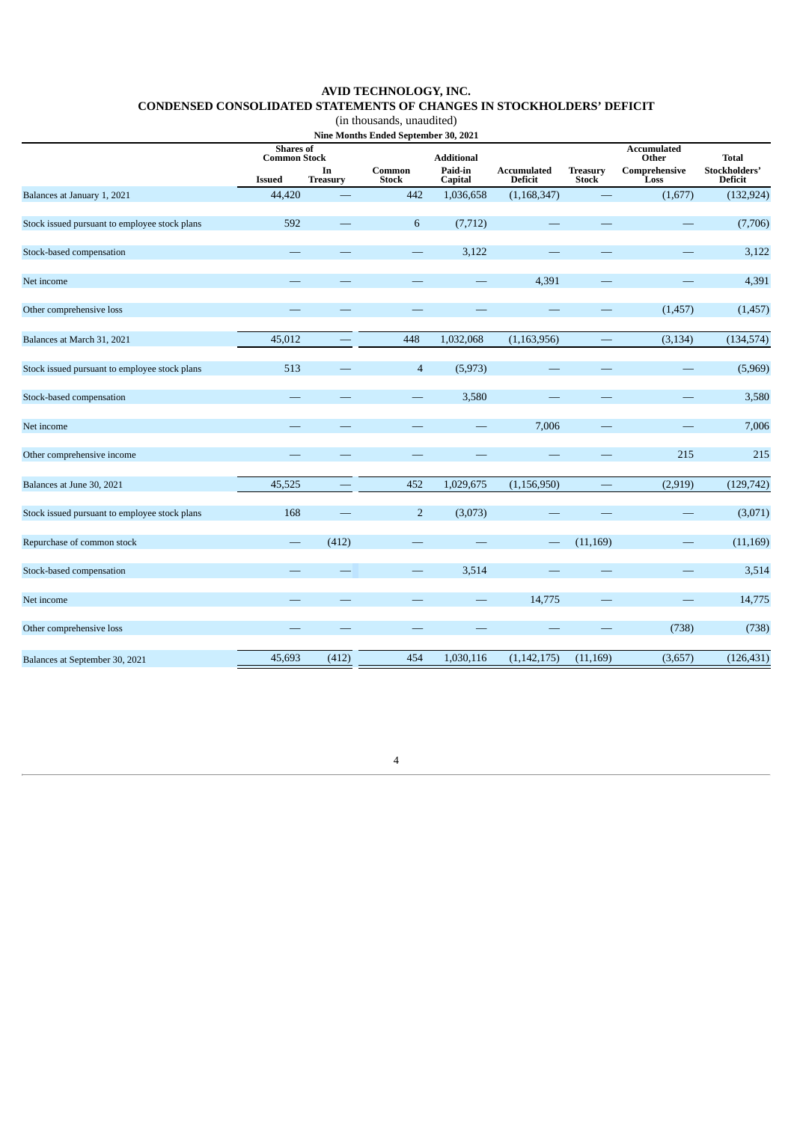# **AVID TECHNOLOGY, INC. CONDENSED CONSOLIDATED STATEMENTS OF CHANGES IN STOCKHOLDERS' DEFICIT**

(in thousands, unaudited)

|                                               |                                         |                       | Nine Months Ended September 30, 2021 |                    |                               |                                 |                             |                          |
|-----------------------------------------------|-----------------------------------------|-----------------------|--------------------------------------|--------------------|-------------------------------|---------------------------------|-----------------------------|--------------------------|
|                                               | <b>Shares</b> of<br><b>Common Stock</b> |                       | <b>Additional</b>                    |                    |                               |                                 | <b>Accumulated</b><br>Other | <b>Total</b>             |
|                                               | <b>Issued</b>                           | In<br><b>Treasury</b> | Common<br><b>Stock</b>               | Paid-in<br>Capital | Accumulated<br><b>Deficit</b> | <b>Treasury</b><br><b>Stock</b> | Comprehensive<br>Loss       | Stockholders'<br>Deficit |
| Balances at January 1, 2021                   | 44,420                                  |                       | 442                                  | 1,036,658          | (1, 168, 347)                 |                                 | (1,677)                     | (132, 924)               |
| Stock issued pursuant to employee stock plans | 592                                     |                       | $6\phantom{1}$                       | (7, 712)           |                               |                                 |                             | (7,706)                  |
| Stock-based compensation                      | $\overline{\phantom{0}}$                |                       |                                      | 3,122              |                               |                                 |                             | 3,122                    |
| Net income                                    |                                         |                       |                                      |                    | 4,391                         |                                 |                             | 4,391                    |
| Other comprehensive loss                      |                                         |                       |                                      |                    |                               |                                 | (1, 457)                    | (1,457)                  |
| Balances at March 31, 2021                    | 45,012                                  |                       | 448                                  | 1,032,068          | (1, 163, 956)                 | $\overline{\phantom{0}}$        | (3, 134)                    | (134, 574)               |
| Stock issued pursuant to employee stock plans | 513                                     |                       | $\overline{4}$                       | (5, 973)           |                               |                                 |                             | (5,969)                  |
| Stock-based compensation                      |                                         |                       |                                      | 3,580              |                               |                                 |                             | 3,580                    |
| Net income                                    |                                         |                       |                                      |                    | 7,006                         |                                 |                             | 7,006                    |
| Other comprehensive income                    |                                         |                       |                                      |                    |                               |                                 | 215                         | 215                      |
| Balances at June 30, 2021                     | 45,525                                  |                       | 452                                  | 1,029,675          | (1, 156, 950)                 |                                 | (2,919)                     | (129, 742)               |
| Stock issued pursuant to employee stock plans | 168                                     |                       | $2^{\circ}$                          | (3,073)            |                               |                                 |                             | (3,071)                  |
| Repurchase of common stock                    | $\hspace{0.05cm}$                       | (412)                 |                                      |                    |                               | (11, 169)                       |                             | (11, 169)                |
| Stock-based compensation                      |                                         |                       |                                      | 3,514              |                               |                                 |                             | 3,514                    |
| Net income                                    |                                         |                       |                                      |                    | 14,775                        |                                 |                             | 14,775                   |
| Other comprehensive loss                      |                                         |                       |                                      |                    |                               |                                 | (738)                       | (738)                    |
| Balances at September 30, 2021                | 45,693                                  | (412)                 | 454                                  | 1,030,116          | (1, 142, 175)                 | (11, 169)                       | (3,657)                     | (126, 431)               |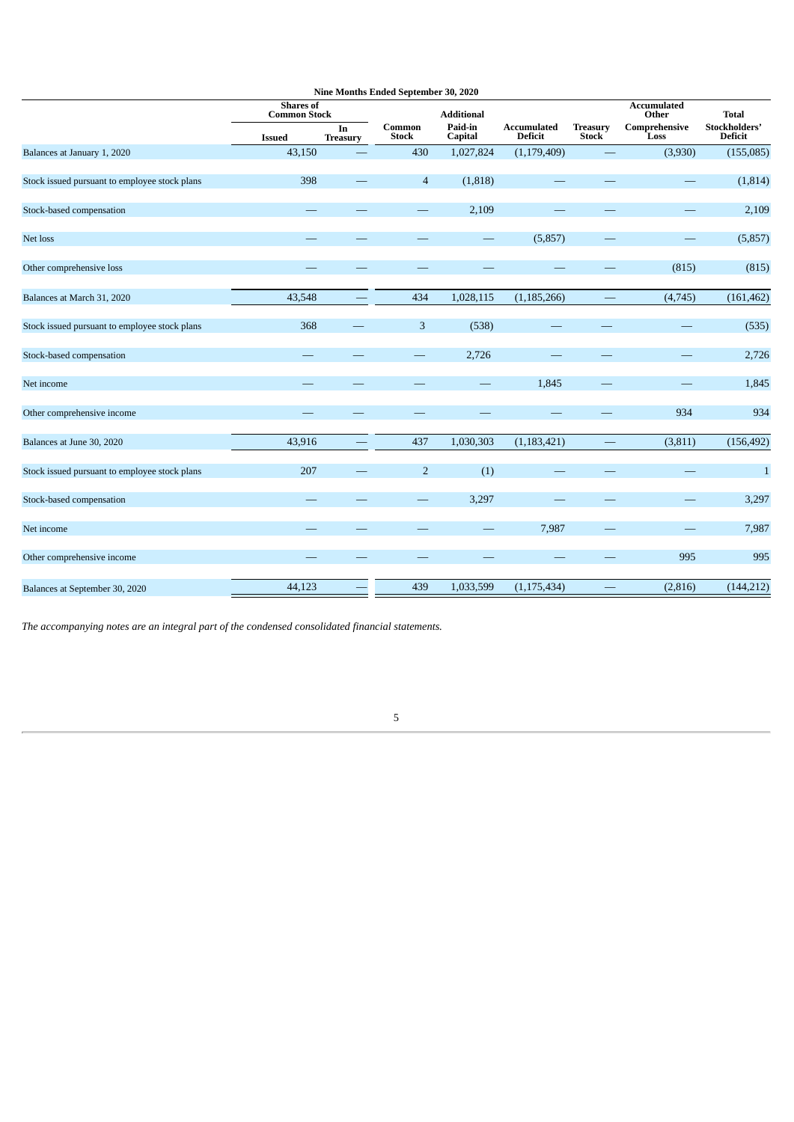|                                               |                                         |                       | Nine Months Ended September 30, 2020 |                    |                               |                                 |                             |                                 |
|-----------------------------------------------|-----------------------------------------|-----------------------|--------------------------------------|--------------------|-------------------------------|---------------------------------|-----------------------------|---------------------------------|
|                                               | <b>Shares</b> of<br><b>Common Stock</b> |                       |                                      | <b>Additional</b>  |                               |                                 | <b>Accumulated</b><br>Other | <b>Total</b>                    |
|                                               | <b>Issued</b>                           | In<br><b>Treasury</b> | Common<br><b>Stock</b>               | Paid-in<br>Capital | Accumulated<br><b>Deficit</b> | <b>Treasury</b><br><b>Stock</b> | Comprehensive<br>Loss       | Stockholders'<br><b>Deficit</b> |
| Balances at January 1, 2020                   | 43,150                                  |                       | 430                                  | 1,027,824          | (1, 179, 409)                 |                                 | (3,930)                     | (155,085)                       |
| Stock issued pursuant to employee stock plans | 398                                     |                       | $\overline{4}$                       | (1,818)            |                               |                                 |                             | (1,814)                         |
| Stock-based compensation                      |                                         |                       |                                      | 2,109              |                               |                                 |                             | 2,109                           |
| Net loss                                      |                                         |                       |                                      |                    | (5,857)                       |                                 |                             | (5,857)                         |
| Other comprehensive loss                      |                                         |                       |                                      |                    |                               |                                 | (815)                       | (815)                           |
| Balances at March 31, 2020                    | 43,548                                  |                       | 434                                  | 1,028,115          | (1, 185, 266)                 |                                 | (4,745)                     | (161, 462)                      |
| Stock issued pursuant to employee stock plans | 368                                     |                       | 3                                    | (538)              |                               |                                 |                             | (535)                           |
| Stock-based compensation                      |                                         |                       |                                      | 2,726              |                               |                                 |                             | 2,726                           |
| Net income                                    |                                         |                       |                                      |                    | 1,845                         |                                 |                             | 1,845                           |
| Other comprehensive income                    |                                         |                       |                                      |                    |                               |                                 | 934                         | 934                             |
| Balances at June 30, 2020                     | 43,916                                  |                       | 437                                  | 1,030,303          | (1, 183, 421)                 |                                 | (3, 811)                    | (156, 492)                      |
| Stock issued pursuant to employee stock plans | 207                                     |                       | $\overline{2}$                       | (1)                |                               |                                 |                             | $\mathbf{1}$                    |
| Stock-based compensation                      |                                         |                       |                                      | 3,297              |                               |                                 |                             | 3,297                           |
| Net income                                    |                                         |                       |                                      |                    | 7,987                         |                                 |                             | 7,987                           |
| Other comprehensive income                    |                                         |                       |                                      |                    |                               |                                 | 995                         | 995                             |
| Balances at September 30, 2020                | 44,123                                  |                       | 439                                  | 1,033,599          | (1, 175, 434)                 |                                 | (2,816)                     | (144, 212)                      |
|                                               |                                         |                       |                                      |                    |                               |                                 |                             |                                 |

<span id="page-8-0"></span>*The accompanying notes are an integral part of the condensed consolidated financial statements.*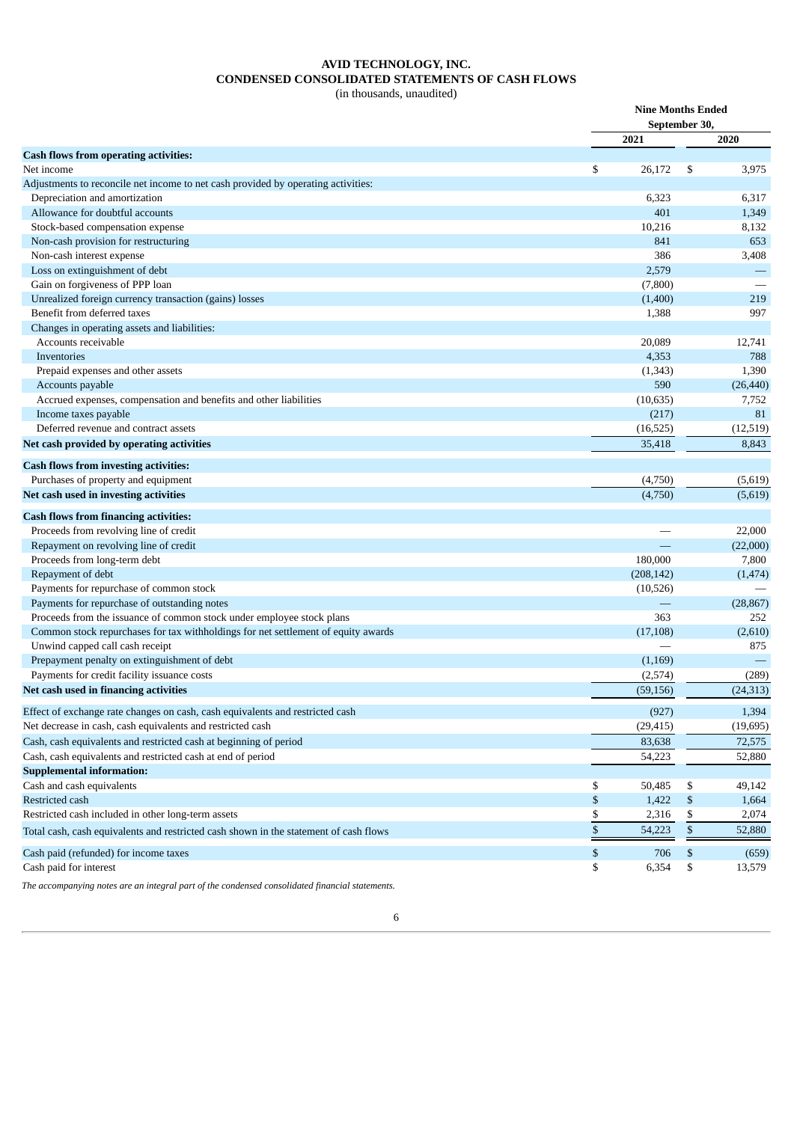# **AVID TECHNOLOGY, INC. CONDENSED CONSOLIDATED STATEMENTS OF CASH FLOWS**

(in thousands, unaudited)

|                                                                                       |          | <b>Nine Months Ended</b><br>September 30, |               |           |
|---------------------------------------------------------------------------------------|----------|-------------------------------------------|---------------|-----------|
|                                                                                       |          | 2021                                      |               | 2020      |
| <b>Cash flows from operating activities:</b>                                          |          |                                           |               |           |
| Net income                                                                            | \$       | 26,172                                    | \$            | 3,975     |
| Adjustments to reconcile net income to net cash provided by operating activities:     |          |                                           |               |           |
| Depreciation and amortization                                                         |          | 6,323                                     |               | 6,317     |
| Allowance for doubtful accounts                                                       |          | 401                                       |               | 1,349     |
| Stock-based compensation expense                                                      |          | 10,216                                    |               | 8,132     |
| Non-cash provision for restructuring                                                  |          | 841                                       |               | 653       |
| Non-cash interest expense                                                             |          | 386                                       |               | 3,408     |
| Loss on extinguishment of debt                                                        |          | 2,579                                     |               |           |
| Gain on forgiveness of PPP loan                                                       |          | (7,800)                                   |               |           |
| Unrealized foreign currency transaction (gains) losses                                |          | (1,400)                                   |               | 219       |
| Benefit from deferred taxes                                                           |          | 1,388                                     |               | 997       |
| Changes in operating assets and liabilities:                                          |          |                                           |               |           |
| Accounts receivable                                                                   |          | 20,089                                    |               | 12,741    |
| Inventories                                                                           |          | 4,353                                     |               | 788       |
| Prepaid expenses and other assets                                                     |          | (1, 343)                                  |               | 1,390     |
| Accounts payable                                                                      |          | 590                                       |               | (26, 440) |
| Accrued expenses, compensation and benefits and other liabilities                     |          | (10, 635)                                 |               | 7,752     |
| Income taxes payable                                                                  |          | (217)                                     |               | 81        |
| Deferred revenue and contract assets                                                  |          | (16, 525)                                 |               | (12, 519) |
| Net cash provided by operating activities                                             |          | 35,418                                    |               | 8,843     |
| <b>Cash flows from investing activities:</b>                                          |          |                                           |               |           |
| Purchases of property and equipment                                                   |          | (4,750)                                   |               | (5,619)   |
| Net cash used in investing activities                                                 |          | (4,750)                                   |               | (5,619)   |
| <b>Cash flows from financing activities:</b>                                          |          |                                           |               |           |
| Proceeds from revolving line of credit                                                |          |                                           |               | 22,000    |
| Repayment on revolving line of credit                                                 |          |                                           |               | (22,000)  |
| Proceeds from long-term debt                                                          |          | 180,000                                   |               | 7,800     |
| Repayment of debt                                                                     |          | (208, 142)                                |               | (1, 474)  |
| Payments for repurchase of common stock                                               |          | (10, 526)                                 |               |           |
| Payments for repurchase of outstanding notes                                          |          |                                           |               | (28, 867) |
| Proceeds from the issuance of common stock under employee stock plans                 |          | 363                                       |               | 252       |
| Common stock repurchases for tax withholdings for net settlement of equity awards     |          | (17, 108)                                 |               | (2,610)   |
| Unwind capped call cash receipt                                                       |          |                                           |               | 875       |
| Prepayment penalty on extinguishment of debt                                          |          | (1,169)                                   |               |           |
| Payments for credit facility issuance costs                                           |          | (2,574)                                   |               | (289)     |
| Net cash used in financing activities                                                 |          | (59, 156)                                 |               | (24, 313) |
| Effect of exchange rate changes on cash, cash equivalents and restricted cash         |          | (927)                                     |               | 1,394     |
| Net decrease in cash, cash equivalents and restricted cash                            |          | (29, 415)                                 |               | (19,695)  |
| Cash, cash equivalents and restricted cash at beginning of period                     |          | 83,638                                    |               | 72,575    |
| Cash, cash equivalents and restricted cash at end of period                           |          | 54,223                                    |               | 52,880    |
| <b>Supplemental information:</b>                                                      |          |                                           |               |           |
| Cash and cash equivalents                                                             | \$       | 50,485                                    | \$            | 49,142    |
| Restricted cash                                                                       | \$       | 1,422                                     | \$            | 1,664     |
| Restricted cash included in other long-term assets                                    | \$       | 2,316                                     | \$            | 2,074     |
| Total cash, cash equivalents and restricted cash shown in the statement of cash flows | \$       | 54,223                                    | ${\mathbb S}$ | 52,880    |
|                                                                                       |          |                                           |               |           |
| Cash paid (refunded) for income taxes<br>Cash paid for interest                       | \$<br>\$ | 706                                       | \$            | (659)     |
|                                                                                       |          | 6,354                                     | \$            | 13,579    |

<span id="page-9-0"></span>*The accompanying notes are an integral part of the condensed consolidated financial statements.*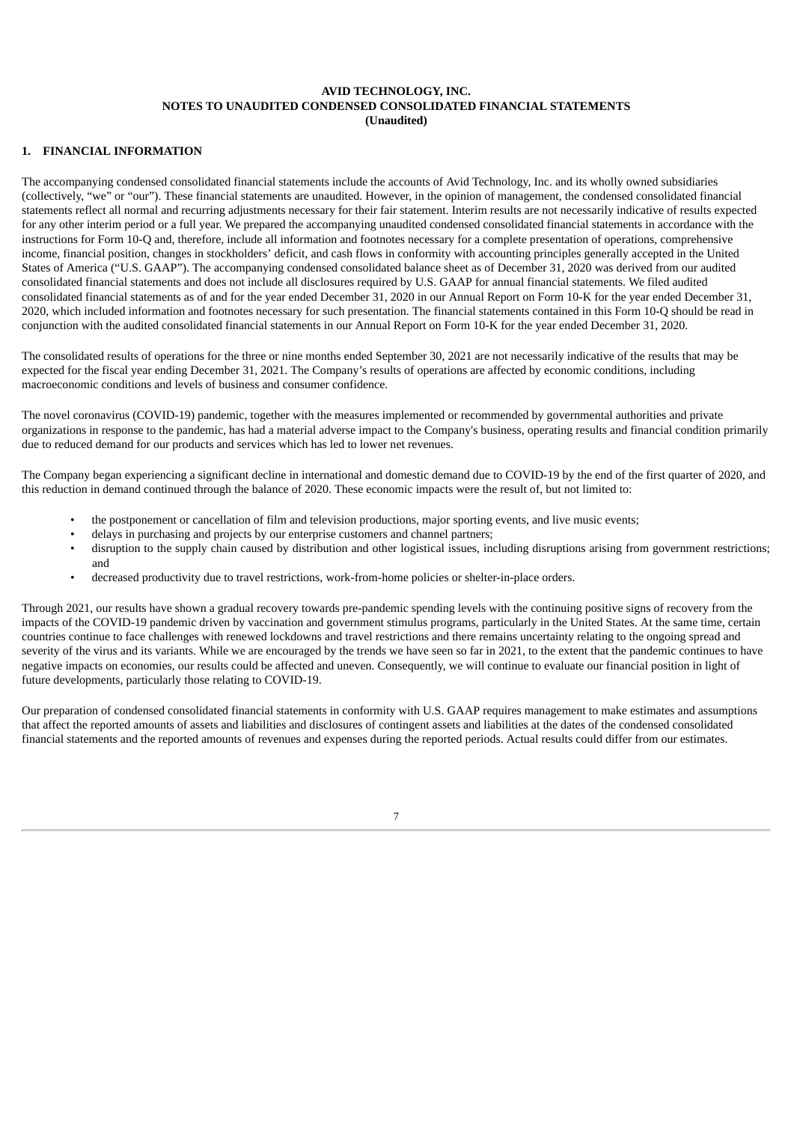### **AVID TECHNOLOGY, INC. NOTES TO UNAUDITED CONDENSED CONSOLIDATED FINANCIAL STATEMENTS (Unaudited)**

### **1. FINANCIAL INFORMATION**

The accompanying condensed consolidated financial statements include the accounts of Avid Technology, Inc. and its wholly owned subsidiaries (collectively, "we" or "our"). These financial statements are unaudited. However, in the opinion of management, the condensed consolidated financial statements reflect all normal and recurring adjustments necessary for their fair statement. Interim results are not necessarily indicative of results expected for any other interim period or a full year. We prepared the accompanying unaudited condensed consolidated financial statements in accordance with the instructions for Form 10-Q and, therefore, include all information and footnotes necessary for a complete presentation of operations, comprehensive income, financial position, changes in stockholders' deficit, and cash flows in conformity with accounting principles generally accepted in the United States of America ("U.S. GAAP"). The accompanying condensed consolidated balance sheet as of December 31, 2020 was derived from our audited consolidated financial statements and does not include all disclosures required by U.S. GAAP for annual financial statements. We filed audited consolidated financial statements as of and for the year ended December 31, 2020 in our Annual Report on Form 10-K for the year ended December 31, 2020, which included information and footnotes necessary for such presentation. The financial statements contained in this Form 10-Q should be read in conjunction with the audited consolidated financial statements in our Annual Report on Form 10-K for the year ended December 31, 2020.

The consolidated results of operations for the three or nine months ended September 30, 2021 are not necessarily indicative of the results that may be expected for the fiscal year ending December 31, 2021. The Company's results of operations are affected by economic conditions, including macroeconomic conditions and levels of business and consumer confidence.

The novel coronavirus (COVID-19) pandemic, together with the measures implemented or recommended by governmental authorities and private organizations in response to the pandemic, has had a material adverse impact to the Company's business, operating results and financial condition primarily due to reduced demand for our products and services which has led to lower net revenues.

The Company began experiencing a significant decline in international and domestic demand due to COVID-19 by the end of the first quarter of 2020, and this reduction in demand continued through the balance of 2020. These economic impacts were the result of, but not limited to:

- the postponement or cancellation of film and television productions, major sporting events, and live music events;
- delays in purchasing and projects by our enterprise customers and channel partners;
- disruption to the supply chain caused by distribution and other logistical issues, including disruptions arising from government restrictions; and
- decreased productivity due to travel restrictions, work-from-home policies or shelter-in-place orders.

Through 2021, our results have shown a gradual recovery towards pre-pandemic spending levels with the continuing positive signs of recovery from the impacts of the COVID-19 pandemic driven by vaccination and government stimulus programs, particularly in the United States. At the same time, certain countries continue to face challenges with renewed lockdowns and travel restrictions and there remains uncertainty relating to the ongoing spread and severity of the virus and its variants. While we are encouraged by the trends we have seen so far in 2021, to the extent that the pandemic continues to have negative impacts on economies, our results could be affected and uneven. Consequently, we will continue to evaluate our financial position in light of future developments, particularly those relating to COVID-19.

Our preparation of condensed consolidated financial statements in conformity with U.S. GAAP requires management to make estimates and assumptions that affect the reported amounts of assets and liabilities and disclosures of contingent assets and liabilities at the dates of the condensed consolidated financial statements and the reported amounts of revenues and expenses during the reported periods. Actual results could differ from our estimates.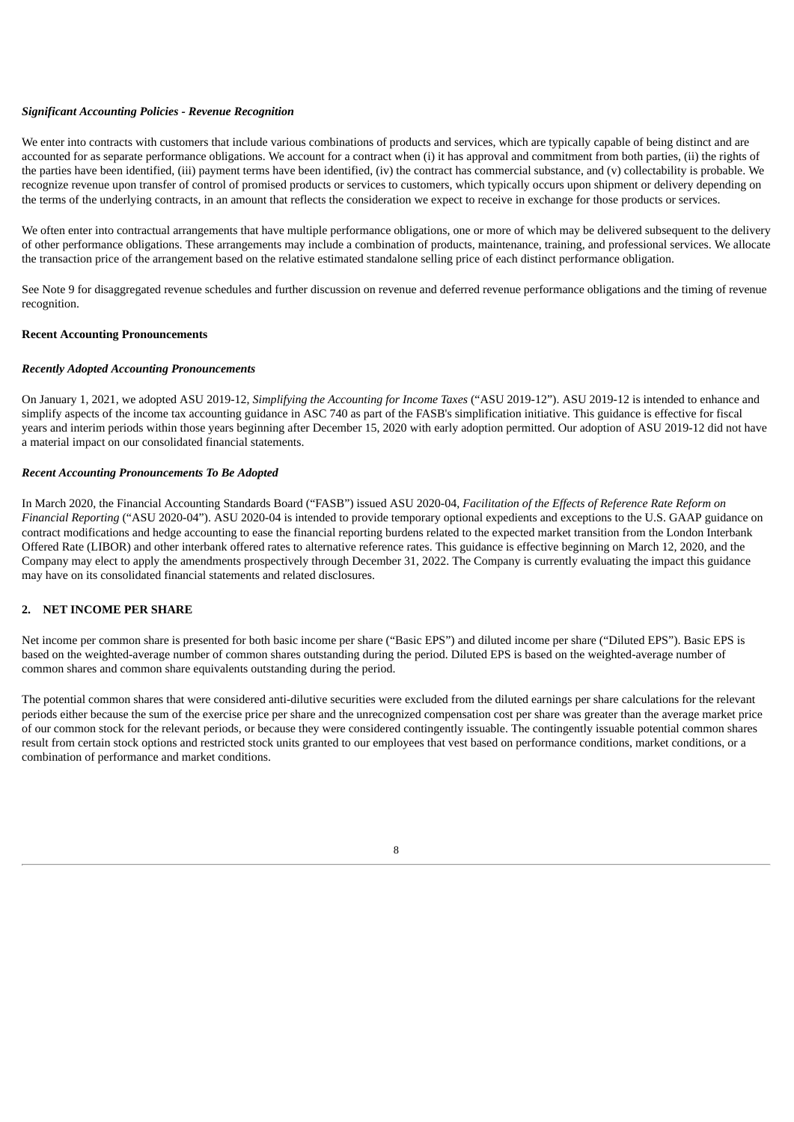#### *Significant Accounting Policies - Revenue Recognition*

We enter into contracts with customers that include various combinations of products and services, which are typically capable of being distinct and are accounted for as separate performance obligations. We account for a contract when (i) it has approval and commitment from both parties, (ii) the rights of the parties have been identified, (iii) payment terms have been identified, (iv) the contract has commercial substance, and (v) collectability is probable. We recognize revenue upon transfer of control of promised products or services to customers, which typically occurs upon shipment or delivery depending on the terms of the underlying contracts, in an amount that reflects the consideration we expect to receive in exchange for those products or services.

We often enter into contractual arrangements that have multiple performance obligations, one or more of which may be delivered subsequent to the delivery of other performance obligations. These arrangements may include a combination of products, maintenance, training, and professional services. We allocate the transaction price of the arrangement based on the relative estimated standalone selling price of each distinct performance obligation.

See Note 9 for disaggregated revenue schedules and further discussion on revenue and deferred revenue performance obligations and the timing of revenue recognition.

#### **Recent Accounting Pronouncements**

#### *Recently Adopted Accounting Pronouncements*

On January 1, 2021, we adopted ASU 2019-12, *Simplifying the Accounting for Income Taxes* ("ASU 2019-12"). ASU 2019-12 is intended to enhance and simplify aspects of the income tax accounting guidance in ASC 740 as part of the FASB's simplification initiative. This guidance is effective for fiscal years and interim periods within those years beginning after December 15, 2020 with early adoption permitted. Our adoption of ASU 2019-12 did not have a material impact on our consolidated financial statements.

#### *Recent Accounting Pronouncements To Be Adopted*

In March 2020, the Financial Accounting Standards Board ("FASB") issued ASU 2020-04, *Facilitation of the Effects of Reference Rate Reform on Financial Reporting* ("ASU 2020-04"). ASU 2020-04 is intended to provide temporary optional expedients and exceptions to the U.S. GAAP guidance on contract modifications and hedge accounting to ease the financial reporting burdens related to the expected market transition from the London Interbank Offered Rate (LIBOR) and other interbank offered rates to alternative reference rates. This guidance is effective beginning on March 12, 2020, and the Company may elect to apply the amendments prospectively through December 31, 2022. The Company is currently evaluating the impact this guidance may have on its consolidated financial statements and related disclosures.

### **2. NET INCOME PER SHARE**

Net income per common share is presented for both basic income per share ("Basic EPS") and diluted income per share ("Diluted EPS"). Basic EPS is based on the weighted-average number of common shares outstanding during the period. Diluted EPS is based on the weighted-average number of common shares and common share equivalents outstanding during the period.

The potential common shares that were considered anti-dilutive securities were excluded from the diluted earnings per share calculations for the relevant periods either because the sum of the exercise price per share and the unrecognized compensation cost per share was greater than the average market price of our common stock for the relevant periods, or because they were considered contingently issuable. The contingently issuable potential common shares result from certain stock options and restricted stock units granted to our employees that vest based on performance conditions, market conditions, or a combination of performance and market conditions.

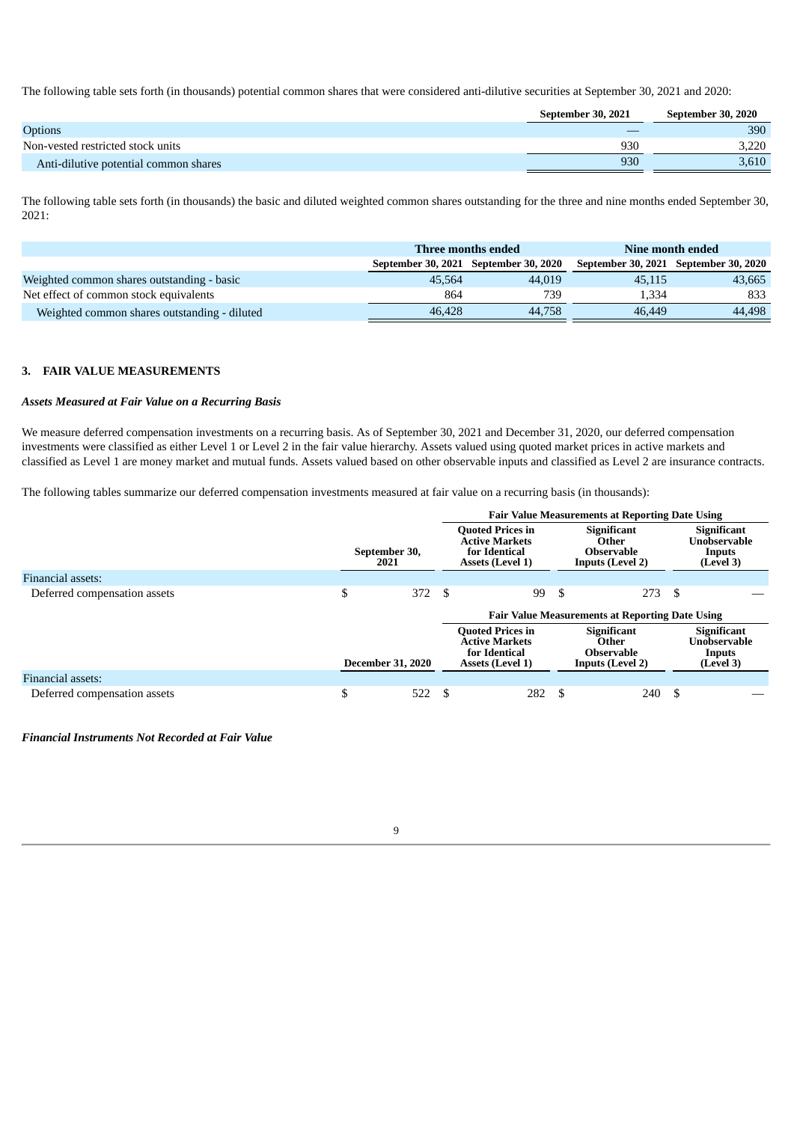The following table sets forth (in thousands) potential common shares that were considered anti-dilutive securities at September 30, 2021 and 2020:

|                                       | <b>September 30, 2021</b> | September 30, 2020 |
|---------------------------------------|---------------------------|--------------------|
| <b>Options</b>                        |                           | 390                |
| Non-vested restricted stock units     | 930                       | 3,220              |
| Anti-dilutive potential common shares | 930                       | 3,610              |

The following table sets forth (in thousands) the basic and diluted weighted common shares outstanding for the three and nine months ended September 30, 2021:

|                                              |        | Three months ended                    |                                       | Nine month ended |
|----------------------------------------------|--------|---------------------------------------|---------------------------------------|------------------|
|                                              |        | September 30, 2021 September 30, 2020 | September 30, 2021 September 30, 2020 |                  |
| Weighted common shares outstanding - basic   | 45.564 | 44,019                                | 45,115                                | 43,665           |
| Net effect of common stock equivalents       | 864    | 739                                   | 1.334                                 | 833              |
| Weighted common shares outstanding - diluted | 46,428 | 44,758                                | 46,449                                | 44.498           |

# **3. FAIR VALUE MEASUREMENTS**

# *Assets Measured at Fair Value on a Recurring Basis*

We measure deferred compensation investments on a recurring basis. As of September 30, 2021 and December 31, 2020, our deferred compensation investments were classified as either Level 1 or Level 2 in the fair value hierarchy. Assets valued using quoted market prices in active markets and classified as Level 1 are money market and mutual funds. Assets valued based on other observable inputs and classified as Level 2 are insurance contracts.

The following tables summarize our deferred compensation investments measured at fair value on a recurring basis (in thousands):

|                              |                          |     | <b>Fair Value Measurements at Reporting Date Using</b>                                                                                                                      |                                                                                              |      |                                                                             |                                                    |                                                                  |  |  |
|------------------------------|--------------------------|-----|-----------------------------------------------------------------------------------------------------------------------------------------------------------------------------|----------------------------------------------------------------------------------------------|------|-----------------------------------------------------------------------------|----------------------------------------------------|------------------------------------------------------------------|--|--|
|                              | September 30,<br>2021    |     |                                                                                                                                                                             | <b>Ouoted Prices in</b><br><b>Active Markets</b><br>for Identical<br><b>Assets (Level 1)</b> |      | <b>Significant</b><br>Other<br><b>Observable</b><br><b>Inputs (Level 2)</b> |                                                    | <b>Significant</b><br><b>Unobservable</b><br>Inputs<br>(Level 3) |  |  |
| Financial assets:            |                          |     |                                                                                                                                                                             |                                                                                              |      |                                                                             |                                                    |                                                                  |  |  |
| Deferred compensation assets | \$                       | 372 | S                                                                                                                                                                           | 99                                                                                           | - \$ | 273                                                                         | -S                                                 |                                                                  |  |  |
|                              |                          |     |                                                                                                                                                                             |                                                                                              |      | <b>Fair Value Measurements at Reporting Date Using</b>                      |                                                    |                                                                  |  |  |
|                              | <b>December 31, 2020</b> |     | <b>Significant</b><br><b>Ouoted Prices in</b><br><b>Active Markets</b><br>Other<br>for Identical<br><b>Observable</b><br><b>Assets (Level 1)</b><br><b>Inputs (Level 2)</b> |                                                                                              |      |                                                                             | Significant<br>Unobservable<br>Inputs<br>(Level 3) |                                                                  |  |  |
| Financial assets:            |                          |     |                                                                                                                                                                             |                                                                                              |      |                                                                             |                                                    |                                                                  |  |  |
| Deferred compensation assets | \$                       | 522 | -\$                                                                                                                                                                         | 282                                                                                          | - \$ | 240                                                                         | \$                                                 |                                                                  |  |  |

*Financial Instruments Not Recorded at Fair Value*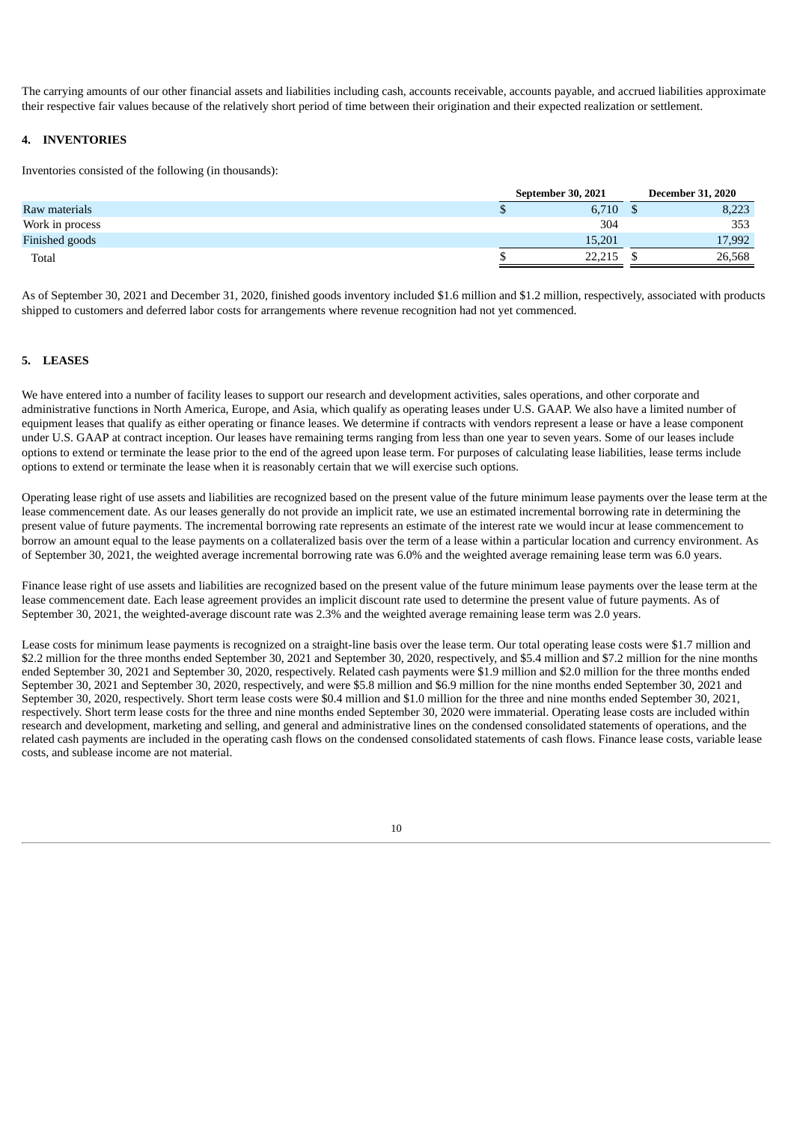The carrying amounts of our other financial assets and liabilities including cash, accounts receivable, accounts payable, and accrued liabilities approximate their respective fair values because of the relatively short period of time between their origination and their expected realization or settlement.

# **4. INVENTORIES**

Inventories consisted of the following (in thousands):

|                 | September 30, 2021 | <b>December 31, 2020</b> |
|-----------------|--------------------|--------------------------|
| Raw materials   | 6,710              | 8,223                    |
| Work in process | 304                | 353                      |
| Finished goods  | 15,201             | 17,992                   |
| Total           | 22,215             | 26,568                   |

As of September 30, 2021 and December 31, 2020, finished goods inventory included \$1.6 million and \$1.2 million, respectively, associated with products shipped to customers and deferred labor costs for arrangements where revenue recognition had not yet commenced.

# **5. LEASES**

We have entered into a number of facility leases to support our research and development activities, sales operations, and other corporate and administrative functions in North America, Europe, and Asia, which qualify as operating leases under U.S. GAAP. We also have a limited number of equipment leases that qualify as either operating or finance leases. We determine if contracts with vendors represent a lease or have a lease component under U.S. GAAP at contract inception. Our leases have remaining terms ranging from less than one year to seven years. Some of our leases include options to extend or terminate the lease prior to the end of the agreed upon lease term. For purposes of calculating lease liabilities, lease terms include options to extend or terminate the lease when it is reasonably certain that we will exercise such options.

Operating lease right of use assets and liabilities are recognized based on the present value of the future minimum lease payments over the lease term at the lease commencement date. As our leases generally do not provide an implicit rate, we use an estimated incremental borrowing rate in determining the present value of future payments. The incremental borrowing rate represents an estimate of the interest rate we would incur at lease commencement to borrow an amount equal to the lease payments on a collateralized basis over the term of a lease within a particular location and currency environment. As of September 30, 2021, the weighted average incremental borrowing rate was 6.0% and the weighted average remaining lease term was 6.0 years.

Finance lease right of use assets and liabilities are recognized based on the present value of the future minimum lease payments over the lease term at the lease commencement date. Each lease agreement provides an implicit discount rate used to determine the present value of future payments. As of September 30, 2021, the weighted-average discount rate was 2.3% and the weighted average remaining lease term was 2.0 years.

Lease costs for minimum lease payments is recognized on a straight-line basis over the lease term. Our total operating lease costs were \$1.7 million and \$2.2 million for the three months ended September 30, 2021 and September 30, 2020, respectively, and \$5.4 million and \$7.2 million for the nine months ended September 30, 2021 and September 30, 2020, respectively. Related cash payments were \$1.9 million and \$2.0 million for the three months ended September 30, 2021 and September 30, 2020, respectively, and were \$5.8 million and \$6.9 million for the nine months ended September 30, 2021 and September 30, 2020, respectively. Short term lease costs were \$0.4 million and \$1.0 million for the three and nine months ended September 30, 2021, respectively. Short term lease costs for the three and nine months ended September 30, 2020 were immaterial. Operating lease costs are included within research and development, marketing and selling, and general and administrative lines on the condensed consolidated statements of operations, and the related cash payments are included in the operating cash flows on the condensed consolidated statements of cash flows. Finance lease costs, variable lease costs, and sublease income are not material.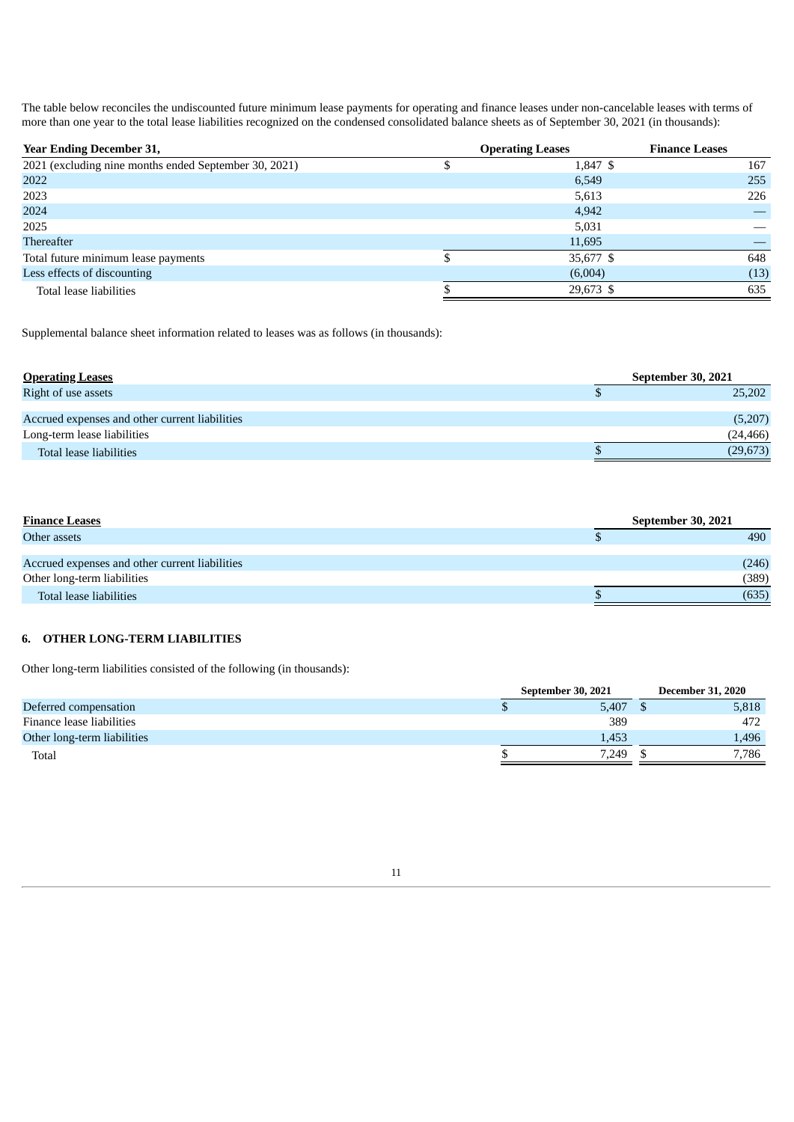The table below reconciles the undiscounted future minimum lease payments for operating and finance leases under non-cancelable leases with terms of more than one year to the total lease liabilities recognized on the condensed consolidated balance sheets as of September 30, 2021 (in thousands):

| <b>Year Ending December 31,</b>                       | <b>Operating Leases</b> | <b>Finance Leases</b> |
|-------------------------------------------------------|-------------------------|-----------------------|
| 2021 (excluding nine months ended September 30, 2021) | 1,847 \$                | 167                   |
| 2022                                                  | 6,549                   | 255                   |
| 2023                                                  | 5,613                   | 226                   |
| 2024                                                  | 4.942                   |                       |
| 2025                                                  | 5,031                   |                       |
| <b>Thereafter</b>                                     | 11,695                  |                       |
| Total future minimum lease payments                   | 35,677 \$               | 648                   |
| Less effects of discounting                           | (6,004)                 | (13)                  |
| Total lease liabilities                               | 29,673 \$               | 635                   |

Supplemental balance sheet information related to leases was as follows (in thousands):

| <b>September 30, 2021</b> |
|---------------------------|
| 25,202                    |
|                           |
| (5,207)                   |
| (24, 466)                 |
| (29, 673)                 |
|                           |

| <b>Finance Leases</b>                          | September 30, 2021 |
|------------------------------------------------|--------------------|
| Other assets                                   | 490                |
|                                                |                    |
| Accrued expenses and other current liabilities | (246)              |
| Other long-term liabilities                    | (389)              |
| Total lease liabilities                        | (635)              |

# **6. OTHER LONG-TERM LIABILITIES**

Other long-term liabilities consisted of the following (in thousands):

|                             |   | September 30, 2021 |  | <b>December 31, 2020</b> |
|-----------------------------|---|--------------------|--|--------------------------|
| Deferred compensation       | ω | 5,407              |  | 5,818                    |
| Finance lease liabilities   |   | 389                |  | 472                      |
| Other long-term liabilities |   | 1.453              |  | l,496                    |
| Total                       |   | 7.249              |  | 7,786                    |

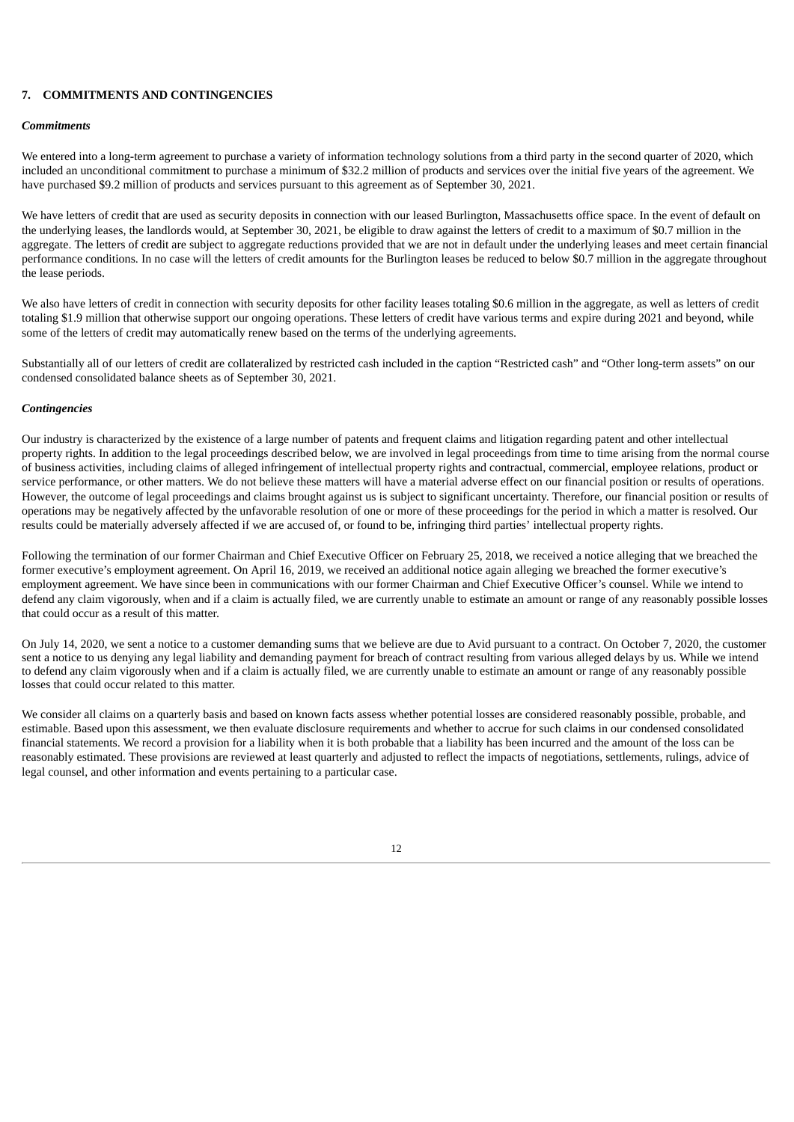# **7. COMMITMENTS AND CONTINGENCIES**

#### *Commitments*

We entered into a long-term agreement to purchase a variety of information technology solutions from a third party in the second quarter of 2020, which included an unconditional commitment to purchase a minimum of \$32.2 million of products and services over the initial five years of the agreement. We have purchased \$9.2 million of products and services pursuant to this agreement as of September 30, 2021.

We have letters of credit that are used as security deposits in connection with our leased Burlington, Massachusetts office space. In the event of default on the underlying leases, the landlords would, at September 30, 2021, be eligible to draw against the letters of credit to a maximum of \$0.7 million in the aggregate. The letters of credit are subject to aggregate reductions provided that we are not in default under the underlying leases and meet certain financial performance conditions. In no case will the letters of credit amounts for the Burlington leases be reduced to below \$0.7 million in the aggregate throughout the lease periods.

We also have letters of credit in connection with security deposits for other facility leases totaling \$0.6 million in the aggregate, as well as letters of credit totaling \$1.9 million that otherwise support our ongoing operations. These letters of credit have various terms and expire during 2021 and beyond, while some of the letters of credit may automatically renew based on the terms of the underlying agreements.

Substantially all of our letters of credit are collateralized by restricted cash included in the caption "Restricted cash" and "Other long-term assets" on our condensed consolidated balance sheets as of September 30, 2021.

### *Contingencies*

Our industry is characterized by the existence of a large number of patents and frequent claims and litigation regarding patent and other intellectual property rights. In addition to the legal proceedings described below, we are involved in legal proceedings from time to time arising from the normal course of business activities, including claims of alleged infringement of intellectual property rights and contractual, commercial, employee relations, product or service performance, or other matters. We do not believe these matters will have a material adverse effect on our financial position or results of operations. However, the outcome of legal proceedings and claims brought against us is subject to significant uncertainty. Therefore, our financial position or results of operations may be negatively affected by the unfavorable resolution of one or more of these proceedings for the period in which a matter is resolved. Our results could be materially adversely affected if we are accused of, or found to be, infringing third parties' intellectual property rights.

Following the termination of our former Chairman and Chief Executive Officer on February 25, 2018, we received a notice alleging that we breached the former executive's employment agreement. On April 16, 2019, we received an additional notice again alleging we breached the former executive's employment agreement. We have since been in communications with our former Chairman and Chief Executive Officer's counsel. While we intend to defend any claim vigorously, when and if a claim is actually filed, we are currently unable to estimate an amount or range of any reasonably possible losses that could occur as a result of this matter.

On July 14, 2020, we sent a notice to a customer demanding sums that we believe are due to Avid pursuant to a contract. On October 7, 2020, the customer sent a notice to us denying any legal liability and demanding payment for breach of contract resulting from various alleged delays by us. While we intend to defend any claim vigorously when and if a claim is actually filed, we are currently unable to estimate an amount or range of any reasonably possible losses that could occur related to this matter.

We consider all claims on a quarterly basis and based on known facts assess whether potential losses are considered reasonably possible, probable, and estimable. Based upon this assessment, we then evaluate disclosure requirements and whether to accrue for such claims in our condensed consolidated financial statements. We record a provision for a liability when it is both probable that a liability has been incurred and the amount of the loss can be reasonably estimated. These provisions are reviewed at least quarterly and adjusted to reflect the impacts of negotiations, settlements, rulings, advice of legal counsel, and other information and events pertaining to a particular case.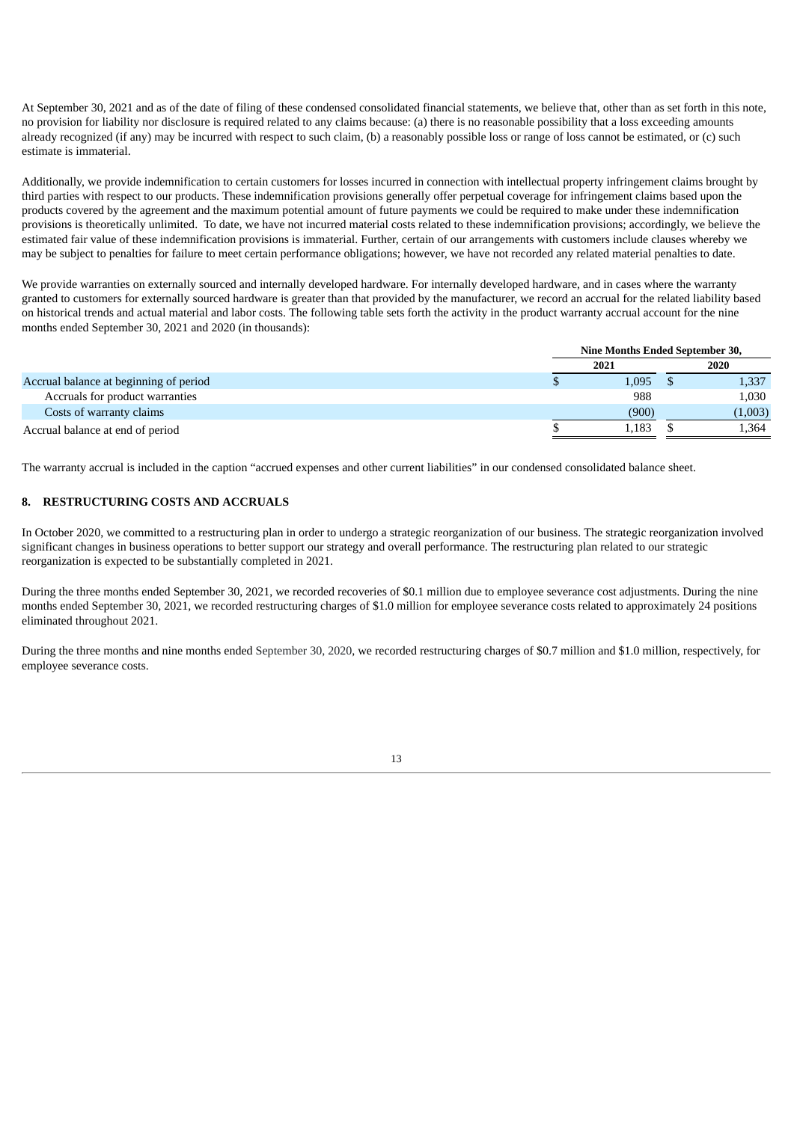At September 30, 2021 and as of the date of filing of these condensed consolidated financial statements, we believe that, other than as set forth in this note, no provision for liability nor disclosure is required related to any claims because: (a) there is no reasonable possibility that a loss exceeding amounts already recognized (if any) may be incurred with respect to such claim, (b) a reasonably possible loss or range of loss cannot be estimated, or (c) such estimate is immaterial.

Additionally, we provide indemnification to certain customers for losses incurred in connection with intellectual property infringement claims brought by third parties with respect to our products. These indemnification provisions generally offer perpetual coverage for infringement claims based upon the products covered by the agreement and the maximum potential amount of future payments we could be required to make under these indemnification provisions is theoretically unlimited. To date, we have not incurred material costs related to these indemnification provisions; accordingly, we believe the estimated fair value of these indemnification provisions is immaterial. Further, certain of our arrangements with customers include clauses whereby we may be subject to penalties for failure to meet certain performance obligations; however, we have not recorded any related material penalties to date.

We provide warranties on externally sourced and internally developed hardware. For internally developed hardware, and in cases where the warranty granted to customers for externally sourced hardware is greater than that provided by the manufacturer, we record an accrual for the related liability based on historical trends and actual material and labor costs. The following table sets forth the activity in the product warranty accrual account for the nine months ended September 30, 2021 and 2020 (in thousands):

|                                        | Nine Months Ended September 30, |  |         |  |  |
|----------------------------------------|---------------------------------|--|---------|--|--|
|                                        | 2021                            |  | 2020    |  |  |
| Accrual balance at beginning of period | 1.095                           |  | 1,337   |  |  |
| Accruals for product warranties        | 988                             |  | 1,030   |  |  |
| Costs of warranty claims               | (900)                           |  | (1,003) |  |  |
| Accrual balance at end of period       | 1.183                           |  | 1,364   |  |  |

The warranty accrual is included in the caption "accrued expenses and other current liabilities" in our condensed consolidated balance sheet.

# **8. RESTRUCTURING COSTS AND ACCRUALS**

In October 2020, we committed to a restructuring plan in order to undergo a strategic reorganization of our business. The strategic reorganization involved significant changes in business operations to better support our strategy and overall performance. The restructuring plan related to our strategic reorganization is expected to be substantially completed in 2021.

During the three months ended September 30, 2021, we recorded recoveries of \$0.1 million due to employee severance cost adjustments. During the nine months ended September 30, 2021, we recorded restructuring charges of \$1.0 million for employee severance costs related to approximately 24 positions eliminated throughout 2021.

During the three months and nine months ended September 30, 2020, we recorded restructuring charges of \$0.7 million and \$1.0 million, respectively, for employee severance costs.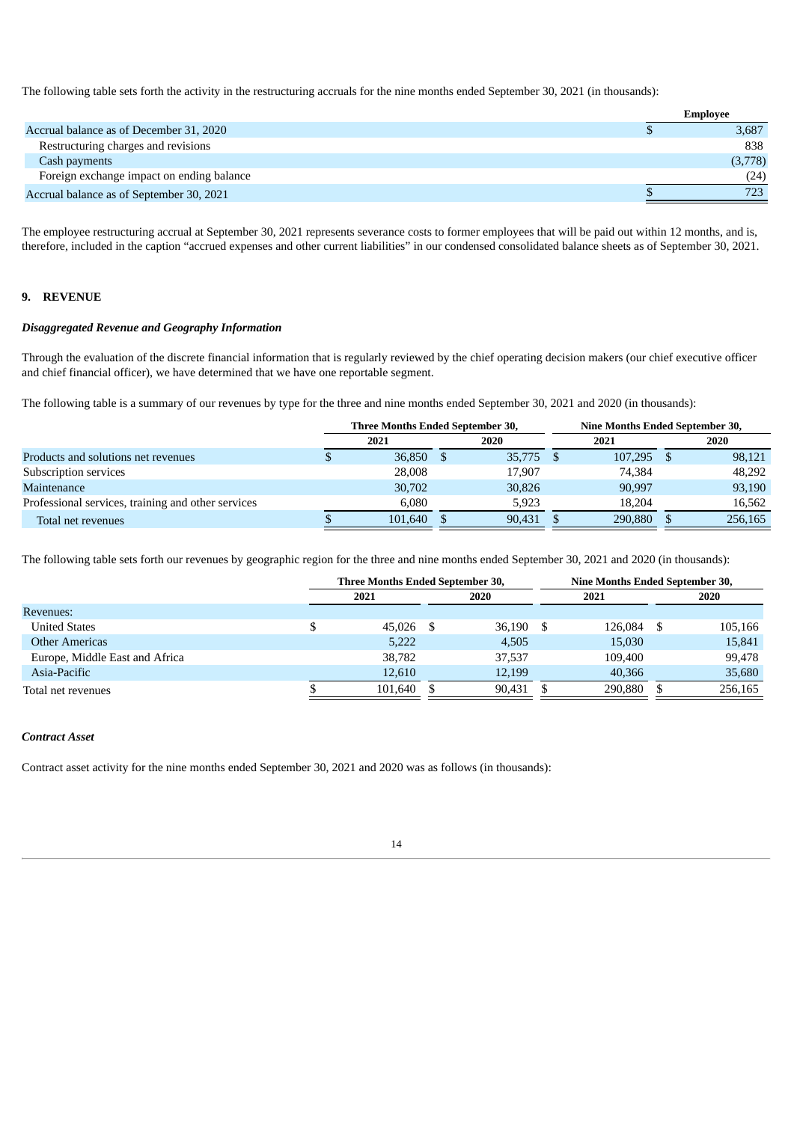The following table sets forth the activity in the restructuring accruals for the nine months ended September 30, 2021 (in thousands):

|                                           | Employee |
|-------------------------------------------|----------|
| Accrual balance as of December 31, 2020   | 3,687    |
| Restructuring charges and revisions       | 838      |
| Cash payments                             | (3,778)  |
| Foreign exchange impact on ending balance | (24)     |
| Accrual balance as of September 30, 2021  | 723      |

The employee restructuring accrual at September 30, 2021 represents severance costs to former employees that will be paid out within 12 months, and is, therefore, included in the caption "accrued expenses and other current liabilities" in our condensed consolidated balance sheets as of September 30, 2021.

# **9. REVENUE**

### *Disaggregated Revenue and Geography Information*

Through the evaluation of the discrete financial information that is regularly reviewed by the chief operating decision makers (our chief executive officer and chief financial officer), we have determined that we have one reportable segment.

The following table is a summary of our revenues by type for the three and nine months ended September 30, 2021 and 2020 (in thousands):

|                                                    | Three Months Ended September 30, |         |  |        | Nine Months Ended September 30, |         |  |         |
|----------------------------------------------------|----------------------------------|---------|--|--------|---------------------------------|---------|--|---------|
|                                                    |                                  | 2021    |  | 2020   |                                 | 2021    |  | 2020    |
| Products and solutions net revenues                |                                  | 36,850  |  | 35.775 |                                 | 107,295 |  | 98,121  |
| Subscription services                              |                                  | 28,008  |  | 17,907 |                                 | 74.384  |  | 48,292  |
| Maintenance                                        |                                  | 30,702  |  | 30,826 |                                 | 90,997  |  | 93,190  |
| Professional services, training and other services |                                  | 6.080   |  | 5.923  |                                 | 18.204  |  | 16,562  |
| Total net revenues                                 |                                  | 101.640 |  | 90,431 |                                 | 290,880 |  | 256,165 |

The following table sets forth our revenues by geographic region for the three and nine months ended September 30, 2021 and 2020 (in thousands):

|                                | Three Months Ended September 30, |                      |  |           | <b>Nine Months Ended September 30,</b> |         |  |         |  |  |  |      |
|--------------------------------|----------------------------------|----------------------|--|-----------|----------------------------------------|---------|--|---------|--|--|--|------|
|                                |                                  | 2021<br>2021<br>2020 |  |           |                                        |         |  |         |  |  |  | 2020 |
| Revenues:                      |                                  |                      |  |           |                                        |         |  |         |  |  |  |      |
| <b>United States</b>           | ۰D                               | 45.026               |  | 36,190 \$ |                                        | 126,084 |  | 105,166 |  |  |  |      |
| <b>Other Americas</b>          |                                  | 5,222                |  | 4,505     |                                        | 15,030  |  | 15,841  |  |  |  |      |
| Europe, Middle East and Africa |                                  | 38,782               |  | 37,537    |                                        | 109,400 |  | 99,478  |  |  |  |      |
| Asia-Pacific                   |                                  | 12.610               |  | 12.199    |                                        | 40.366  |  | 35,680  |  |  |  |      |
| Total net revenues             |                                  | 101.640              |  | 90,431    |                                        | 290,880 |  | 256,165 |  |  |  |      |
|                                |                                  |                      |  |           |                                        |         |  |         |  |  |  |      |

# *Contract Asset*

Contract asset activity for the nine months ended September 30, 2021 and 2020 was as follows (in thousands):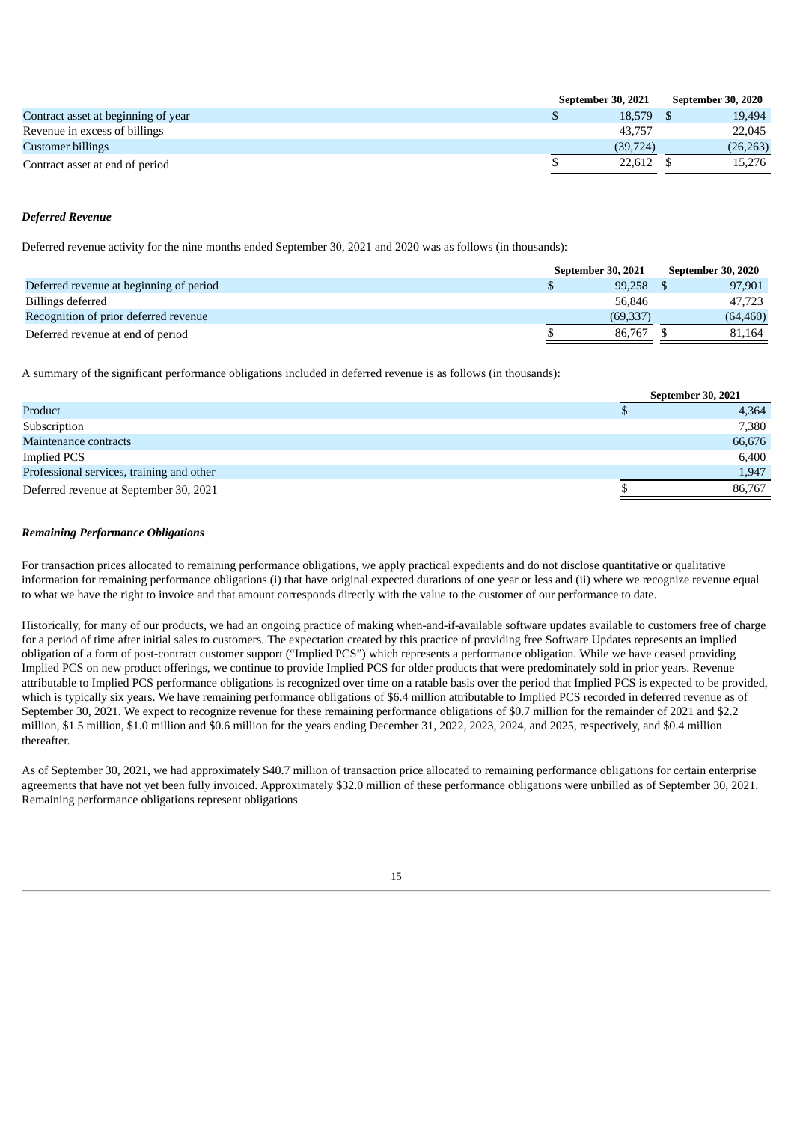|                                     | <b>September 30, 2021</b> | September 30, 2020 |
|-------------------------------------|---------------------------|--------------------|
| Contract asset at beginning of year | 18.579                    | 19,494             |
| Revenue in excess of billings       | 43.757                    | 22,045             |
| <b>Customer billings</b>            | (39, 724)                 | (26, 263)          |
| Contract asset at end of period     | 22.612                    | 15.276             |
|                                     |                           |                    |

### *Deferred Revenue*

Deferred revenue activity for the nine months ended September 30, 2021 and 2020 was as follows (in thousands):

|                                         | September 30, 2021 | September 30, 2020 |
|-----------------------------------------|--------------------|--------------------|
| Deferred revenue at beginning of period | 99.258             | 97.901             |
| Billings deferred                       | 56.846             | 47.723             |
| Recognition of prior deferred revenue   | (69, 337)          | (64, 460)          |
| Deferred revenue at end of period       | 86,767             | 81.164             |

A summary of the significant performance obligations included in deferred revenue is as follows (in thousands):

|                                           | <b>September 30, 2021</b> |
|-------------------------------------------|---------------------------|
| Product                                   | 4,364                     |
| Subscription                              | 7,380                     |
| Maintenance contracts                     | 66,676                    |
| Implied PCS                               | 6,400                     |
| Professional services, training and other | 1,947                     |
| Deferred revenue at September 30, 2021    | 86,767                    |

#### *Remaining Performance Obligations*

For transaction prices allocated to remaining performance obligations, we apply practical expedients and do not disclose quantitative or qualitative information for remaining performance obligations (i) that have original expected durations of one year or less and (ii) where we recognize revenue equal to what we have the right to invoice and that amount corresponds directly with the value to the customer of our performance to date.

Historically, for many of our products, we had an ongoing practice of making when-and-if-available software updates available to customers free of charge for a period of time after initial sales to customers. The expectation created by this practice of providing free Software Updates represents an implied obligation of a form of post-contract customer support ("Implied PCS") which represents a performance obligation. While we have ceased providing Implied PCS on new product offerings, we continue to provide Implied PCS for older products that were predominately sold in prior years. Revenue attributable to Implied PCS performance obligations is recognized over time on a ratable basis over the period that Implied PCS is expected to be provided, which is typically six years. We have remaining performance obligations of \$6.4 million attributable to Implied PCS recorded in deferred revenue as of September 30, 2021. We expect to recognize revenue for these remaining performance obligations of \$0.7 million for the remainder of 2021 and \$2.2 million, \$1.5 million, \$1.0 million and \$0.6 million for the years ending December 31, 2022, 2023, 2024, and 2025, respectively, and \$0.4 million thereafter.

As of September 30, 2021, we had approximately \$40.7 million of transaction price allocated to remaining performance obligations for certain enterprise agreements that have not yet been fully invoiced. Approximately \$32.0 million of these performance obligations were unbilled as of September 30, 2021. Remaining performance obligations represent obligations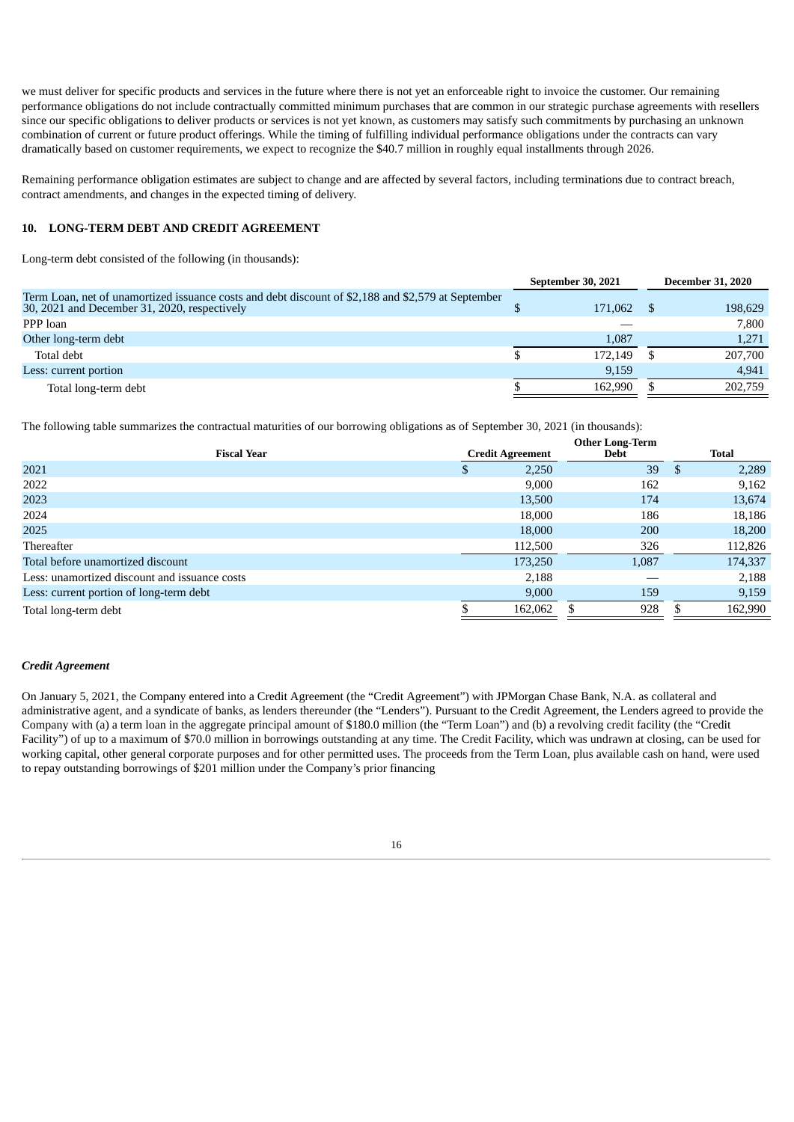we must deliver for specific products and services in the future where there is not yet an enforceable right to invoice the customer. Our remaining performance obligations do not include contractually committed minimum purchases that are common in our strategic purchase agreements with resellers since our specific obligations to deliver products or services is not yet known, as customers may satisfy such commitments by purchasing an unknown combination of current or future product offerings. While the timing of fulfilling individual performance obligations under the contracts can vary dramatically based on customer requirements, we expect to recognize the \$40.7 million in roughly equal installments through 2026.

Remaining performance obligation estimates are subject to change and are affected by several factors, including terminations due to contract breach, contract amendments, and changes in the expected timing of delivery.

# **10. LONG-TERM DEBT AND CREDIT AGREEMENT**

Long-term debt consisted of the following (in thousands):

|                                                                                                                                                    | September 30, 2021 | <b>December 31, 2020</b> |
|----------------------------------------------------------------------------------------------------------------------------------------------------|--------------------|--------------------------|
| Term Loan, net of unamortized issuance costs and debt discount of \$2,188 and \$2,579 at September<br>30, 2021 and December 31, 2020, respectively | 171,062            | 198,629                  |
| PPP loan                                                                                                                                           |                    | 7,800                    |
| Other long-term debt                                                                                                                               | 1.087              | 1,271                    |
| Total debt                                                                                                                                         | 172,149            | 207,700                  |
| Less: current portion                                                                                                                              | 9,159              | 4,941                    |
| Total long-term debt                                                                                                                               | 162,990            | 202,759                  |

The following table summarizes the contractual maturities of our borrowing obligations as of September 30, 2021 (in thousands):

|                                               |                         | <b>Other Long-Term</b> |      |              |
|-----------------------------------------------|-------------------------|------------------------|------|--------------|
| <b>Fiscal Year</b>                            | <b>Credit Agreement</b> | Debt                   |      | <b>Total</b> |
| 2021                                          | \$<br>2,250             | 39                     | - \$ | 2,289        |
| 2022                                          | 9,000                   | 162                    |      | 9,162        |
| 2023                                          | 13,500                  | 174                    |      | 13,674       |
| 2024                                          | 18,000                  | 186                    |      | 18,186       |
| 2025                                          | 18,000                  | 200                    |      | 18,200       |
| Thereafter                                    | 112,500                 | 326                    |      | 112,826      |
| Total before unamortized discount             | 173,250                 | 1,087                  |      | 174,337      |
| Less: unamortized discount and issuance costs | 2,188                   |                        |      | 2,188        |
| Less: current portion of long-term debt       | 9,000                   | 159                    |      | 9,159        |
| Total long-term debt                          | 162,062                 | 928                    |      | 162,990      |
|                                               |                         |                        |      |              |

#### *Credit Agreement*

On January 5, 2021, the Company entered into a Credit Agreement (the "Credit Agreement") with JPMorgan Chase Bank, N.A. as collateral and administrative agent, and a syndicate of banks, as lenders thereunder (the "Lenders"). Pursuant to the Credit Agreement, the Lenders agreed to provide the Company with (a) a term loan in the aggregate principal amount of \$180.0 million (the "Term Loan") and (b) a revolving credit facility (the "Credit Facility") of up to a maximum of \$70.0 million in borrowings outstanding at any time. The Credit Facility, which was undrawn at closing, can be used for working capital, other general corporate purposes and for other permitted uses. The proceeds from the Term Loan, plus available cash on hand, were used to repay outstanding borrowings of \$201 million under the Company's prior financing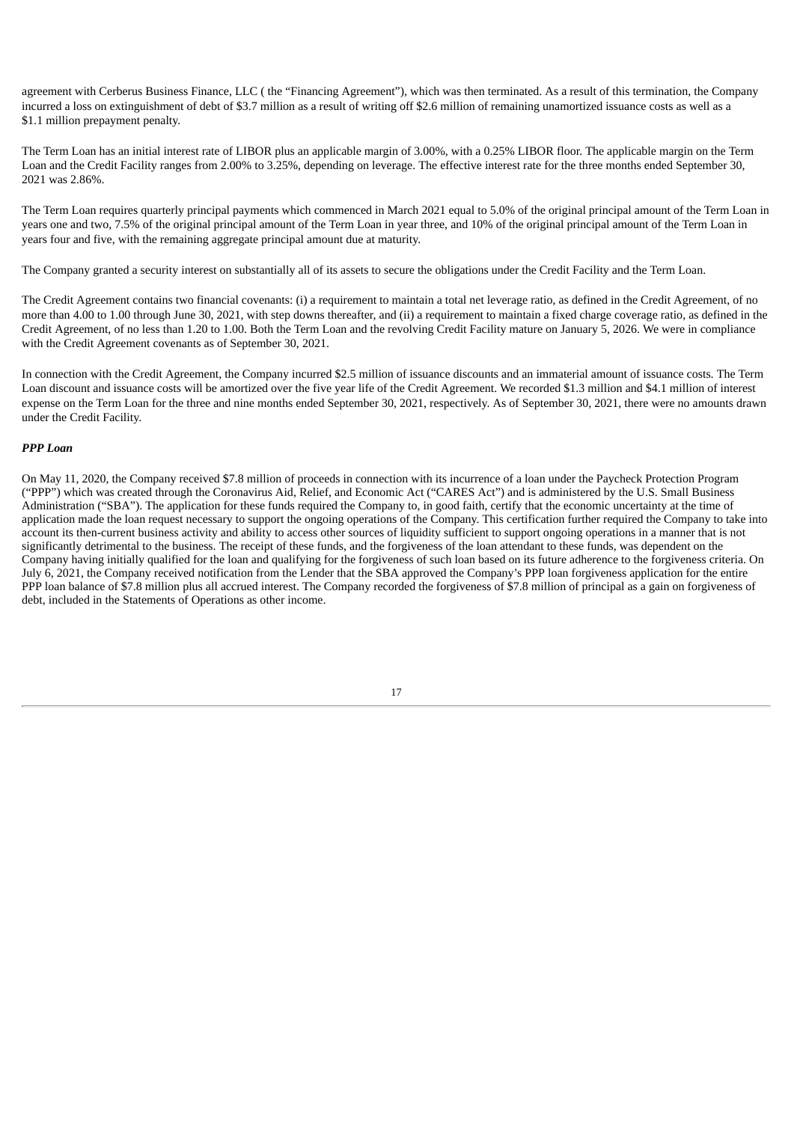agreement with Cerberus Business Finance, LLC ( the "Financing Agreement"), which was then terminated. As a result of this termination, the Company incurred a loss on extinguishment of debt of \$3.7 million as a result of writing off \$2.6 million of remaining unamortized issuance costs as well as a \$1.1 million prepayment penalty.

The Term Loan has an initial interest rate of LIBOR plus an applicable margin of 3.00%, with a 0.25% LIBOR floor. The applicable margin on the Term Loan and the Credit Facility ranges from 2.00% to 3.25%, depending on leverage. The effective interest rate for the three months ended September 30, 2021 was 2.86%.

The Term Loan requires quarterly principal payments which commenced in March 2021 equal to 5.0% of the original principal amount of the Term Loan in years one and two, 7.5% of the original principal amount of the Term Loan in year three, and 10% of the original principal amount of the Term Loan in years four and five, with the remaining aggregate principal amount due at maturity.

The Company granted a security interest on substantially all of its assets to secure the obligations under the Credit Facility and the Term Loan.

The Credit Agreement contains two financial covenants: (i) a requirement to maintain a total net leverage ratio, as defined in the Credit Agreement, of no more than 4.00 to 1.00 through June 30, 2021, with step downs thereafter, and (ii) a requirement to maintain a fixed charge coverage ratio, as defined in the Credit Agreement, of no less than 1.20 to 1.00. Both the Term Loan and the revolving Credit Facility mature on January 5, 2026. We were in compliance with the Credit Agreement covenants as of September 30, 2021.

In connection with the Credit Agreement, the Company incurred \$2.5 million of issuance discounts and an immaterial amount of issuance costs. The Term Loan discount and issuance costs will be amortized over the five year life of the Credit Agreement. We recorded \$1.3 million and \$4.1 million of interest expense on the Term Loan for the three and nine months ended September 30, 2021, respectively. As of September 30, 2021, there were no amounts drawn under the Credit Facility.

#### *PPP Loan*

On May 11, 2020, the Company received \$7.8 million of proceeds in connection with its incurrence of a loan under the Paycheck Protection Program ("PPP") which was created through the Coronavirus Aid, Relief, and Economic Act ("CARES Act") and is administered by the U.S. Small Business Administration ("SBA"). The application for these funds required the Company to, in good faith, certify that the economic uncertainty at the time of application made the loan request necessary to support the ongoing operations of the Company. This certification further required the Company to take into account its then-current business activity and ability to access other sources of liquidity sufficient to support ongoing operations in a manner that is not significantly detrimental to the business. The receipt of these funds, and the forgiveness of the loan attendant to these funds, was dependent on the Company having initially qualified for the loan and qualifying for the forgiveness of such loan based on its future adherence to the forgiveness criteria. On July 6, 2021, the Company received notification from the Lender that the SBA approved the Company's PPP loan forgiveness application for the entire PPP loan balance of \$7.8 million plus all accrued interest. The Company recorded the forgiveness of \$7.8 million of principal as a gain on forgiveness of debt, included in the Statements of Operations as other income.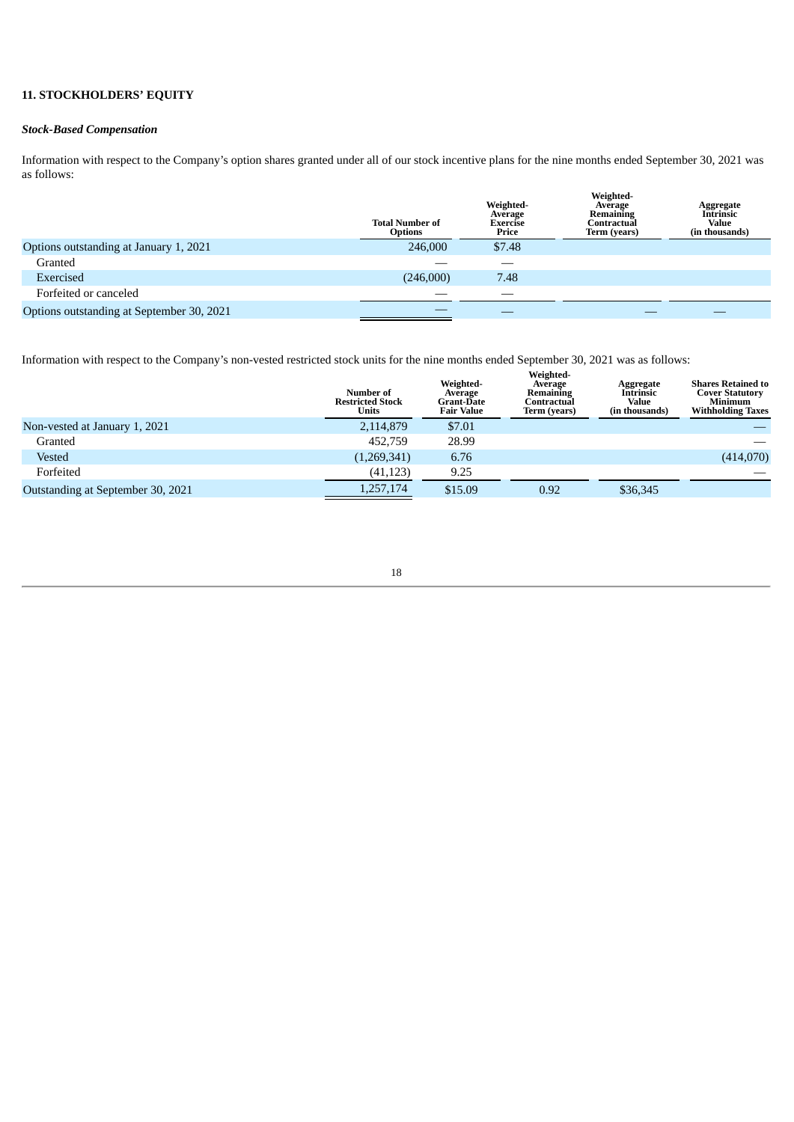# **11. STOCKHOLDERS' EQUITY**

# *Stock-Based Compensation*

Information with respect to the Company's option shares granted under all of our stock incentive plans for the nine months ended September 30, 2021 was as follows:

|                                           | <b>Total Number of</b><br><b>Options</b> | Weighted-<br>Average<br><b>Exercise</b><br>Price | Weighted-<br>Average<br>Remaining<br>Contractual<br>Term (years) | Aggregate<br>Intrinsic<br>Value<br>(in thousands) |
|-------------------------------------------|------------------------------------------|--------------------------------------------------|------------------------------------------------------------------|---------------------------------------------------|
| Options outstanding at January 1, 2021    | 246,000                                  | \$7.48                                           |                                                                  |                                                   |
| Granted                                   |                                          | __                                               |                                                                  |                                                   |
| Exercised                                 | (246,000)                                | 7.48                                             |                                                                  |                                                   |
| Forfeited or canceled                     |                                          | __                                               |                                                                  |                                                   |
| Options outstanding at September 30, 2021 |                                          |                                                  |                                                                  |                                                   |

Information with respect to the Company's non-vested restricted stock units for the nine months ended September 30, 2021 was as follows:

| Number of<br><b>Restricted Stock</b><br>Units | Weighted-<br>Average<br>Grant-Date<br><b>Fair Value</b> | Average<br>Remaining<br>Contractual<br>Term (vears) | Aggregate<br>Intrinsic<br>Value<br>(in thousands) | <b>Shares Retained to</b><br><b>Cover Statutory</b><br><b>Minimum</b><br><b>Withholding Taxes</b> |
|-----------------------------------------------|---------------------------------------------------------|-----------------------------------------------------|---------------------------------------------------|---------------------------------------------------------------------------------------------------|
| 2,114,879                                     | \$7.01                                                  |                                                     |                                                   |                                                                                                   |
| 452.759                                       | 28.99                                                   |                                                     |                                                   |                                                                                                   |
| (1,269,341)                                   | 6.76                                                    |                                                     |                                                   | (414,070)                                                                                         |
| (41, 123)                                     | 9.25                                                    |                                                     |                                                   |                                                                                                   |
| 1,257,174                                     | \$15.09                                                 | 0.92                                                | \$36,345                                          |                                                                                                   |
|                                               |                                                         |                                                     | Weighted-                                         |                                                                                                   |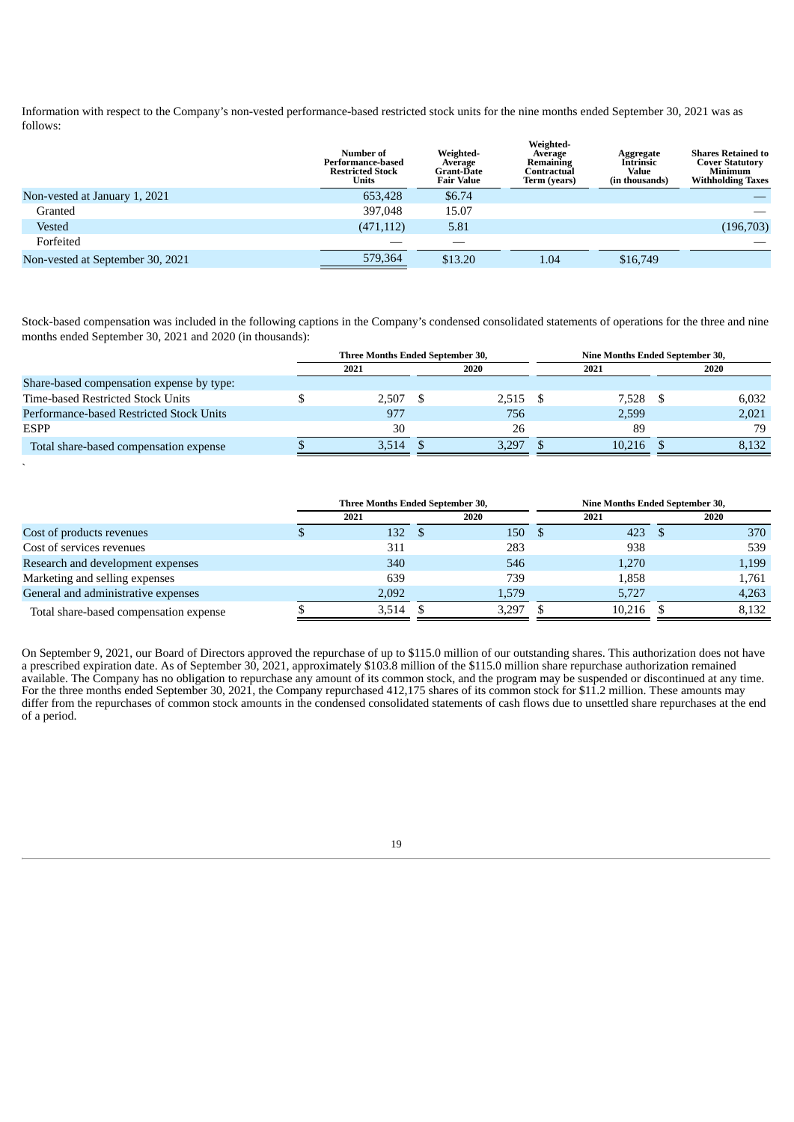Information with respect to the Company's non-vested performance-based restricted stock units for the nine months ended September 30, 2021 was as follows:

|                                  | Number of<br>Performance-based<br><b>Restricted Stock</b><br><b>Units</b> | Weighted-<br>Average<br>Grant-Date<br><b>Fair Value</b> | Weighted-<br>Average<br>Remaining<br>Contractual<br>Term (vears) | Aggregate<br><b>Intrinsic</b><br>Value<br>(in thousands) | <b>Shares Retained to</b><br><b>Cover Statutory</b><br><b>Minimum</b><br><b>Withholding Taxes</b> |
|----------------------------------|---------------------------------------------------------------------------|---------------------------------------------------------|------------------------------------------------------------------|----------------------------------------------------------|---------------------------------------------------------------------------------------------------|
| Non-vested at January 1, 2021    | 653,428                                                                   | \$6.74                                                  |                                                                  |                                                          |                                                                                                   |
| Granted                          | 397,048                                                                   | 15.07                                                   |                                                                  |                                                          |                                                                                                   |
| Vested                           | (471, 112)                                                                | 5.81                                                    |                                                                  |                                                          | (196,703)                                                                                         |
| Forfeited                        |                                                                           |                                                         |                                                                  |                                                          |                                                                                                   |
| Non-vested at September 30, 2021 | 579,364                                                                   | \$13.20                                                 | 1.04                                                             | \$16,749                                                 |                                                                                                   |

Stock-based compensation was included in the following captions in the Company's condensed consolidated statements of operations for the three and nine months ended September 30, 2021 and 2020 (in thousands):

|                                           | Three Months Ended September 30, |        |  |            |  | Nine Months Ended September 30, |  |       |  |
|-------------------------------------------|----------------------------------|--------|--|------------|--|---------------------------------|--|-------|--|
|                                           |                                  | 2021   |  | 2020       |  | 2021                            |  | 2020  |  |
| Share-based compensation expense by type: |                                  |        |  |            |  |                                 |  |       |  |
| Time-based Restricted Stock Units         |                                  | 2.507S |  | $2.515$ \$ |  | $7.528$ \$                      |  | 6.032 |  |
| Performance-based Restricted Stock Units  |                                  | 977    |  | 756        |  | 2,599                           |  | 2,021 |  |
| <b>ESPP</b>                               |                                  | 30     |  | 26         |  | 89                              |  | 79    |  |
| Total share-based compensation expense    |                                  | 3.514  |  | 3,297      |  | 10.216                          |  | 8.132 |  |

`

|                                        | Three Months Ended September 30, |      | Nine Months Ended September 30, |      |        |  |       |
|----------------------------------------|----------------------------------|------|---------------------------------|------|--------|--|-------|
|                                        | 2021                             | 2020 |                                 | 2021 |        |  | 2020  |
| Cost of products revenues              | 132S                             |      | 150 \$                          |      | 423S   |  | 370   |
| Cost of services revenues              | 311                              |      | 283                             |      | 938    |  | 539   |
| Research and development expenses      | 340                              |      | 546                             |      | 1,270  |  | 1,199 |
| Marketing and selling expenses         | 639                              |      | 739                             |      | 1,858  |  | 1,761 |
| General and administrative expenses    | 2,092                            |      | 1,579                           |      | 5.727  |  | 4,263 |
| Total share-based compensation expense | 3,514                            |      | 3,297                           |      | 10.216 |  | 8,132 |

<span id="page-22-0"></span>On September 9, 2021, our Board of Directors approved the repurchase of up to \$115.0 million of our outstanding shares. This authorization does not have a prescribed expiration date. As of September 30, 2021, approximately \$103.8 million of the \$115.0 million share repurchase authorization remained available. The Company has no obligation to repurchase any amount of its common stock, and the program may be suspended or discontinued at any time. For the three months ended September 30, 2021, the Company repurchased 412,175 shares of its common stock for \$11.2 million. These amounts may differ from the repurchases of common stock amounts in the condensed consolidated statements of cash flows due to unsettled share repurchases at the end of a period.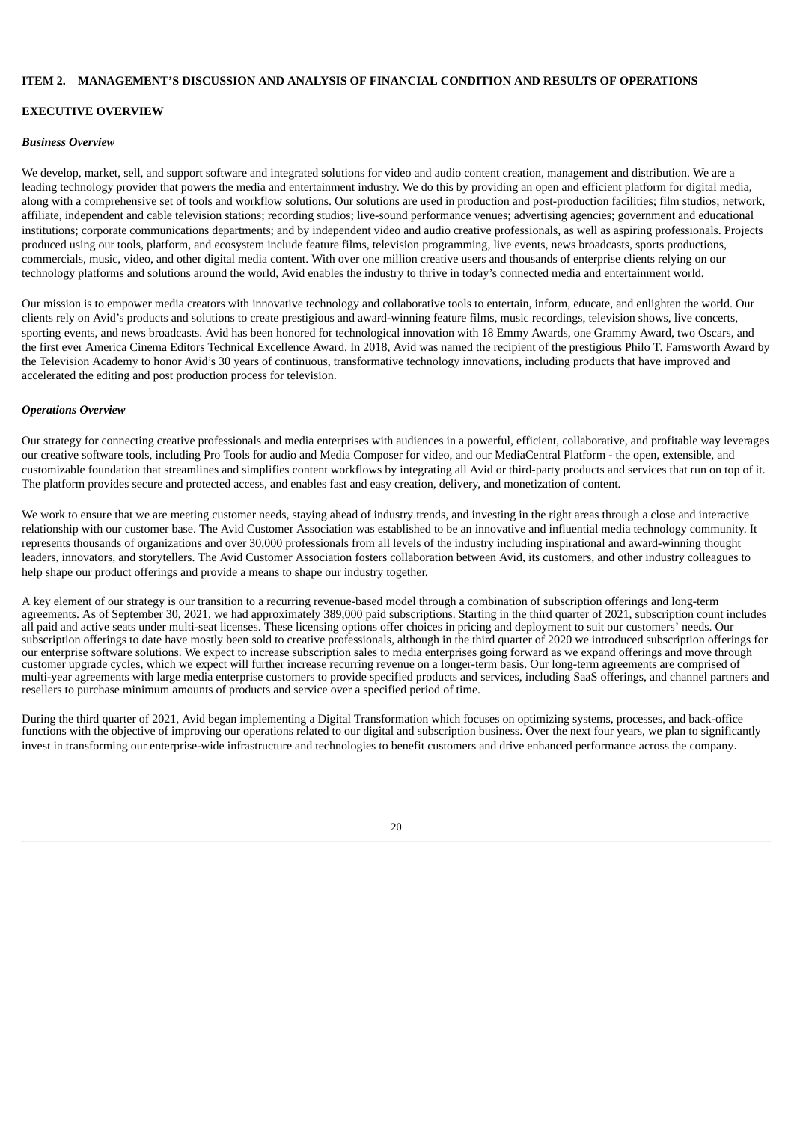#### **ITEM 2. MANAGEMENT'S DISCUSSION AND ANALYSIS OF FINANCIAL CONDITION AND RESULTS OF OPERATIONS**

#### **EXECUTIVE OVERVIEW**

#### *Business Overview*

We develop, market, sell, and support software and integrated solutions for video and audio content creation, management and distribution. We are a leading technology provider that powers the media and entertainment industry. We do this by providing an open and efficient platform for digital media, along with a comprehensive set of tools and workflow solutions. Our solutions are used in production and post-production facilities; film studios; network, affiliate, independent and cable television stations; recording studios; live-sound performance venues; advertising agencies; government and educational institutions; corporate communications departments; and by independent video and audio creative professionals, as well as aspiring professionals. Projects produced using our tools, platform, and ecosystem include feature films, television programming, live events, news broadcasts, sports productions, commercials, music, video, and other digital media content. With over one million creative users and thousands of enterprise clients relying on our technology platforms and solutions around the world, Avid enables the industry to thrive in today's connected media and entertainment world.

Our mission is to empower media creators with innovative technology and collaborative tools to entertain, inform, educate, and enlighten the world. Our clients rely on Avid's products and solutions to create prestigious and award-winning feature films, music recordings, television shows, live concerts, sporting events, and news broadcasts. Avid has been honored for technological innovation with 18 Emmy Awards, one Grammy Award, two Oscars, and the first ever America Cinema Editors Technical Excellence Award. In 2018, Avid was named the recipient of the prestigious Philo T. Farnsworth Award by the Television Academy to honor Avid's 30 years of continuous, transformative technology innovations, including products that have improved and accelerated the editing and post production process for television.

#### *Operations Overview*

Our strategy for connecting creative professionals and media enterprises with audiences in a powerful, efficient, collaborative, and profitable way leverages our creative software tools, including Pro Tools for audio and Media Composer for video, and our MediaCentral Platform - the open, extensible, and customizable foundation that streamlines and simplifies content workflows by integrating all Avid or third-party products and services that run on top of it. The platform provides secure and protected access, and enables fast and easy creation, delivery, and monetization of content.

We work to ensure that we are meeting customer needs, staying ahead of industry trends, and investing in the right areas through a close and interactive relationship with our customer base. The Avid Customer Association was established to be an innovative and influential media technology community. It represents thousands of organizations and over 30,000 professionals from all levels of the industry including inspirational and award-winning thought leaders, innovators, and storytellers. The Avid Customer Association fosters collaboration between Avid, its customers, and other industry colleagues to help shape our product offerings and provide a means to shape our industry together.

A key element of our strategy is our transition to a recurring revenue-based model through a combination of subscription offerings and long-term agreements. As of September 30, 2021, we had approximately 389,000 paid subscriptions. Starting in the third quarter of 2021, subscription count includes all paid and active seats under multi-seat licenses. These licensing options offer choices in pricing and deployment to suit our customers' needs. Our subscription offerings to date have mostly been sold to creative professionals, although in the third quarter of 2020 we introduced subscription offerings for our enterprise software solutions. We expect to increase subscription sales to media enterprises going forward as we expand offerings and move through customer upgrade cycles, which we expect will further increase recurring revenue on a longer-term basis. Our long-term agreements are comprised of multi-year agreements with large media enterprise customers to provide specified products and services, including SaaS offerings, and channel partners and resellers to purchase minimum amounts of products and service over a specified period of time.

During the third quarter of 2021, Avid began implementing a Digital Transformation which focuses on optimizing systems, processes, and back-office functions with the objective of improving our operations related to our digital and subscription business. Over the next four years, we plan to significantly invest in transforming our enterprise-wide infrastructure and technologies to benefit customers and drive enhanced performance across the company.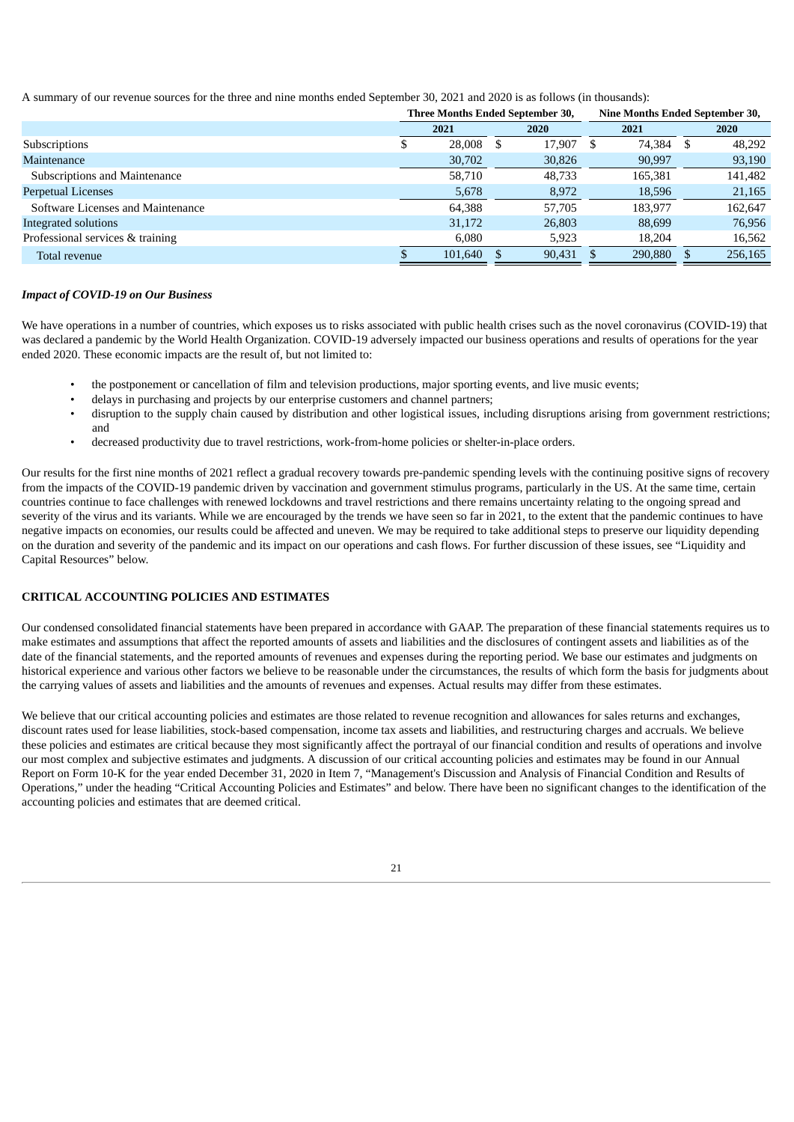A summary of our revenue sources for the three and nine months ended September 30, 2021 and 2020 is as follows (in thousands):

|                                   | <b>Three Months Ended September 30,</b> |         |      |        | Nine Months Ended September 30, |         |    |         |
|-----------------------------------|-----------------------------------------|---------|------|--------|---------------------------------|---------|----|---------|
|                                   |                                         | 2021    |      | 2020   |                                 | 2021    |    | 2020    |
| Subscriptions                     | J                                       | 28,008  | - \$ | 17,907 |                                 | 74.384  | -S | 48.292  |
| Maintenance                       |                                         | 30,702  |      | 30,826 |                                 | 90,997  |    | 93,190  |
| Subscriptions and Maintenance     |                                         | 58.710  |      | 48.733 |                                 | 165,381 |    | 141,482 |
| <b>Perpetual Licenses</b>         |                                         | 5,678   |      | 8,972  |                                 | 18,596  |    | 21,165  |
| Software Licenses and Maintenance |                                         | 64.388  |      | 57,705 |                                 | 183,977 |    | 162,647 |
| Integrated solutions              |                                         | 31,172  |      | 26,803 |                                 | 88,699  |    | 76,956  |
| Professional services & training  |                                         | 6.080   |      | 5,923  |                                 | 18,204  |    | 16,562  |
| Total revenue                     |                                         | 101,640 |      | 90,431 |                                 | 290,880 |    | 256,165 |

#### *Impact of COVID-19 on Our Business*

We have operations in a number of countries, which exposes us to risks associated with public health crises such as the novel coronavirus (COVID-19) that was declared a pandemic by the World Health Organization. COVID-19 adversely impacted our business operations and results of operations for the year ended 2020. These economic impacts are the result of, but not limited to:

- the postponement or cancellation of film and television productions, major sporting events, and live music events;
- delays in purchasing and projects by our enterprise customers and channel partners;
- disruption to the supply chain caused by distribution and other logistical issues, including disruptions arising from government restrictions; and
- decreased productivity due to travel restrictions, work-from-home policies or shelter-in-place orders.

Our results for the first nine months of 2021 reflect a gradual recovery towards pre-pandemic spending levels with the continuing positive signs of recovery from the impacts of the COVID-19 pandemic driven by vaccination and government stimulus programs, particularly in the US. At the same time, certain countries continue to face challenges with renewed lockdowns and travel restrictions and there remains uncertainty relating to the ongoing spread and severity of the virus and its variants. While we are encouraged by the trends we have seen so far in 2021, to the extent that the pandemic continues to have negative impacts on economies, our results could be affected and uneven. We may be required to take additional steps to preserve our liquidity depending on the duration and severity of the pandemic and its impact on our operations and cash flows. For further discussion of these issues, see "Liquidity and Capital Resources" below.

#### **CRITICAL ACCOUNTING POLICIES AND ESTIMATES**

Our condensed consolidated financial statements have been prepared in accordance with GAAP. The preparation of these financial statements requires us to make estimates and assumptions that affect the reported amounts of assets and liabilities and the disclosures of contingent assets and liabilities as of the date of the financial statements, and the reported amounts of revenues and expenses during the reporting period. We base our estimates and judgments on historical experience and various other factors we believe to be reasonable under the circumstances, the results of which form the basis for judgments about the carrying values of assets and liabilities and the amounts of revenues and expenses. Actual results may differ from these estimates.

We believe that our critical accounting policies and estimates are those related to revenue recognition and allowances for sales returns and exchanges, discount rates used for lease liabilities, stock-based compensation, income tax assets and liabilities, and restructuring charges and accruals. We believe these policies and estimates are critical because they most significantly affect the portrayal of our financial condition and results of operations and involve our most complex and subjective estimates and judgments. A discussion of our critical accounting policies and estimates may be found in our Annual Report on Form 10-K for the year ended December 31, 2020 in Item 7, "Management's Discussion and Analysis of Financial Condition and Results of Operations," under the heading "Critical Accounting Policies and Estimates" and below. There have been no significant changes to the identification of the accounting policies and estimates that are deemed critical.

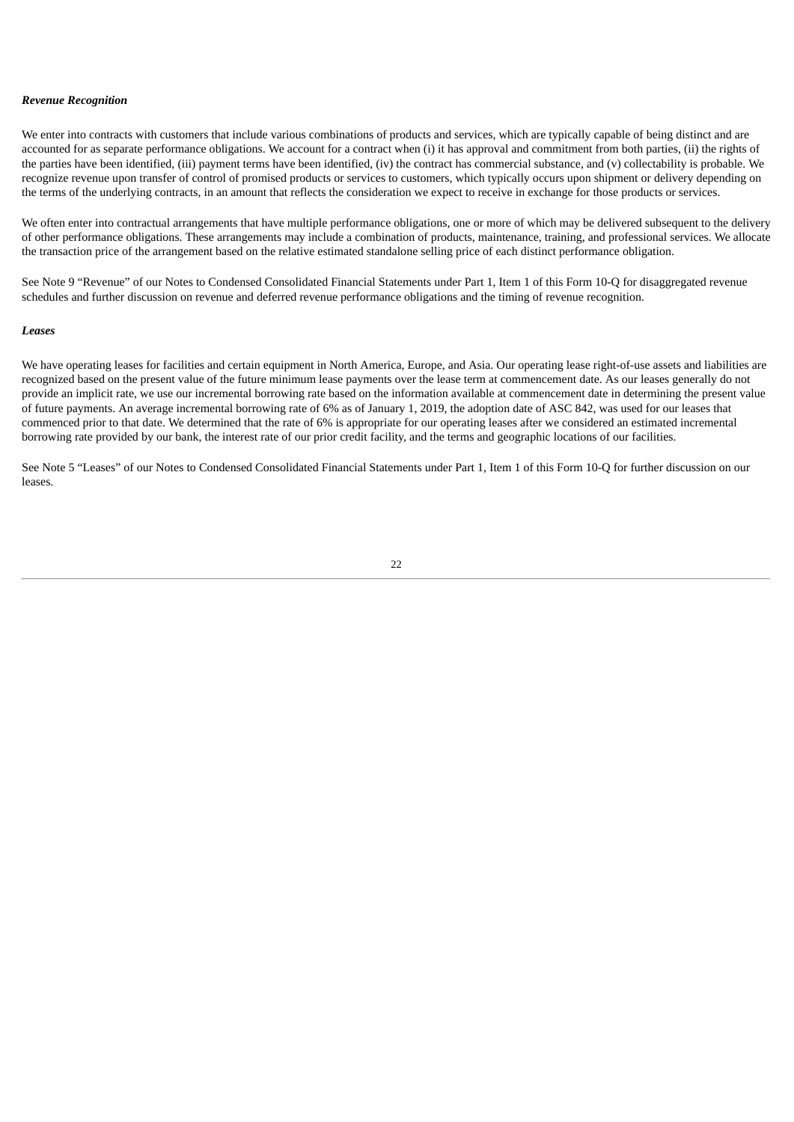#### *Revenue Recognition*

We enter into contracts with customers that include various combinations of products and services, which are typically capable of being distinct and are accounted for as separate performance obligations. We account for a contract when (i) it has approval and commitment from both parties, (ii) the rights of the parties have been identified, (iii) payment terms have been identified, (iv) the contract has commercial substance, and (v) collectability is probable. We recognize revenue upon transfer of control of promised products or services to customers, which typically occurs upon shipment or delivery depending on the terms of the underlying contracts, in an amount that reflects the consideration we expect to receive in exchange for those products or services.

We often enter into contractual arrangements that have multiple performance obligations, one or more of which may be delivered subsequent to the delivery of other performance obligations. These arrangements may include a combination of products, maintenance, training, and professional services. We allocate the transaction price of the arrangement based on the relative estimated standalone selling price of each distinct performance obligation.

See Note 9 "Revenue" of our Notes to Condensed Consolidated Financial Statements under Part 1, Item 1 of this Form 10-Q for disaggregated revenue schedules and further discussion on revenue and deferred revenue performance obligations and the timing of revenue recognition.

#### *Leases*

We have operating leases for facilities and certain equipment in North America, Europe, and Asia. Our operating lease right-of-use assets and liabilities are recognized based on the present value of the future minimum lease payments over the lease term at commencement date. As our leases generally do not provide an implicit rate, we use our incremental borrowing rate based on the information available at commencement date in determining the present value of future payments. An average incremental borrowing rate of 6% as of January 1, 2019, the adoption date of ASC 842, was used for our leases that commenced prior to that date. We determined that the rate of 6% is appropriate for our operating leases after we considered an estimated incremental borrowing rate provided by our bank, the interest rate of our prior credit facility, and the terms and geographic locations of our facilities.

See Note 5 "Leases" of our Notes to Condensed Consolidated Financial Statements under Part 1, Item 1 of this Form 10-Q for further discussion on our leases.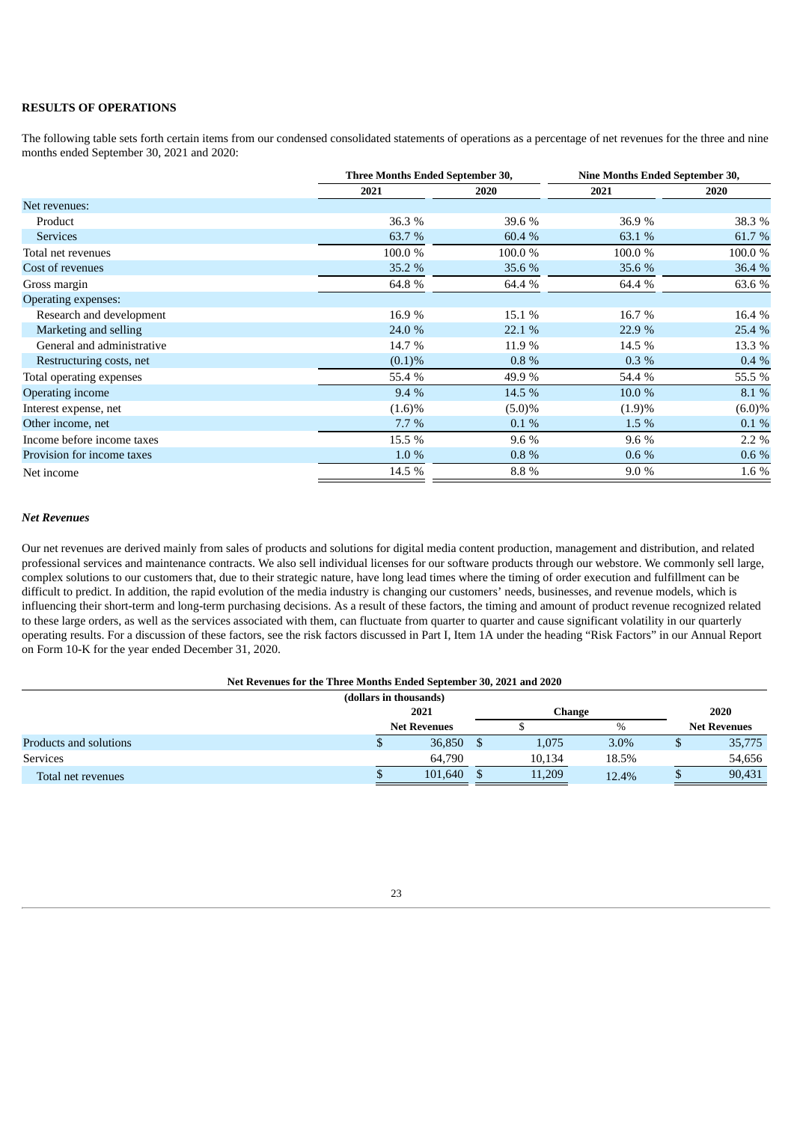### **RESULTS OF OPERATIONS**

The following table sets forth certain items from our condensed consolidated statements of operations as a percentage of net revenues for the three and nine months ended September 30, 2021 and 2020:

|                            | Three Months Ended September 30, |           | Nine Months Ended September 30, |           |  |
|----------------------------|----------------------------------|-----------|---------------------------------|-----------|--|
|                            | 2021                             | 2020      | 2021                            | 2020      |  |
| Net revenues:              |                                  |           |                                 |           |  |
| Product                    | 36.3 %                           | 39.6 %    | 36.9%                           | 38.3 %    |  |
| <b>Services</b>            | 63.7 %                           | 60.4 %    | 63.1 %                          | 61.7%     |  |
| Total net revenues         | 100.0%                           | 100.0%    | 100.0%                          | 100.0%    |  |
| Cost of revenues           | 35.2 %                           | 35.6 %    | 35.6 %                          | 36.4 %    |  |
| Gross margin               | 64.8 %                           | 64.4 %    | 64.4 %                          | 63.6 %    |  |
| Operating expenses:        |                                  |           |                                 |           |  |
| Research and development   | 16.9%                            | 15.1 %    | 16.7%                           | 16.4 %    |  |
| Marketing and selling      | 24.0 %                           | 22.1 %    | 22.9 %                          | 25.4 %    |  |
| General and administrative | 14.7 %                           | 11.9 %    | 14.5 %                          | 13.3 %    |  |
| Restructuring costs, net   | $(0.1)\%$                        | $0.8 \%$  | $0.3\%$                         | $0.4\%$   |  |
| Total operating expenses   | 55.4 %                           | 49.9 %    | 54.4 %                          | 55.5 %    |  |
| Operating income           | 9.4%                             | 14.5 %    | 10.0 %                          | 8.1 %     |  |
| Interest expense, net      | $(1.6)\%$                        | $(5.0)\%$ | (1.9)%                          | $(6.0)\%$ |  |
| Other income, net          | $7.7\%$                          | $0.1 \%$  | 1.5 %                           | $0.1 \%$  |  |
| Income before income taxes | 15.5 %                           | $9.6\%$   | 9.6 %                           | $2.2\%$   |  |
| Provision for income taxes | 1.0%                             | $0.8 \%$  | $0.6\%$                         | 0.6 %     |  |
| Net income                 | 14.5 %                           | 8.8%      | 9.0%                            | 1.6 %     |  |

### *Net Revenues*

Our net revenues are derived mainly from sales of products and solutions for digital media content production, management and distribution, and related professional services and maintenance contracts. We also sell individual licenses for our software products through our webstore. We commonly sell large, complex solutions to our customers that, due to their strategic nature, have long lead times where the timing of order execution and fulfillment can be difficult to predict. In addition, the rapid evolution of the media industry is changing our customers' needs, businesses, and revenue models, which is influencing their short-term and long-term purchasing decisions. As a result of these factors, the timing and amount of product revenue recognized related to these large orders, as well as the services associated with them, can fluctuate from quarter to quarter and cause significant volatility in our quarterly operating results. For a discussion of these factors, see the risk factors discussed in Part I, Item 1A under the heading "Risk Factors" in our Annual Report on Form 10-K for the year ended December 31, 2020.

#### **Net Revenues for the Three Months Ended September 30, 2021 and 2020**

|                        |      | (dollars in thousands) |  |        |       |      |                     |  |
|------------------------|------|------------------------|--|--------|-------|------|---------------------|--|
|                        | 2021 |                        |  | Change |       | 2020 |                     |  |
|                        |      | <b>Net Revenues</b>    |  |        | $\%$  |      | <b>Net Revenues</b> |  |
| Products and solutions | D    | 36,850                 |  | 1,075  | 3.0%  | Ψ    | 35,775              |  |
| Services               |      | 64.790                 |  | 10,134 | 18.5% |      | 54,656              |  |
| Total net revenues     |      | 101,640                |  | 11,209 | 12.4% |      | 90,431              |  |
|                        |      |                        |  |        |       |      |                     |  |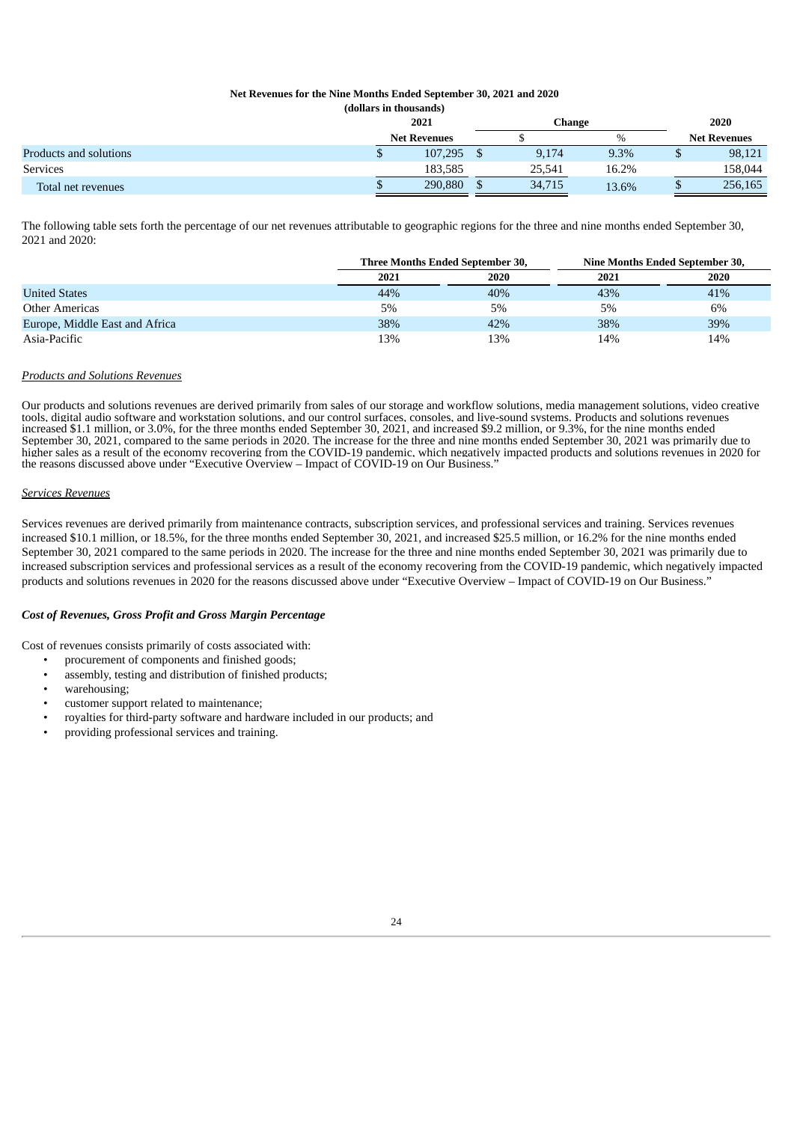#### **Net Revenues for the Nine Months Ended September 30, 2021 and 2020 (dollars in thousands)**

| (uviidi s ili uluusallus) |                             |  |         |        |        |       |                     |         |
|---------------------------|-----------------------------|--|---------|--------|--------|-------|---------------------|---------|
|                           | 2021<br><b>Net Revenues</b> |  |         | Change |        | 2020  |                     |         |
|                           |                             |  |         |        | %      |       | <b>Net Revenues</b> |         |
| Products and solutions    |                             |  | 107,295 |        | 9,174  | 9.3%  | لا                  | 98,121  |
| <b>Services</b>           |                             |  | 183,585 |        | 25,541 | 16.2% |                     | 158.044 |
| Total net revenues        |                             |  | 290,880 |        | 34,715 | 13.6% |                     | 256,165 |

The following table sets forth the percentage of our net revenues attributable to geographic regions for the three and nine months ended September 30, 2021 and 2020:

|                                | Three Months Ended September 30, |      |      | Nine Months Ended September 30, |
|--------------------------------|----------------------------------|------|------|---------------------------------|
|                                | 2021                             | 2020 | 2021 | 2020                            |
| <b>United States</b>           | 44%                              | 40%  | 43%  | 41%                             |
| <b>Other Americas</b>          | 5%                               | 5%   | 5%   | 6%                              |
| Europe, Middle East and Africa | 38%                              | 42%  | 38%  | 39%                             |
| Asia-Pacific                   | 13%                              | 13%  | 14%  | 14%                             |

#### *Products and Solutions Revenues*

Our products and solutions revenues are derived primarily from sales of our storage and workflow solutions, media management solutions, video creative tools, digital audio software and workstation solutions, and our control surfaces, consoles, and live-sound systems. Products and solutions revenues increased \$1.1 million, or 3.0%, for the three months ended September 30, 2021, and increased \$9.2 million, or 9.3%, for the nine months ended September 30, 2021, compared to the same periods in 2020. The increase for the three and nine months ended September 30, 2021 was primarily due to higher sales as a result of the economy recovering from the COVID-19 pandemic, which negatively impacted products and solutions revenues in 2020 for the reasons discussed above under "Executive Overview – Impact of COVID-19 on Our Business."

#### *Services Revenues*

Services revenues are derived primarily from maintenance contracts, subscription services, and professional services and training. Services revenues increased \$10.1 million, or 18.5%, for the three months ended September 30, 2021, and increased \$25.5 million, or 16.2% for the nine months ended September 30, 2021 compared to the same periods in 2020. The increase for the three and nine months ended September 30, 2021 was primarily due to increased subscription services and professional services as a result of the economy recovering from the COVID-19 pandemic, which negatively impacted products and solutions revenues in 2020 for the reasons discussed above under "Executive Overview – Impact of COVID-19 on Our Business."

#### *Cost of Revenues, Gross Profit and Gross Margin Percentage*

Cost of revenues consists primarily of costs associated with:

- procurement of components and finished goods;
- assembly, testing and distribution of finished products;
- warehousing;
- customer support related to maintenance;
- royalties for third-party software and hardware included in our products; and
- providing professional services and training.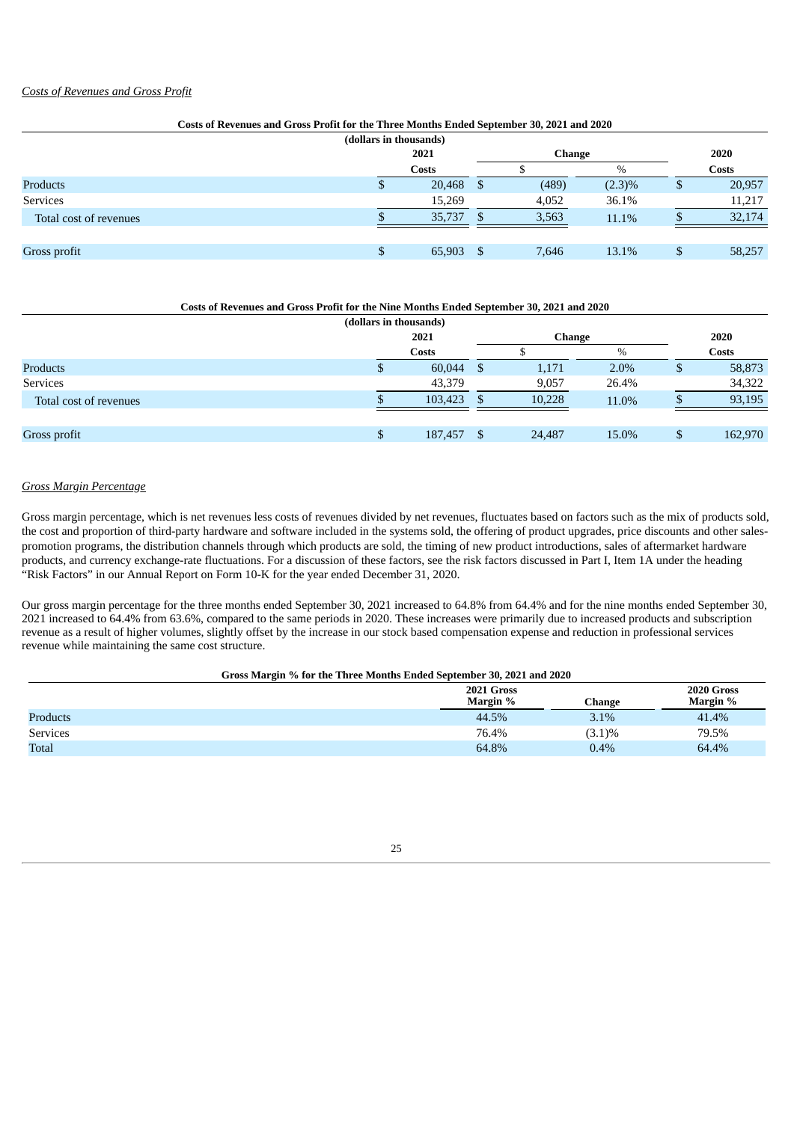### *Costs of Revenues and Gross Profit*

#### **Costs of Revenues and Gross Profit for the Three Months Ended September 30, 2021 and 2020**

|                        | (dollars in thousands) |               |               |           |   |        |
|------------------------|------------------------|---------------|---------------|-----------|---|--------|
|                        | 2021                   |               | <b>Change</b> |           |   | 2020   |
|                        | Costs                  |               |               | $\%$      |   | Costs  |
| Products               | 20,468                 | <sup>\$</sup> | (489)         | $(2.3)\%$ | Φ | 20,957 |
| Services               | 15,269                 |               | 4,052         | 36.1%     |   | 11,217 |
| Total cost of revenues | 35,737                 |               | 3,563         | 11.1%     |   | 32,174 |
|                        |                        |               |               |           |   |        |
| Gross profit           | \$<br>65,903           | \$            | 7,646         | 13.1%     | D | 58,257 |
|                        |                        |               |               |           |   |        |

# **Costs of Revenues and Gross Profit for the Nine Months Ended September 30, 2021 and 2020**

|                        | (dollars in thousands) |         |               |       |   |         |
|------------------------|------------------------|---------|---------------|-------|---|---------|
|                        |                        | 2021    | <b>Change</b> |       |   | 2020    |
|                        |                        | Costs   |               | $\%$  |   | Costs   |
| Products               |                        | 60,044  | 1,171         | 2.0%  | Φ | 58,873  |
| Services               |                        | 43,379  | 9,057         | 26.4% |   | 34,322  |
| Total cost of revenues |                        | 103,423 | 10,228        | 11.0% |   | 93,195  |
|                        |                        |         |               |       |   |         |
| Gross profit           |                        | 187,457 | 24,487        | 15.0% | D | 162,970 |

# *Gross Margin Percentage*

Gross margin percentage, which is net revenues less costs of revenues divided by net revenues, fluctuates based on factors such as the mix of products sold, the cost and proportion of third-party hardware and software included in the systems sold, the offering of product upgrades, price discounts and other salespromotion programs, the distribution channels through which products are sold, the timing of new product introductions, sales of aftermarket hardware products, and currency exchange-rate fluctuations. For a discussion of these factors, see the risk factors discussed in Part I, Item 1A under the heading "Risk Factors" in our Annual Report on Form 10-K for the year ended December 31, 2020.

Our gross margin percentage for the three months ended September 30, 2021 increased to 64.8% from 64.4% and for the nine months ended September 30, 2021 increased to 64.4% from 63.6%, compared to the same periods in 2020. These increases were primarily due to increased products and subscription revenue as a result of higher volumes, slightly offset by the increase in our stock based compensation expense and reduction in professional services revenue while maintaining the same cost structure.

| Gross Margin % for the Three Months Ended September 30, 2021 and 2020 |                        |           |                        |  |  |
|-----------------------------------------------------------------------|------------------------|-----------|------------------------|--|--|
|                                                                       | 2021 Gross<br>Margin % | Change    | 2020 Gross<br>Margin % |  |  |
| <b>Products</b>                                                       | 44.5%                  | 3.1%      | 41.4%                  |  |  |
| <b>Services</b>                                                       | 76.4%                  | $(3.1)\%$ | 79.5%                  |  |  |
| <b>Total</b>                                                          | 64.8%                  | 0.4%      | 64.4%                  |  |  |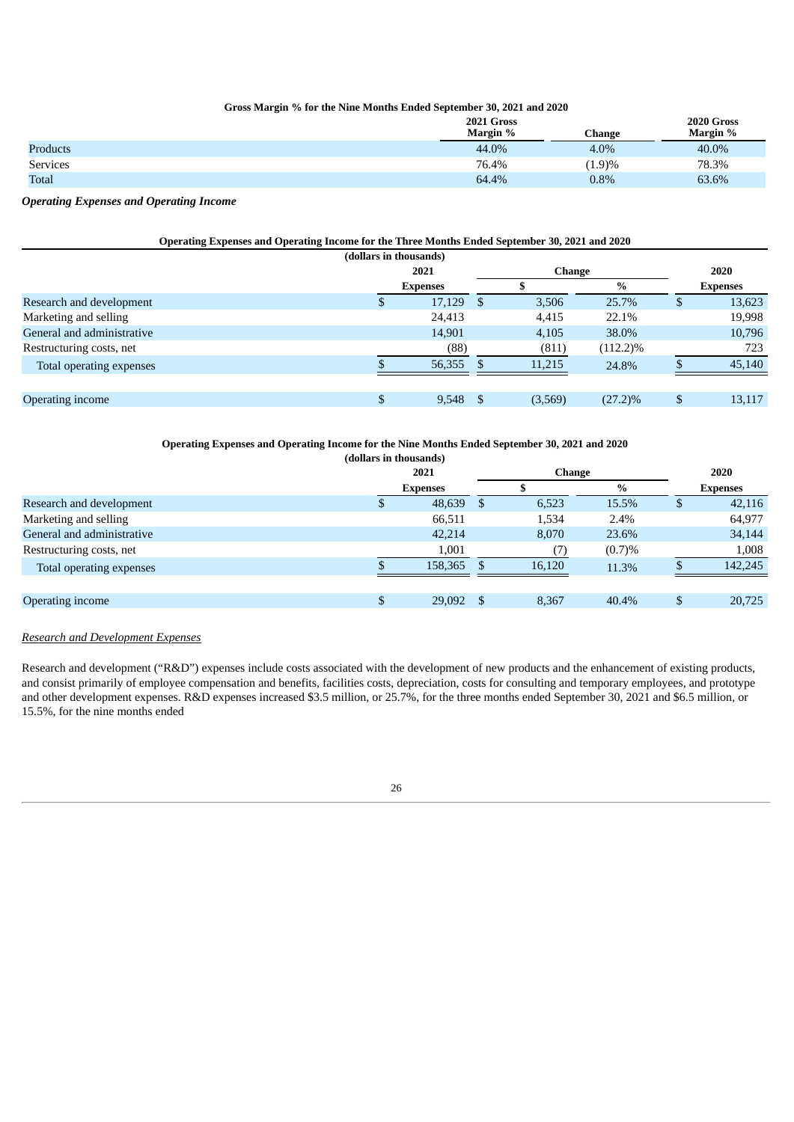| Gross Margin % for the Nine Months Ended September 30, 2021 and 2020 |                        |        |                        |  |  |
|----------------------------------------------------------------------|------------------------|--------|------------------------|--|--|
|                                                                      | 2021 Gross<br>Margin % | Change | 2020 Gross<br>Margin % |  |  |
| Products                                                             | 44.0%                  | 4.0%   | 40.0%                  |  |  |
| <b>Services</b>                                                      | 76.4%                  | (1.9)% | 78.3%                  |  |  |
| Total                                                                | 64.4%                  | 0.8%   | 63.6%                  |  |  |

# *Operating Expenses and Operating Income*

| Operating Expenses and Operating Income for the Three Months Ended September 30, 2021 and 2020 |  |                        |  |               |               |    |                 |
|------------------------------------------------------------------------------------------------|--|------------------------|--|---------------|---------------|----|-----------------|
|                                                                                                |  | (dollars in thousands) |  |               |               |    |                 |
|                                                                                                |  | 2021                   |  | <b>Change</b> |               |    | 2020            |
|                                                                                                |  | <b>Expenses</b>        |  |               | $\frac{9}{6}$ |    | <b>Expenses</b> |
| Research and development                                                                       |  | 17,129                 |  | 3,506         | 25.7%         | S  | 13,623          |
| Marketing and selling                                                                          |  | 24,413                 |  | 4,415         | 22.1%         |    | 19,998          |
| General and administrative                                                                     |  | 14,901                 |  | 4,105         | 38.0%         |    | 10,796          |
| Restructuring costs, net                                                                       |  | (88)                   |  | (811)         | $(112.2)\%$   |    | 723             |
| Total operating expenses                                                                       |  | 56,355                 |  | 11,215        | 24.8%         |    | 45,140          |
|                                                                                                |  |                        |  |               |               |    |                 |
| Operating income                                                                               |  | 9,548                  |  | (3,569)       | $(27.2)\%$    | \$ | 13,117          |

# **Operating Expenses and Operating Income for the Nine Months Ended September 30, 2021 and 2020**

|                            |    | (dollars in thousands) |     |               |        |    |                 |
|----------------------------|----|------------------------|-----|---------------|--------|----|-----------------|
|                            |    | 2021                   |     | <b>Change</b> |        |    | 2020            |
|                            |    | <b>Expenses</b>        |     |               | $\%$   |    | <b>Expenses</b> |
| Research and development   | D  | 48,639                 | S   | 6,523         | 15.5%  | D  | 42,116          |
| Marketing and selling      |    | 66,511                 |     | 1,534         | 2.4%   |    | 64,977          |
| General and administrative |    | 42,214                 |     | 8,070         | 23.6%  |    | 34,144          |
| Restructuring costs, net   |    | 1,001                  |     |               | (0.7)% |    | 1,008           |
| Total operating expenses   |    | 158,365                | \$. | 16,120        | 11.3%  |    | 142,245         |
|                            |    |                        |     |               |        |    |                 |
| Operating income           | \$ | 29,092                 |     | 8,367         | 40.4%  | \$ | 20,725          |

# *Research and Development Expenses*

Research and development ("R&D") expenses include costs associated with the development of new products and the enhancement of existing products, and consist primarily of employee compensation and benefits, facilities costs, depreciation, costs for consulting and temporary employees, and prototype and other development expenses. R&D expenses increased \$3.5 million, or 25.7%, for the three months ended September 30, 2021 and \$6.5 million, or 15.5%, for the nine months ended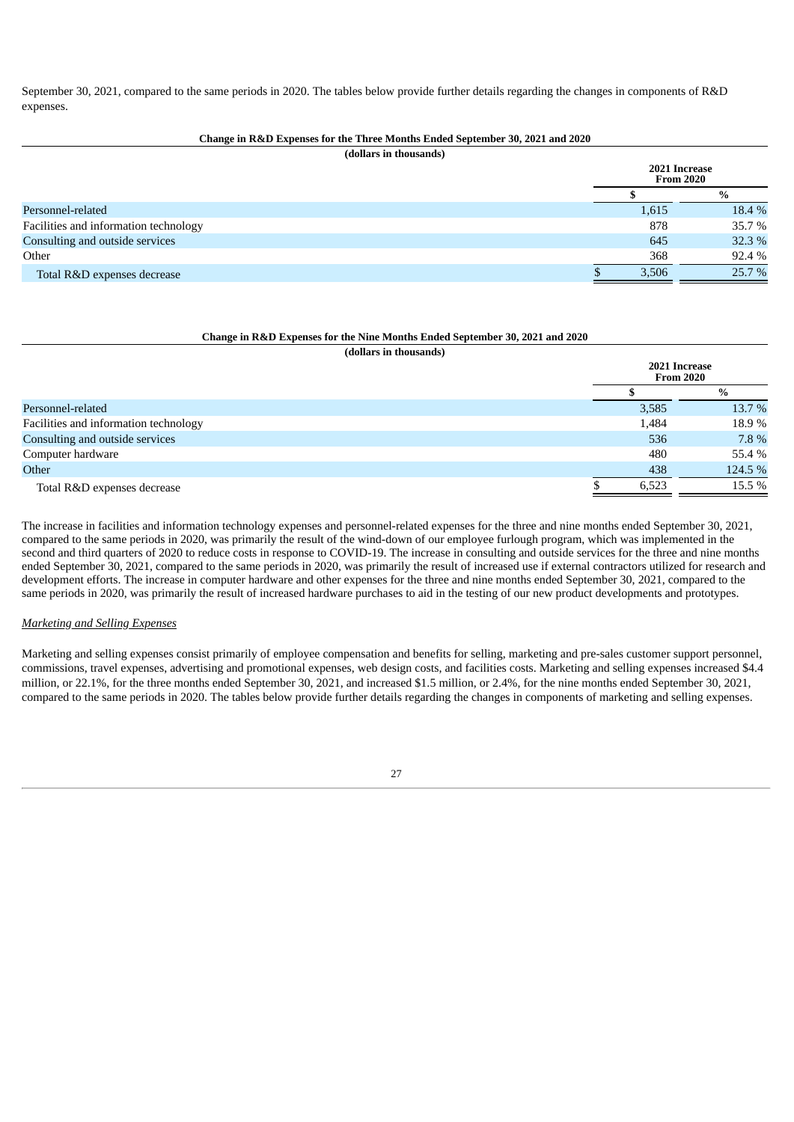September 30, 2021, compared to the same periods in 2020. The tables below provide further details regarding the changes in components of R&D expenses.

# **Change in R&D Expenses for the Three Months Ended September 30, 2021 and 2020**

| (dollars in thousands)                |       |                                   |
|---------------------------------------|-------|-----------------------------------|
|                                       |       | 2021 Increase<br><b>From 2020</b> |
|                                       |       | %                                 |
| Personnel-related                     | 1,615 | 18.4 %                            |
| Facilities and information technology | 878   | 35.7 %                            |
| Consulting and outside services       | 645   | 32.3 %                            |
| Other                                 | 368   | 92.4 %                            |
| Total R&D expenses decrease           | 3,506 | 25.7 %                            |

#### **Change in R&D Expenses for the Nine Months Ended September 30, 2021 and 2020**

| (dollars in thousands)                |       |                                   |
|---------------------------------------|-------|-----------------------------------|
|                                       |       | 2021 Increase<br><b>From 2020</b> |
|                                       |       | $\%$                              |
| Personnel-related                     | 3,585 | 13.7 %                            |
| Facilities and information technology | 1,484 | 18.9%                             |
| Consulting and outside services       | 536   | 7.8 %                             |
| Computer hardware                     | 480   | 55.4 %                            |
| Other                                 | 438   | 124.5 %                           |
| Total R&D expenses decrease           | 6,523 | 15.5 %                            |

The increase in facilities and information technology expenses and personnel-related expenses for the three and nine months ended September 30, 2021, compared to the same periods in 2020, was primarily the result of the wind-down of our employee furlough program, which was implemented in the second and third quarters of 2020 to reduce costs in response to COVID-19. The increase in consulting and outside services for the three and nine months ended September 30, 2021, compared to the same periods in 2020, was primarily the result of increased use if external contractors utilized for research and development efforts. The increase in computer hardware and other expenses for the three and nine months ended September 30, 2021, compared to the same periods in 2020, was primarily the result of increased hardware purchases to aid in the testing of our new product developments and prototypes.

#### *Marketing and Selling Expenses*

Marketing and selling expenses consist primarily of employee compensation and benefits for selling, marketing and pre-sales customer support personnel, commissions, travel expenses, advertising and promotional expenses, web design costs, and facilities costs. Marketing and selling expenses increased \$4.4 million, or 22.1%, for the three months ended September 30, 2021, and increased \$1.5 million, or 2.4%, for the nine months ended September 30, 2021, compared to the same periods in 2020. The tables below provide further details regarding the changes in components of marketing and selling expenses.

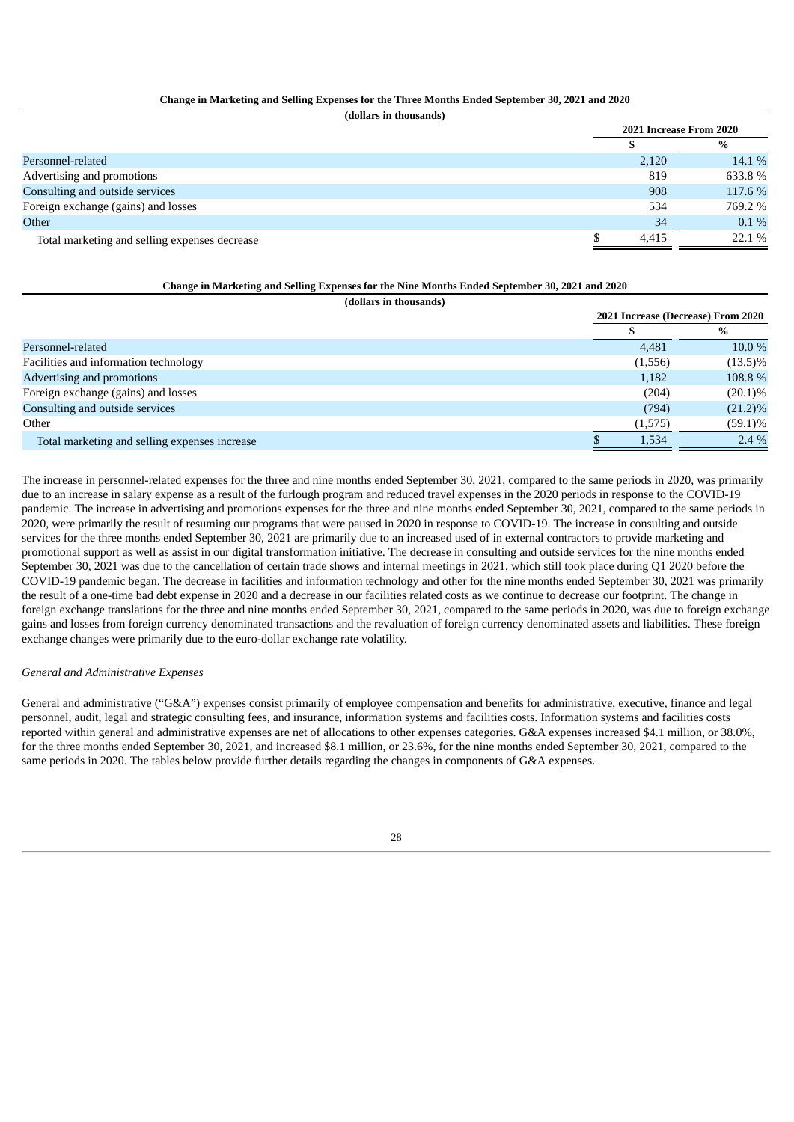#### **Change in Marketing and Selling Expenses for the Three Months Ended September 30, 2021 and 2020**

|  |  | (dollars in thousands) |  |
|--|--|------------------------|--|
|--|--|------------------------|--|

|  | 2021 Increase From 2020 |               |
|--|-------------------------|---------------|
|  |                         | $\frac{9}{6}$ |
|  | 2,120                   | 14.1 %        |
|  | 819                     | 633.8%        |
|  | 908                     | 117.6 %       |
|  | 534                     | 769.2 %       |
|  | 34                      | $0.1 \%$      |
|  | 4.415                   | 22.1 %        |
|  |                         |               |

#### **Change in Marketing and Selling Expenses for the Nine Months Ended September 30, 2021 and 2020 (dollars in thousands)**

| , aonaro m arouoanao,                         |         |                                    |
|-----------------------------------------------|---------|------------------------------------|
|                                               |         | 2021 Increase (Decrease) From 2020 |
|                                               |         | $\%$                               |
| Personnel-related                             | 4,481   | 10.0 %                             |
| Facilities and information technology         | (1,556) | $(13.5)\%$                         |
| Advertising and promotions                    | 1,182   | 108.8 %                            |
| Foreign exchange (gains) and losses           | (204)   | $(20.1)\%$                         |
| Consulting and outside services               | (794)   | $(21.2)\%$                         |
| Other                                         | (1,575) | $(59.1)\%$                         |
| Total marketing and selling expenses increase | 1,534   | $2.4\%$                            |
|                                               |         |                                    |

The increase in personnel-related expenses for the three and nine months ended September 30, 2021, compared to the same periods in 2020, was primarily due to an increase in salary expense as a result of the furlough program and reduced travel expenses in the 2020 periods in response to the COVID-19 pandemic. The increase in advertising and promotions expenses for the three and nine months ended September 30, 2021, compared to the same periods in 2020, were primarily the result of resuming our programs that were paused in 2020 in response to COVID-19. The increase in consulting and outside services for the three months ended September 30, 2021 are primarily due to an increased used of in external contractors to provide marketing and promotional support as well as assist in our digital transformation initiative. The decrease in consulting and outside services for the nine months ended September 30, 2021 was due to the cancellation of certain trade shows and internal meetings in 2021, which still took place during Q1 2020 before the COVID-19 pandemic began. The decrease in facilities and information technology and other for the nine months ended September 30, 2021 was primarily the result of a one-time bad debt expense in 2020 and a decrease in our facilities related costs as we continue to decrease our footprint. The change in foreign exchange translations for the three and nine months ended September 30, 2021, compared to the same periods in 2020, was due to foreign exchange gains and losses from foreign currency denominated transactions and the revaluation of foreign currency denominated assets and liabilities. These foreign exchange changes were primarily due to the euro-dollar exchange rate volatility.

#### *General and Administrative Expenses*

General and administrative ("G&A") expenses consist primarily of employee compensation and benefits for administrative, executive, finance and legal personnel, audit, legal and strategic consulting fees, and insurance, information systems and facilities costs. Information systems and facilities costs reported within general and administrative expenses are net of allocations to other expenses categories. G&A expenses increased \$4.1 million, or 38.0%, for the three months ended September 30, 2021, and increased \$8.1 million, or 23.6%, for the nine months ended September 30, 2021, compared to the same periods in 2020. The tables below provide further details regarding the changes in components of G&A expenses.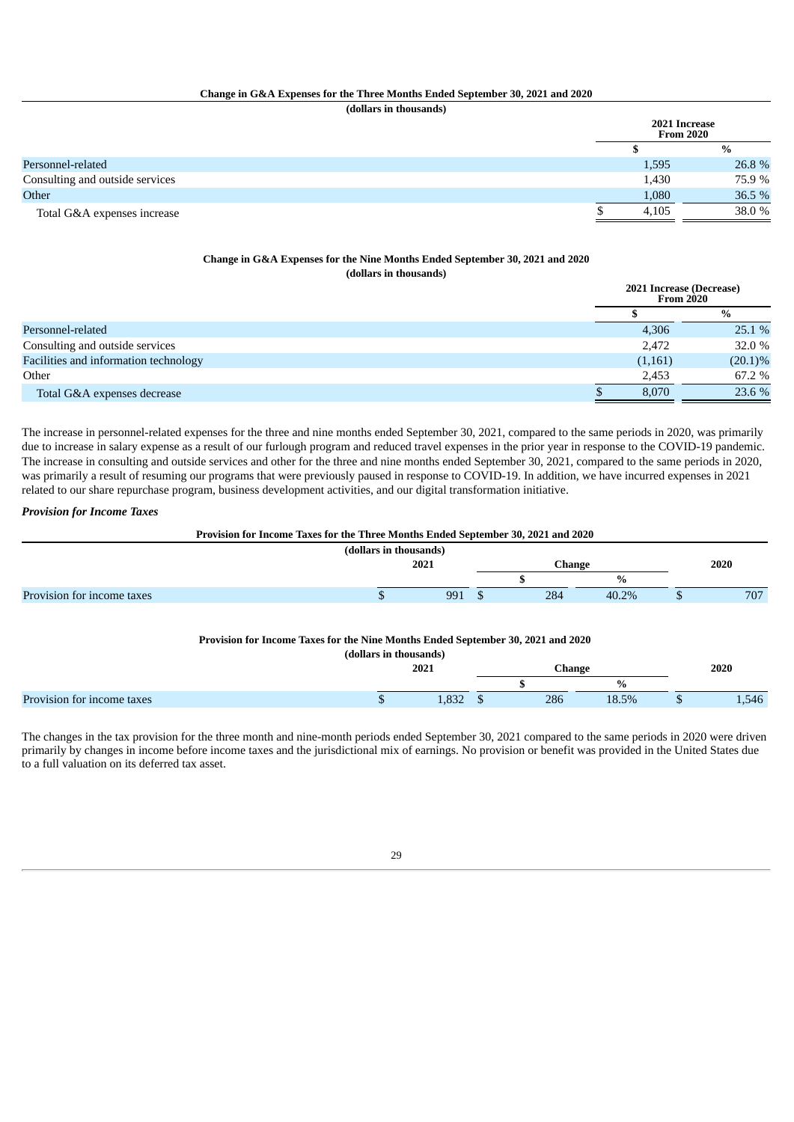# **Change in G&A Expenses for the Three Months Ended September 30, 2021 and 2020**

**(dollars in thousands)**

|                                 |       | 2021 Increase<br><b>From 2020</b> |
|---------------------------------|-------|-----------------------------------|
|                                 |       | $\%$                              |
| Personnel-related               | 1,595 | 26.8 %                            |
| Consulting and outside services | 1,430 | 75.9 %                            |
| Other                           | 1,080 | 36.5 %                            |
| Total G&A expenses increase     | 4.105 | 38.0 %                            |

#### **Change in G&A Expenses for the Nine Months Ended September 30, 2021 and 2020 (dollars in thousands)**

|                                       | 2021 Increase (Decrease)<br><b>From 2020</b> |            |  |
|---------------------------------------|----------------------------------------------|------------|--|
|                                       |                                              | $\%$       |  |
| Personnel-related                     | 4,306                                        | 25.1 %     |  |
| Consulting and outside services       | 2.472                                        | 32.0 %     |  |
| Facilities and information technology | (1,161)                                      | $(20.1)\%$ |  |
| Other                                 | 2,453                                        | 67.2 %     |  |
| Total G&A expenses decrease           | 8.070                                        | 23.6 %     |  |

The increase in personnel-related expenses for the three and nine months ended September 30, 2021, compared to the same periods in 2020, was primarily due to increase in salary expense as a result of our furlough program and reduced travel expenses in the prior year in response to the COVID-19 pandemic. The increase in consulting and outside services and other for the three and nine months ended September 30, 2021, compared to the same periods in 2020, was primarily a result of resuming our programs that were previously paused in response to COVID-19. In addition, we have incurred expenses in 2021 related to our share repurchase program, business development activities, and our digital transformation initiative.

#### *Provision for Income Taxes*

| 2021                                                                             |       | Change                                                   |      |               | 2020                                                                                        |       |  |  |
|----------------------------------------------------------------------------------|-------|----------------------------------------------------------|------|---------------|---------------------------------------------------------------------------------------------|-------|--|--|
|                                                                                  |       |                                                          |      | $\%$          |                                                                                             |       |  |  |
|                                                                                  | 991   |                                                          | 284  | 40.2%         | S                                                                                           | 707   |  |  |
| Provision for Income Taxes for the Nine Months Ended September 30, 2021 and 2020 |       |                                                          |      |               |                                                                                             |       |  |  |
|                                                                                  |       |                                                          |      |               |                                                                                             | 2020  |  |  |
|                                                                                  |       |                                                          |      | $\frac{9}{6}$ |                                                                                             |       |  |  |
| S                                                                                | 1,832 |                                                          | 286  | 18.5%         | S                                                                                           | 1,546 |  |  |
|                                                                                  |       | (dollars in thousands)<br>(dollars in thousands)<br>2021 | - \$ |               | Provision for Income Taxes for the Three Months Ended September 30, 2021 and 2020<br>Change |       |  |  |

The changes in the tax provision for the three month and nine-month periods ended September 30, 2021 compared to the same periods in 2020 were driven primarily by changes in income before income taxes and the jurisdictional mix of earnings. No provision or benefit was provided in the United States due to a full valuation on its deferred tax asset.

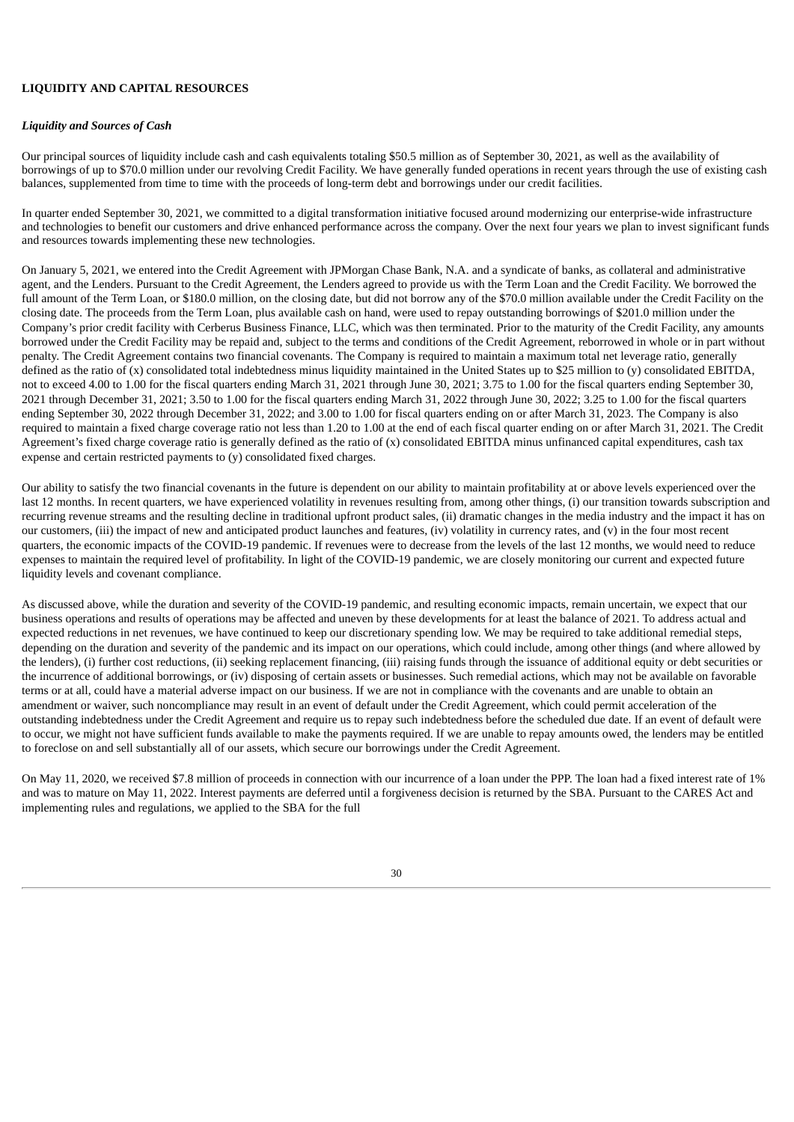# **LIQUIDITY AND CAPITAL RESOURCES**

#### *Liquidity and Sources of Cash*

Our principal sources of liquidity include cash and cash equivalents totaling \$50.5 million as of September 30, 2021, as well as the availability of borrowings of up to \$70.0 million under our revolving Credit Facility. We have generally funded operations in recent years through the use of existing cash balances, supplemented from time to time with the proceeds of long-term debt and borrowings under our credit facilities.

In quarter ended September 30, 2021, we committed to a digital transformation initiative focused around modernizing our enterprise-wide infrastructure and technologies to benefit our customers and drive enhanced performance across the company. Over the next four years we plan to invest significant funds and resources towards implementing these new technologies.

On January 5, 2021, we entered into the Credit Agreement with JPMorgan Chase Bank, N.A. and a syndicate of banks, as collateral and administrative agent, and the Lenders. Pursuant to the Credit Agreement, the Lenders agreed to provide us with the Term Loan and the Credit Facility. We borrowed the full amount of the Term Loan, or \$180.0 million, on the closing date, but did not borrow any of the \$70.0 million available under the Credit Facility on the closing date. The proceeds from the Term Loan, plus available cash on hand, were used to repay outstanding borrowings of \$201.0 million under the Company's prior credit facility with Cerberus Business Finance, LLC, which was then terminated. Prior to the maturity of the Credit Facility, any amounts borrowed under the Credit Facility may be repaid and, subject to the terms and conditions of the Credit Agreement, reborrowed in whole or in part without penalty. The Credit Agreement contains two financial covenants. The Company is required to maintain a maximum total net leverage ratio, generally defined as the ratio of (x) consolidated total indebtedness minus liquidity maintained in the United States up to \$25 million to (y) consolidated EBITDA, not to exceed 4.00 to 1.00 for the fiscal quarters ending March 31, 2021 through June 30, 2021; 3.75 to 1.00 for the fiscal quarters ending September 30, 2021 through December 31, 2021; 3.50 to 1.00 for the fiscal quarters ending March 31, 2022 through June 30, 2022; 3.25 to 1.00 for the fiscal quarters ending September 30, 2022 through December 31, 2022; and 3.00 to 1.00 for fiscal quarters ending on or after March 31, 2023. The Company is also required to maintain a fixed charge coverage ratio not less than 1.20 to 1.00 at the end of each fiscal quarter ending on or after March 31, 2021. The Credit Agreement's fixed charge coverage ratio is generally defined as the ratio of (x) consolidated EBITDA minus unfinanced capital expenditures, cash tax expense and certain restricted payments to (y) consolidated fixed charges.

Our ability to satisfy the two financial covenants in the future is dependent on our ability to maintain profitability at or above levels experienced over the last 12 months. In recent quarters, we have experienced volatility in revenues resulting from, among other things, (i) our transition towards subscription and recurring revenue streams and the resulting decline in traditional upfront product sales, (ii) dramatic changes in the media industry and the impact it has on our customers, (iii) the impact of new and anticipated product launches and features, (iv) volatility in currency rates, and (v) in the four most recent quarters, the economic impacts of the COVID-19 pandemic. If revenues were to decrease from the levels of the last 12 months, we would need to reduce expenses to maintain the required level of profitability. In light of the COVID-19 pandemic, we are closely monitoring our current and expected future liquidity levels and covenant compliance.

As discussed above, while the duration and severity of the COVID-19 pandemic, and resulting economic impacts, remain uncertain, we expect that our business operations and results of operations may be affected and uneven by these developments for at least the balance of 2021. To address actual and expected reductions in net revenues, we have continued to keep our discretionary spending low. We may be required to take additional remedial steps, depending on the duration and severity of the pandemic and its impact on our operations, which could include, among other things (and where allowed by the lenders), (i) further cost reductions, (ii) seeking replacement financing, (iii) raising funds through the issuance of additional equity or debt securities or the incurrence of additional borrowings, or (iv) disposing of certain assets or businesses. Such remedial actions, which may not be available on favorable terms or at all, could have a material adverse impact on our business. If we are not in compliance with the covenants and are unable to obtain an amendment or waiver, such noncompliance may result in an event of default under the Credit Agreement, which could permit acceleration of the outstanding indebtedness under the Credit Agreement and require us to repay such indebtedness before the scheduled due date. If an event of default were to occur, we might not have sufficient funds available to make the payments required. If we are unable to repay amounts owed, the lenders may be entitled to foreclose on and sell substantially all of our assets, which secure our borrowings under the Credit Agreement.

On May 11, 2020, we received \$7.8 million of proceeds in connection with our incurrence of a loan under the PPP. The loan had a fixed interest rate of 1% and was to mature on May 11, 2022. Interest payments are deferred until a forgiveness decision is returned by the SBA. Pursuant to the CARES Act and implementing rules and regulations, we applied to the SBA for the full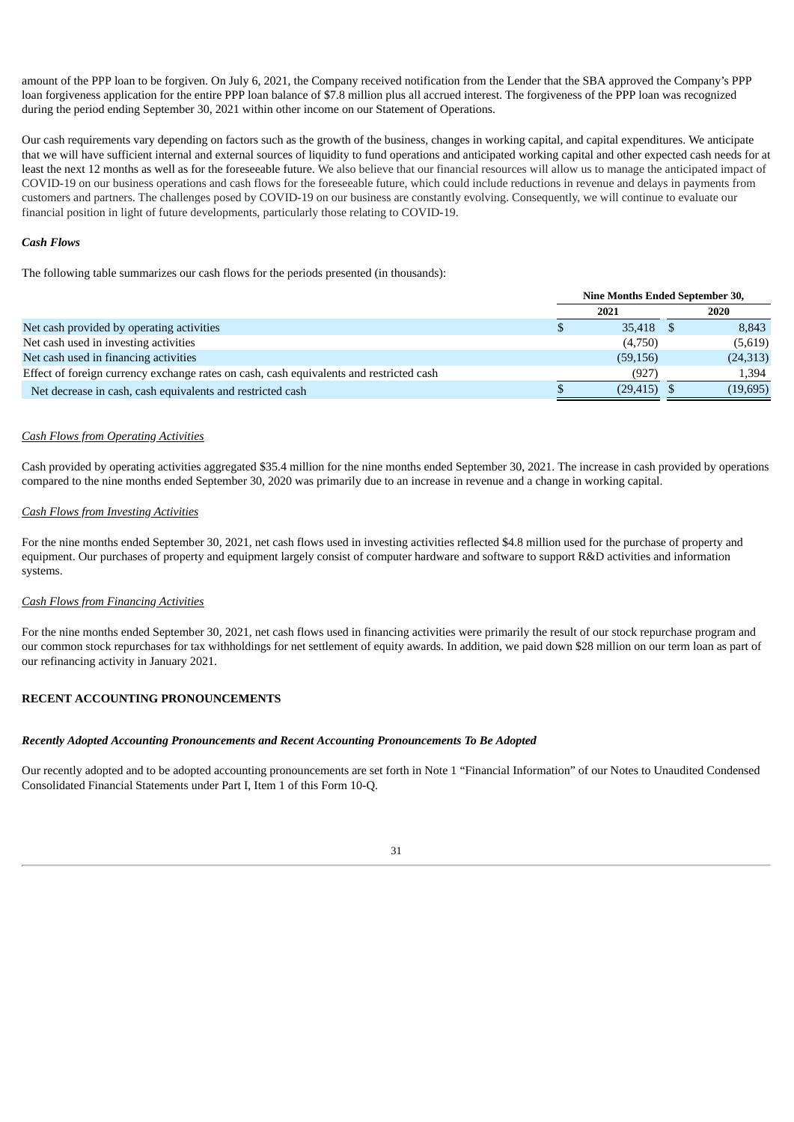amount of the PPP loan to be forgiven. On July 6, 2021, the Company received notification from the Lender that the SBA approved the Company's PPP loan forgiveness application for the entire PPP loan balance of \$7.8 million plus all accrued interest. The forgiveness of the PPP loan was recognized during the period ending September 30, 2021 within other income on our Statement of Operations.

Our cash requirements vary depending on factors such as the growth of the business, changes in working capital, and capital expenditures. We anticipate that we will have sufficient internal and external sources of liquidity to fund operations and anticipated working capital and other expected cash needs for at least the next 12 months as well as for the foreseeable future. We also believe that our financial resources will allow us to manage the anticipated impact of COVID-19 on our business operations and cash flows for the foreseeable future, which could include reductions in revenue and delays in payments from customers and partners. The challenges posed by COVID-19 on our business are constantly evolving. Consequently, we will continue to evaluate our financial position in light of future developments, particularly those relating to COVID-19.

#### *Cash Flows*

The following table summarizes our cash flows for the periods presented (in thousands):

|                                                                                         | Nine Months Ended September 30, |                |  |           |
|-----------------------------------------------------------------------------------------|---------------------------------|----------------|--|-----------|
|                                                                                         |                                 | 2021           |  | 2020      |
| Net cash provided by operating activities                                               |                                 | 35,418 \$      |  | 8.843     |
| Net cash used in investing activities                                                   |                                 | (4,750)        |  | (5,619)   |
| Net cash used in financing activities                                                   |                                 | (59, 156)      |  | (24,313)  |
| Effect of foreign currency exchange rates on cash, cash equivalents and restricted cash |                                 | (927)          |  | 1,394     |
| Net decrease in cash, cash equivalents and restricted cash                              |                                 | $(29, 415)$ \$ |  | (19, 695) |

#### *Cash Flows from Operating Activities*

Cash provided by operating activities aggregated \$35.4 million for the nine months ended September 30, 2021. The increase in cash provided by operations compared to the nine months ended September 30, 2020 was primarily due to an increase in revenue and a change in working capital.

#### *Cash Flows from Investing Activities*

For the nine months ended September 30, 2021, net cash flows used in investing activities reflected \$4.8 million used for the purchase of property and equipment. Our purchases of property and equipment largely consist of computer hardware and software to support R&D activities and information systems.

#### *Cash Flows from Financing Activities*

For the nine months ended September 30, 2021, net cash flows used in financing activities were primarily the result of our stock repurchase program and our common stock repurchases for tax withholdings for net settlement of equity awards. In addition, we paid down \$28 million on our term loan as part of our refinancing activity in January 2021.

# **RECENT ACCOUNTING PRONOUNCEMENTS**

#### *Recently Adopted Accounting Pronouncements and Recent Accounting Pronouncements To Be Adopted*

<span id="page-34-0"></span>Our recently adopted and to be adopted accounting pronouncements are set forth in Note 1 "Financial Information" of our Notes to Unaudited Condensed Consolidated Financial Statements under Part I, Item 1 of this Form 10-Q.

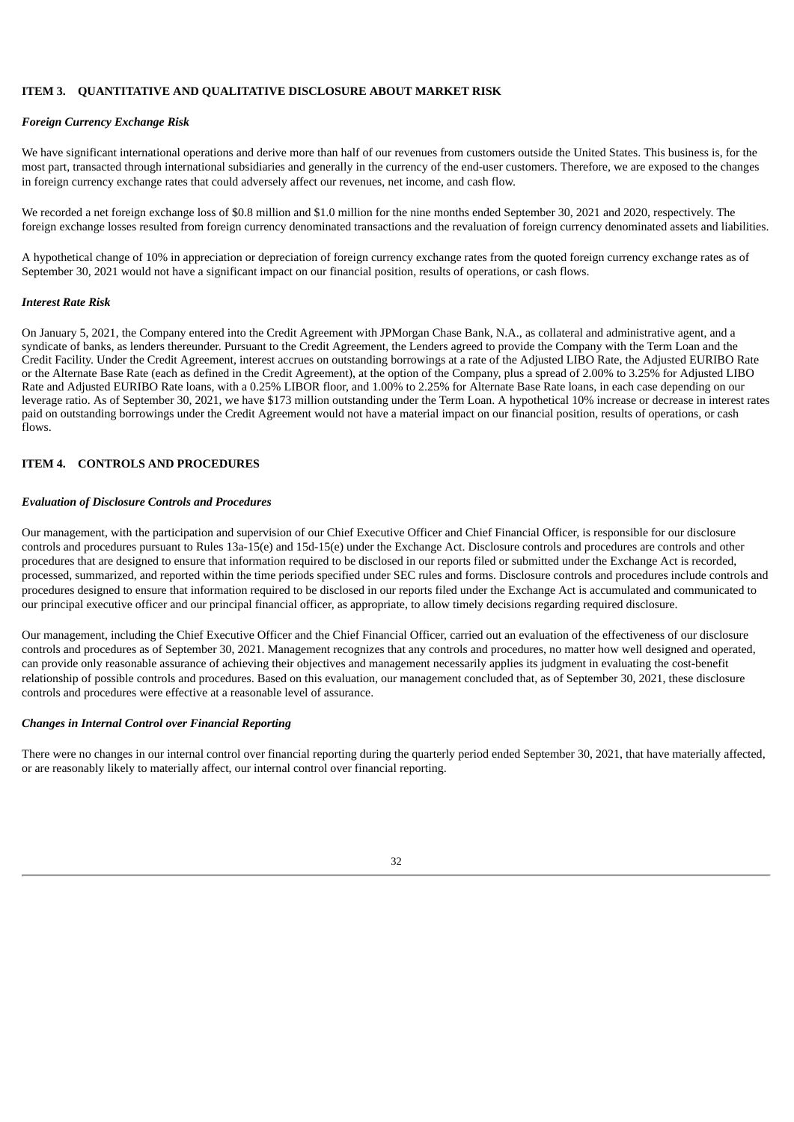#### **ITEM 3. QUANTITATIVE AND QUALITATIVE DISCLOSURE ABOUT MARKET RISK**

#### *Foreign Currency Exchange Risk*

We have significant international operations and derive more than half of our revenues from customers outside the United States. This business is, for the most part, transacted through international subsidiaries and generally in the currency of the end-user customers. Therefore, we are exposed to the changes in foreign currency exchange rates that could adversely affect our revenues, net income, and cash flow.

We recorded a net foreign exchange loss of \$0.8 million and \$1.0 million for the nine months ended September 30, 2021 and 2020, respectively. The foreign exchange losses resulted from foreign currency denominated transactions and the revaluation of foreign currency denominated assets and liabilities.

A hypothetical change of 10% in appreciation or depreciation of foreign currency exchange rates from the quoted foreign currency exchange rates as of September 30, 2021 would not have a significant impact on our financial position, results of operations, or cash flows.

#### *Interest Rate Risk*

On January 5, 2021, the Company entered into the Credit Agreement with JPMorgan Chase Bank, N.A., as collateral and administrative agent, and a syndicate of banks, as lenders thereunder. Pursuant to the Credit Agreement, the Lenders agreed to provide the Company with the Term Loan and the Credit Facility. Under the Credit Agreement, interest accrues on outstanding borrowings at a rate of the Adjusted LIBO Rate, the Adjusted EURIBO Rate or the Alternate Base Rate (each as defined in the Credit Agreement), at the option of the Company, plus a spread of 2.00% to 3.25% for Adjusted LIBO Rate and Adjusted EURIBO Rate loans, with a 0.25% LIBOR floor, and 1.00% to 2.25% for Alternate Base Rate loans, in each case depending on our leverage ratio. As of September 30, 2021, we have \$173 million outstanding under the Term Loan. A hypothetical 10% increase or decrease in interest rates paid on outstanding borrowings under the Credit Agreement would not have a material impact on our financial position, results of operations, or cash flows.

# <span id="page-35-0"></span>**ITEM 4. CONTROLS AND PROCEDURES**

#### *Evaluation of Disclosure Controls and Procedures*

Our management, with the participation and supervision of our Chief Executive Officer and Chief Financial Officer, is responsible for our disclosure controls and procedures pursuant to Rules 13a-15(e) and 15d-15(e) under the Exchange Act. Disclosure controls and procedures are controls and other procedures that are designed to ensure that information required to be disclosed in our reports filed or submitted under the Exchange Act is recorded, processed, summarized, and reported within the time periods specified under SEC rules and forms. Disclosure controls and procedures include controls and procedures designed to ensure that information required to be disclosed in our reports filed under the Exchange Act is accumulated and communicated to our principal executive officer and our principal financial officer, as appropriate, to allow timely decisions regarding required disclosure.

Our management, including the Chief Executive Officer and the Chief Financial Officer, carried out an evaluation of the effectiveness of our disclosure controls and procedures as of September 30, 2021. Management recognizes that any controls and procedures, no matter how well designed and operated, can provide only reasonable assurance of achieving their objectives and management necessarily applies its judgment in evaluating the cost-benefit relationship of possible controls and procedures. Based on this evaluation, our management concluded that, as of September 30, 2021, these disclosure controls and procedures were effective at a reasonable level of assurance.

### *Changes in Internal Control over Financial Reporting*

There were no changes in our internal control over financial reporting during the quarterly period ended September 30, 2021, that have materially affected, or are reasonably likely to materially affect, our internal control over financial reporting.

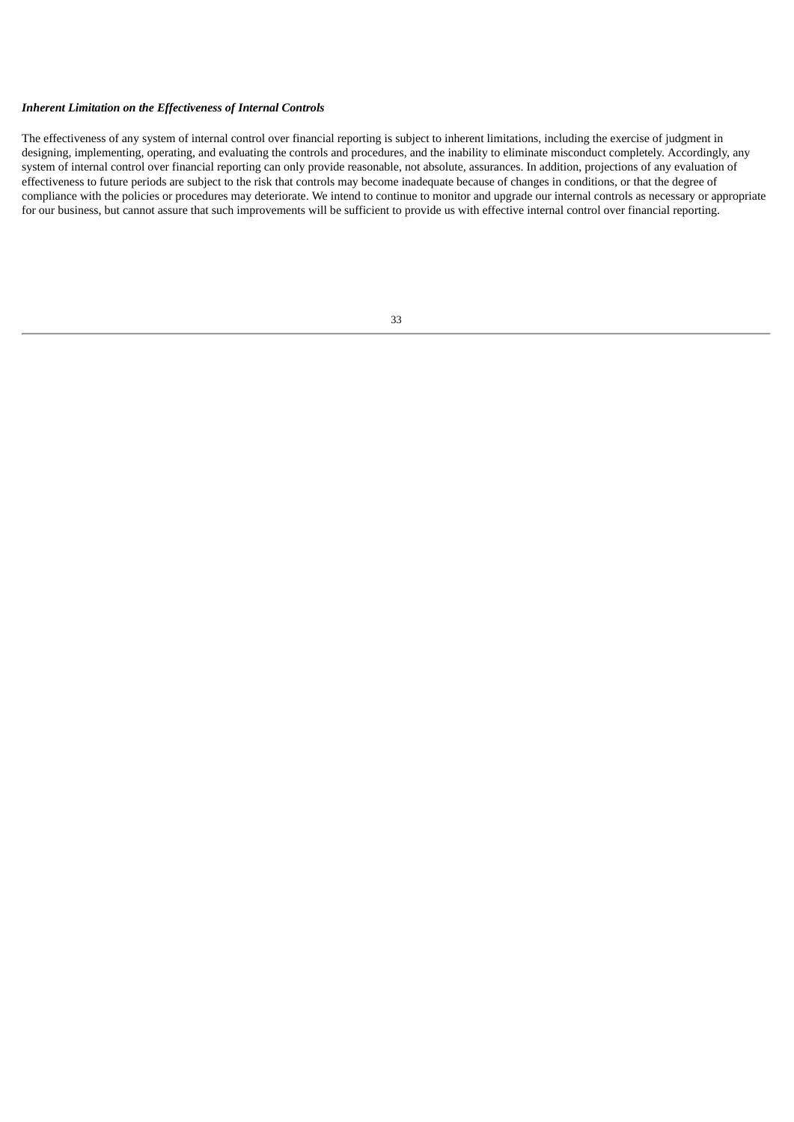### *Inherent Limitation on the Effectiveness of Internal Controls*

<span id="page-36-0"></span>The effectiveness of any system of internal control over financial reporting is subject to inherent limitations, including the exercise of judgment in designing, implementing, operating, and evaluating the controls and procedures, and the inability to eliminate misconduct completely. Accordingly, any system of internal control over financial reporting can only provide reasonable, not absolute, assurances. In addition, projections of any evaluation of effectiveness to future periods are subject to the risk that controls may become inadequate because of changes in conditions, or that the degree of compliance with the policies or procedures may deteriorate. We intend to continue to monitor and upgrade our internal controls as necessary or appropriate for our business, but cannot assure that such improvements will be sufficient to provide us with effective internal control over financial reporting.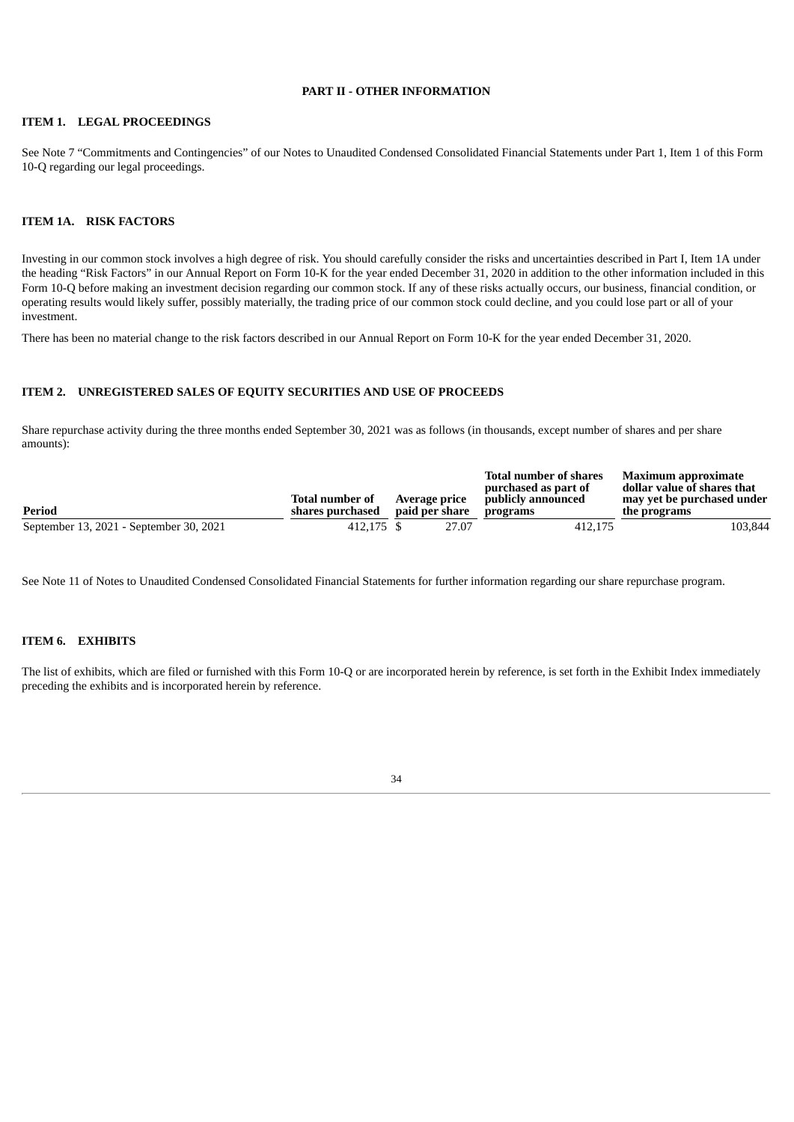## **PART II - OTHER INFORMATION**

#### <span id="page-37-0"></span>**ITEM 1. LEGAL PROCEEDINGS**

See Note 7 "Commitments and Contingencies" of our Notes to Unaudited Condensed Consolidated Financial Statements under Part 1, Item 1 of this Form 10-Q regarding our legal proceedings.

#### <span id="page-37-1"></span>**ITEM 1A. RISK FACTORS**

Investing in our common stock involves a high degree of risk. You should carefully consider the risks and uncertainties described in Part I, Item 1A under the heading "Risk Factors" in our Annual Report on Form 10-K for the year ended December 31, 2020 in addition to the other information included in this Form 10-Q before making an investment decision regarding our common stock. If any of these risks actually occurs, our business, financial condition, or operating results would likely suffer, possibly materially, the trading price of our common stock could decline, and you could lose part or all of your investment.

There has been no material change to the risk factors described in our Annual Report on Form 10-K for the year ended December 31, 2020.

# <span id="page-37-2"></span>**ITEM 2. UNREGISTERED SALES OF EQUITY SECURITIES AND USE OF PROCEEDS**

Share repurchase activity during the three months ended September 30, 2021 was as follows (in thousands, except number of shares and per share amounts):

| Period                                  | <b>Total number of</b><br>shares purchased | Average price<br>paid per share | <b>Total number of shares</b><br>purchased as part of<br>publicly announced<br>programs | Maximum approximate<br>dollar value of shares that<br>may yet be purchased under<br>the programs |  |
|-----------------------------------------|--------------------------------------------|---------------------------------|-----------------------------------------------------------------------------------------|--------------------------------------------------------------------------------------------------|--|
| September 13, 2021 - September 30, 2021 | 412.175 \$                                 | 27.07                           | 412.175                                                                                 | 103.844                                                                                          |  |

<span id="page-37-3"></span>See Note 11 of Notes to Unaudited Condensed Consolidated Financial Statements for further information regarding our share repurchase program.

# **ITEM 6. EXHIBITS**

<span id="page-37-4"></span>The list of exhibits, which are filed or furnished with this Form 10-Q or are incorporated herein by reference, is set forth in the Exhibit Index immediately preceding the exhibits and is incorporated herein by reference.

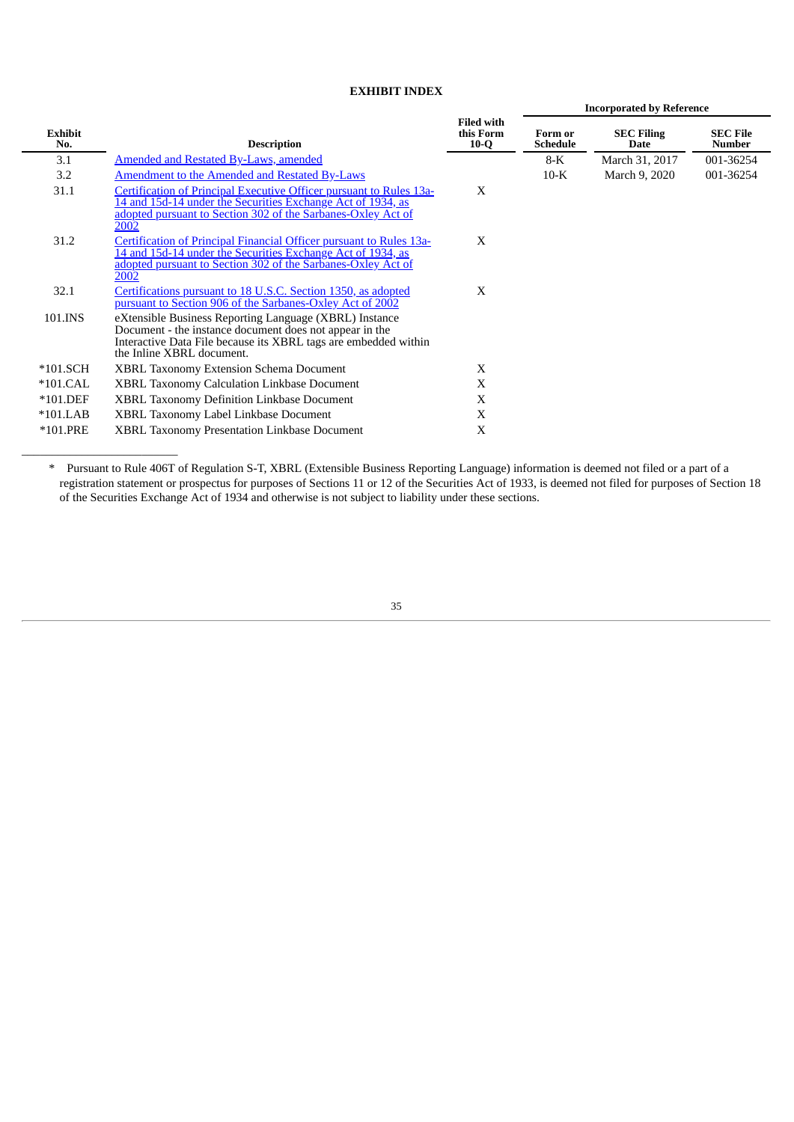# **EXHIBIT INDEX**

|                       |                                                                                                                                                                                                                   |                                          | <b>Incorporated by Reference</b> |                           |                                  |  |
|-----------------------|-------------------------------------------------------------------------------------------------------------------------------------------------------------------------------------------------------------------|------------------------------------------|----------------------------------|---------------------------|----------------------------------|--|
| <b>Exhibit</b><br>No. | <b>Description</b>                                                                                                                                                                                                | <b>Filed with</b><br>this Form<br>$10-Q$ | Form or<br><b>Schedule</b>       | <b>SEC Filing</b><br>Date | <b>SEC File</b><br><b>Number</b> |  |
| 3.1                   | <b>Amended and Restated By-Laws, amended</b>                                                                                                                                                                      |                                          | 8-K                              | March 31, 2017            | 001-36254                        |  |
| 3.2                   | Amendment to the Amended and Restated By-Laws                                                                                                                                                                     |                                          | $10-K$                           | March 9, 2020             | 001-36254                        |  |
| 31.1                  | Certification of Principal Executive Officer pursuant to Rules 13a-<br>14 and 15d-14 under the Securities Exchange Act of 1934, as<br>adopted pursuant to Section 302 of the Sarbanes-Oxley Act of<br>2002        | X                                        |                                  |                           |                                  |  |
| 31.2                  | Certification of Principal Financial Officer pursuant to Rules 13a-<br>14 and 15d-14 under the Securities Exchange Act of 1934, as<br>adopted pursuant to Section 302 of the Sarbanes-Oxley Act of<br>2002        | X                                        |                                  |                           |                                  |  |
| 32.1                  | Certifications pursuant to 18 U.S.C. Section 1350, as adopted<br>pursuant to Section 906 of the Sarbanes-Oxley Act of 2002                                                                                        | X                                        |                                  |                           |                                  |  |
| 101.INS               | eXtensible Business Reporting Language (XBRL) Instance<br>Document - the instance document does not appear in the<br>Interactive Data File because its XBRL tags are embedded within<br>the Inline XBRL document. |                                          |                                  |                           |                                  |  |
| $*101$ .SCH           | <b>XBRL Taxonomy Extension Schema Document</b>                                                                                                                                                                    | X                                        |                                  |                           |                                  |  |
| $*101.CAL$            | <b>XBRL Taxonomy Calculation Linkbase Document</b>                                                                                                                                                                | X                                        |                                  |                           |                                  |  |
| $*101.$ DEF           | <b>XBRL Taxonomy Definition Linkbase Document</b>                                                                                                                                                                 | X                                        |                                  |                           |                                  |  |
| $*101.LAB$            | XBRL Taxonomy Label Linkbase Document                                                                                                                                                                             | X                                        |                                  |                           |                                  |  |
| $*101.PRE$            | <b>XBRL Taxonomy Presentation Linkbase Document</b>                                                                                                                                                               | X                                        |                                  |                           |                                  |  |

<span id="page-38-0"></span>\* Pursuant to Rule 406T of Regulation S-T, XBRL (Extensible Business Reporting Language) information is deemed not filed or a part of a registration statement or prospectus for purposes of Sections 11 or 12 of the Securities Act of 1933, is deemed not filed for purposes of Section 18 of the Securities Exchange Act of 1934 and otherwise is not subject to liability under these sections.

 $\_$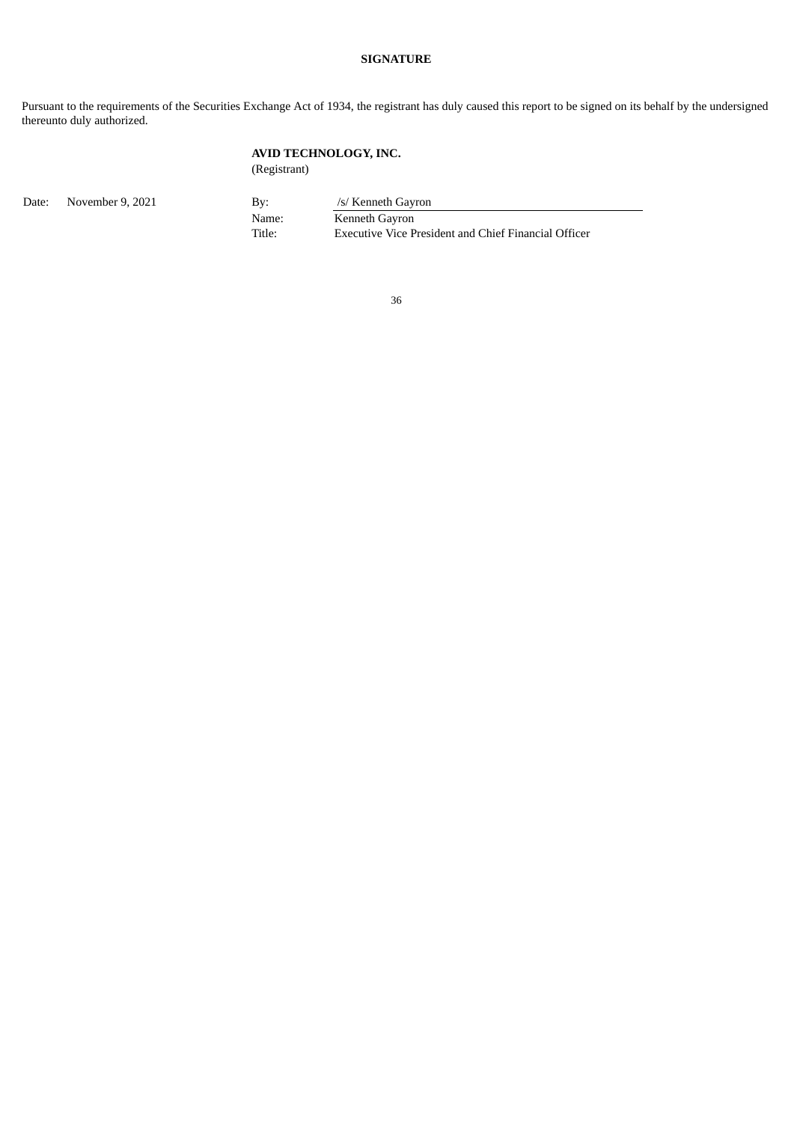### **SIGNATURE**

Pursuant to the requirements of the Securities Exchange Act of 1934, the registrant has duly caused this report to be signed on its behalf by the undersigned thereunto duly authorized.

# **AVID TECHNOLOGY, INC.** (Registrant)

Date: November 9, 2021 By: /s/ Kenneth Gayron Name: Kenneth Gayron<br>Title: Executive Vice P Executive Vice President and Chief Financial Officer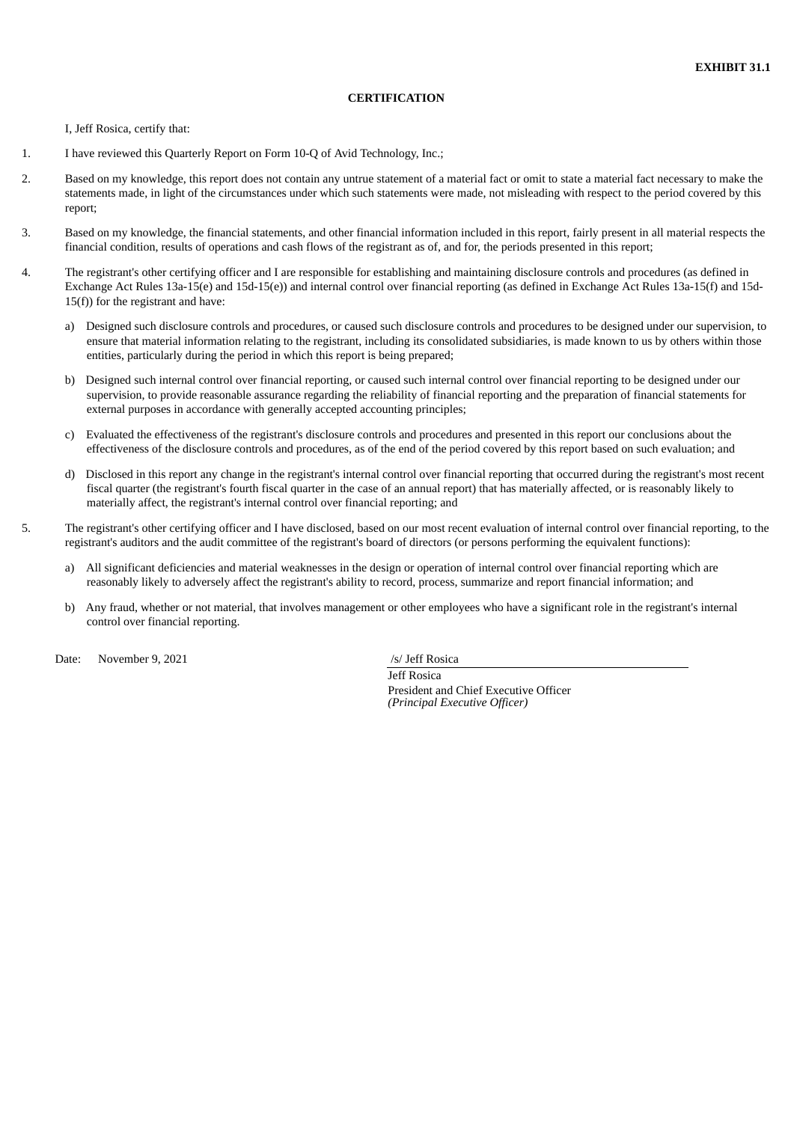# **CERTIFICATION**

<span id="page-40-0"></span>I, Jeff Rosica, certify that:

- 1. I have reviewed this Quarterly Report on Form 10-Q of Avid Technology, Inc.;
- 2. Based on my knowledge, this report does not contain any untrue statement of a material fact or omit to state a material fact necessary to make the statements made, in light of the circumstances under which such statements were made, not misleading with respect to the period covered by this report;
- 3. Based on my knowledge, the financial statements, and other financial information included in this report, fairly present in all material respects the financial condition, results of operations and cash flows of the registrant as of, and for, the periods presented in this report;
- 4. The registrant's other certifying officer and I are responsible for establishing and maintaining disclosure controls and procedures (as defined in Exchange Act Rules 13a-15(e) and 15d-15(e)) and internal control over financial reporting (as defined in Exchange Act Rules 13a-15(f) and 15d- $15(f)$ ) for the registrant and have:
	- a) Designed such disclosure controls and procedures, or caused such disclosure controls and procedures to be designed under our supervision, to ensure that material information relating to the registrant, including its consolidated subsidiaries, is made known to us by others within those entities, particularly during the period in which this report is being prepared;
	- b) Designed such internal control over financial reporting, or caused such internal control over financial reporting to be designed under our supervision, to provide reasonable assurance regarding the reliability of financial reporting and the preparation of financial statements for external purposes in accordance with generally accepted accounting principles;
	- c) Evaluated the effectiveness of the registrant's disclosure controls and procedures and presented in this report our conclusions about the effectiveness of the disclosure controls and procedures, as of the end of the period covered by this report based on such evaluation; and
	- d) Disclosed in this report any change in the registrant's internal control over financial reporting that occurred during the registrant's most recent fiscal quarter (the registrant's fourth fiscal quarter in the case of an annual report) that has materially affected, or is reasonably likely to materially affect, the registrant's internal control over financial reporting; and
- 5. The registrant's other certifying officer and I have disclosed, based on our most recent evaluation of internal control over financial reporting, to the registrant's auditors and the audit committee of the registrant's board of directors (or persons performing the equivalent functions):
	- a) All significant deficiencies and material weaknesses in the design or operation of internal control over financial reporting which are reasonably likely to adversely affect the registrant's ability to record, process, summarize and report financial information; and
	- b) Any fraud, whether or not material, that involves management or other employees who have a significant role in the registrant's internal control over financial reporting.

Date: November 9, 2021 /s/ Jeff Rosica

Jeff Rosica President and Chief Executive Officer *(Principal Executive Officer)*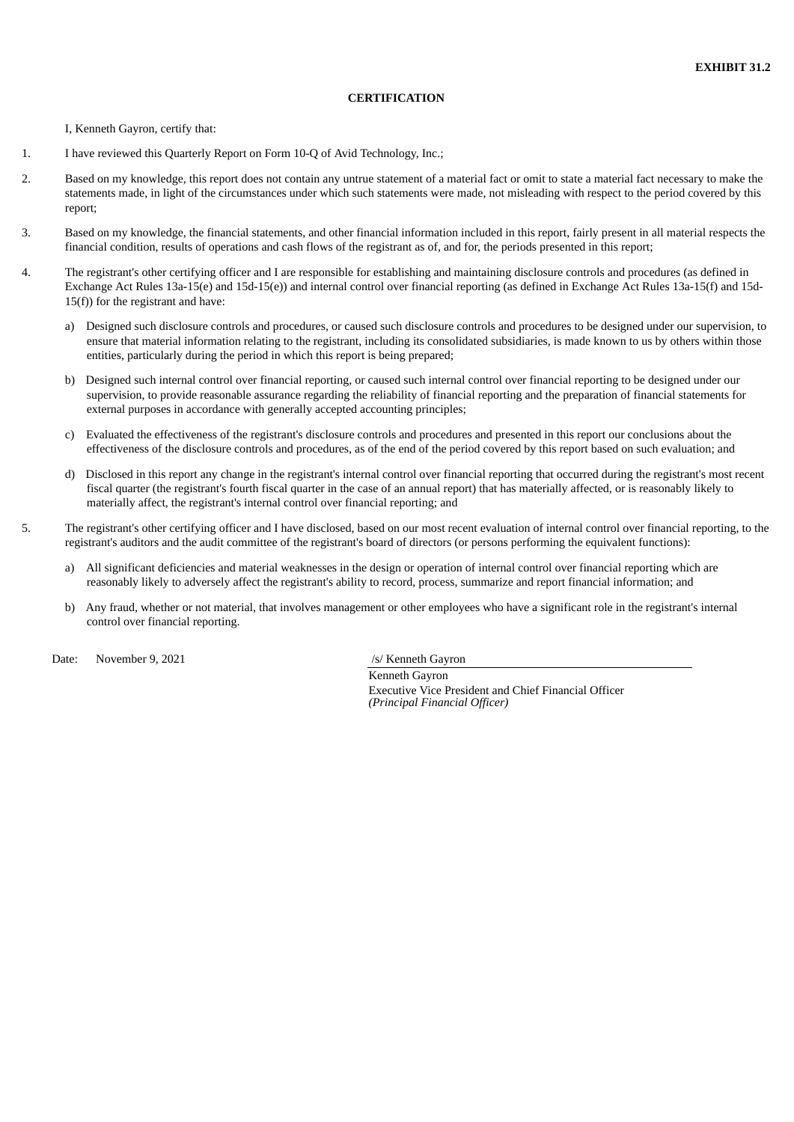# **CERTIFICATION**

<span id="page-41-0"></span>I, Kenneth Gayron, certify that:

- 1. I have reviewed this Quarterly Report on Form 10-Q of Avid Technology, Inc.;
- 2. Based on my knowledge, this report does not contain any untrue statement of a material fact or omit to state a material fact necessary to make the statements made, in light of the circumstances under which such statements were made, not misleading with respect to the period covered by this report;
- 3. Based on my knowledge, the financial statements, and other financial information included in this report, fairly present in all material respects the financial condition, results of operations and cash flows of the registrant as of, and for, the periods presented in this report;
- 4. The registrant's other certifying officer and I are responsible for establishing and maintaining disclosure controls and procedures (as defined in Exchange Act Rules 13a-15(e) and 15d-15(e)) and internal control over financial reporting (as defined in Exchange Act Rules 13a-15(f) and 15d- $15(f)$ ) for the registrant and have:
	- a) Designed such disclosure controls and procedures, or caused such disclosure controls and procedures to be designed under our supervision, to ensure that material information relating to the registrant, including its consolidated subsidiaries, is made known to us by others within those entities, particularly during the period in which this report is being prepared;
	- b) Designed such internal control over financial reporting, or caused such internal control over financial reporting to be designed under our supervision, to provide reasonable assurance regarding the reliability of financial reporting and the preparation of financial statements for external purposes in accordance with generally accepted accounting principles;
	- c) Evaluated the effectiveness of the registrant's disclosure controls and procedures and presented in this report our conclusions about the effectiveness of the disclosure controls and procedures, as of the end of the period covered by this report based on such evaluation; and
	- d) Disclosed in this report any change in the registrant's internal control over financial reporting that occurred during the registrant's most recent fiscal quarter (the registrant's fourth fiscal quarter in the case of an annual report) that has materially affected, or is reasonably likely to materially affect, the registrant's internal control over financial reporting; and
- 5. The registrant's other certifying officer and I have disclosed, based on our most recent evaluation of internal control over financial reporting, to the registrant's auditors and the audit committee of the registrant's board of directors (or persons performing the equivalent functions):
	- a) All significant deficiencies and material weaknesses in the design or operation of internal control over financial reporting which are reasonably likely to adversely affect the registrant's ability to record, process, summarize and report financial information; and
	- b) Any fraud, whether or not material, that involves management or other employees who have a significant role in the registrant's internal control over financial reporting.

Date: November 9, 2021 /s/ Kenneth Gayron

Kenneth Gayron Executive Vice President and Chief Financial Officer *(Principal Financial Officer)*